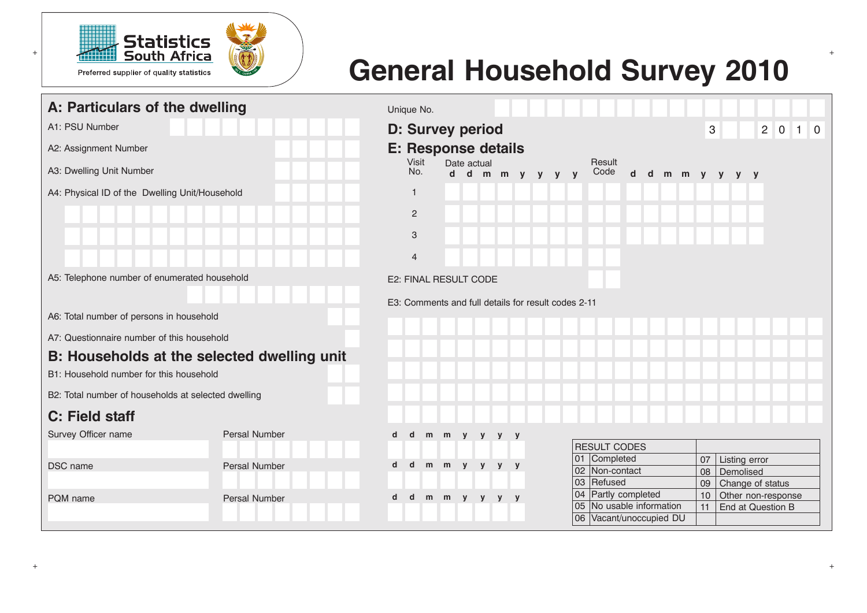

# **General Household Survey 2010**

| A: Particulars of the dwelling                      |               |   | Unique No.                                          |   |             |              |   |     |  |                 |    |                                 |                      |               |             |               |                    |                |    |  |
|-----------------------------------------------------|---------------|---|-----------------------------------------------------|---|-------------|--------------|---|-----|--|-----------------|----|---------------------------------|----------------------|---------------|-------------|---------------|--------------------|----------------|----|--|
| A1: PSU Number                                      |               |   | <b>D: Survey period</b>                             |   |             |              |   |     |  |                 |    |                                 |                      |               | $\mathbf 3$ |               | $2^{\circ}$        | $\overline{0}$ | 10 |  |
| A2: Assignment Number                               |               |   | <b>E: Response details</b>                          |   |             |              |   |     |  |                 |    |                                 |                      |               |             |               |                    |                |    |  |
| A3: Dwelling Unit Number                            |               |   | Visit<br>No.                                        |   |             | Date actual  |   |     |  | d d m m y y y y |    | Result<br>Code                  | $\mathbf d$          | d m m y y y y |             |               |                    |                |    |  |
| A4: Physical ID of the Dwelling Unit/Household      |               |   | $\mathbf{1}$                                        |   |             |              |   |     |  |                 |    |                                 |                      |               |             |               |                    |                |    |  |
|                                                     |               |   | $\overline{2}$                                      |   |             |              |   |     |  |                 |    |                                 |                      |               |             |               |                    |                |    |  |
|                                                     |               |   | 3                                                   |   |             |              |   |     |  |                 |    |                                 |                      |               |             |               |                    |                |    |  |
|                                                     |               |   | $\overline{4}$                                      |   |             |              |   |     |  |                 |    |                                 |                      |               |             |               |                    |                |    |  |
| A5: Telephone number of enumerated household        |               |   | E2: FINAL RESULT CODE                               |   |             |              |   |     |  |                 |    |                                 |                      |               |             |               |                    |                |    |  |
|                                                     |               |   | E3: Comments and full details for result codes 2-11 |   |             |              |   |     |  |                 |    |                                 |                      |               |             |               |                    |                |    |  |
| A6: Total number of persons in household            |               |   |                                                     |   |             |              |   |     |  |                 |    |                                 |                      |               |             |               |                    |                |    |  |
| A7: Questionnaire number of this household          |               |   |                                                     |   |             |              |   |     |  |                 |    |                                 |                      |               |             |               |                    |                |    |  |
| B: Households at the selected dwelling unit         |               |   |                                                     |   |             |              |   |     |  |                 |    |                                 |                      |               |             |               |                    |                |    |  |
| B1: Household number for this household             |               |   |                                                     |   |             |              |   |     |  |                 |    |                                 |                      |               |             |               |                    |                |    |  |
| B2: Total number of households at selected dwelling |               |   |                                                     |   |             |              |   |     |  |                 |    |                                 |                      |               |             |               |                    |                |    |  |
| C: Field staff                                      |               |   |                                                     |   |             |              |   |     |  |                 |    |                                 |                      |               |             |               |                    |                |    |  |
| Survey Officer name                                 | Persal Number | d | d                                                   | m | m           | $\mathbf{y}$ | y | y y |  |                 |    |                                 |                      |               |             |               |                    |                |    |  |
|                                                     |               |   |                                                     |   |             |              |   |     |  |                 |    | <b>RESULT CODES</b>             |                      |               |             |               |                    |                |    |  |
| DSC name                                            | Persal Number | d | $\mathbf d$                                         |   | m m y y y y |              |   |     |  |                 |    | 01 Completed<br>102 Non-contact |                      |               | 07          | Listing error |                    |                |    |  |
|                                                     |               |   |                                                     |   |             |              |   |     |  |                 |    | 03 Refused                      |                      |               | 08<br>09    | Demolised     | Change of status   |                |    |  |
| PQM name                                            |               | d | $\mathbf d$                                         |   | m m y y y y |              |   |     |  |                 |    | 04 Partly completed             |                      |               | 10          |               | Other non-response |                |    |  |
|                                                     | Persal Number |   |                                                     |   |             |              |   |     |  |                 |    | 05 No usable information        |                      |               | 11          |               | End at Question B  |                |    |  |
|                                                     |               |   |                                                     |   |             |              |   |     |  |                 | 06 |                                 | Vacant/unoccupied DU |               |             |               |                    |                |    |  |
|                                                     |               |   |                                                     |   |             |              |   |     |  |                 |    |                                 |                      |               |             |               |                    |                |    |  |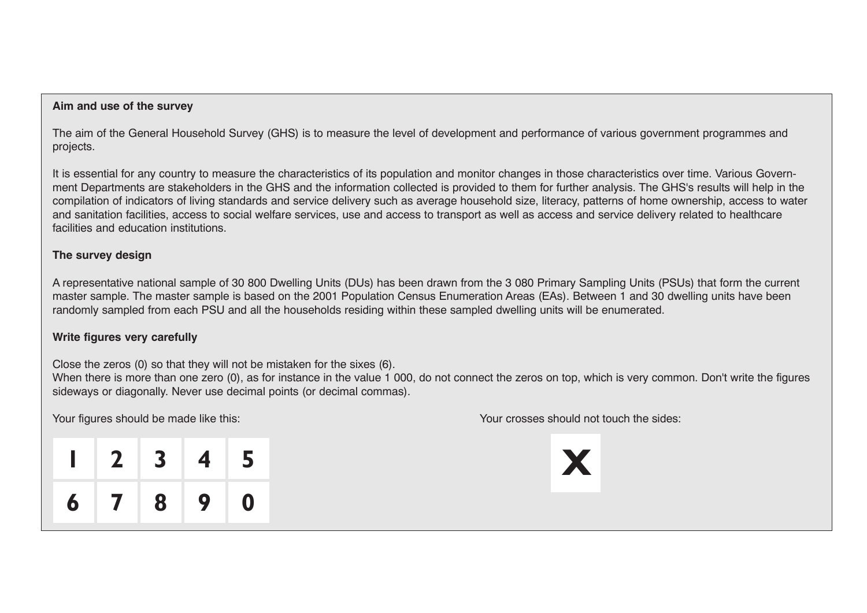# **Aim and use of the survey**

The aim of the General Household Survey (GHS) is to measure the level of development and performance of various government programmes and projects.

It is essential for any country to measure the characteristics of its population and monitor changes in those characteristics over time. Various Government Departments are stakeholders in the GHS and the information collected is provided to them for further analysis. The GHS's results will help in the compilation of indicators of living standards and service delivery such as average household size, literacy, patterns of home ownership, access to water and sanitation facilities, access to social welfare services, use and access to transport as well as access and service delivery related to healthcare facilities and education institutions.

# **The survey design**

A representative national sample of 30 800 Dwelling Units (DUs) has been drawn from the 3 080 Primary Sampling Units (PSUs) that form the current master sample. The master sample is based on the 2001 Population Census Enumeration Areas (EAs). Between 1 and 30 dwelling units have been randomly sampled from each PSU and all the households residing within these sampled dwelling units will be enumerated.

# **Write figures very carefully**

Close the zeros (0) so that they will not be mistaken for the sixes (6).

When there is more than one zero (0), as for instance in the value 1 000, do not connect the zeros on top, which is very common. Don't write the figures sideways or diagonally. Never use decimal points (or decimal commas).

|                |    | Your figures should be made like this: | Your crosses should not touch the sides: |
|----------------|----|----------------------------------------|------------------------------------------|
|                |    | $1 \ 2 \ 3 \ 4 \ 5$                    |                                          |
| 6 <sup>1</sup> | 89 |                                        |                                          |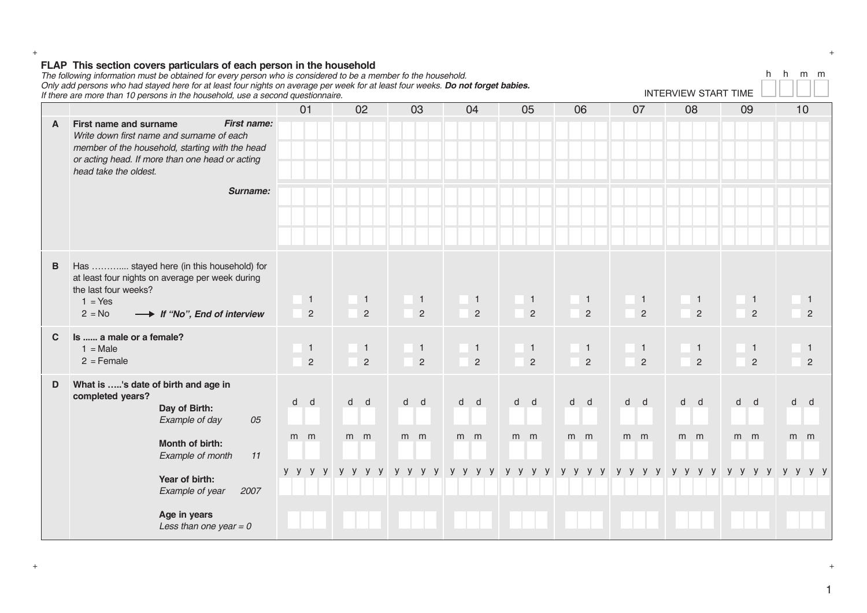|   | $\frac{1}{2}$<br>The following information must be obtained for every person who is considered to be a member fo the household.<br>Only add persons who had stayed here for at least four nights on average per week for at least four weeks. Do not forget babies.<br>If there are more than 10 persons in the household, use a second questionnaire. |                                  |                                  |                                |                                |                                  |         |                                  |                                  | <b>INTERVIEW START TIME</b> |                                  |                                  | h<br>h |                      | m m |
|---|--------------------------------------------------------------------------------------------------------------------------------------------------------------------------------------------------------------------------------------------------------------------------------------------------------------------------------------------------------|----------------------------------|----------------------------------|--------------------------------|--------------------------------|----------------------------------|---------|----------------------------------|----------------------------------|-----------------------------|----------------------------------|----------------------------------|--------|----------------------|-----|
|   |                                                                                                                                                                                                                                                                                                                                                        | 01                               | 02                               | 03                             | 04                             | 05                               | 06      |                                  | 07                               |                             | 08                               | 09                               |        | 10                   |     |
| A | First name:<br>First name and surname<br>Write down first name and surname of each<br>member of the household, starting with the head<br>or acting head. If more than one head or acting<br>head take the oldest.                                                                                                                                      |                                  |                                  |                                |                                |                                  |         |                                  |                                  |                             |                                  |                                  |        |                      |     |
|   | Surname:                                                                                                                                                                                                                                                                                                                                               |                                  |                                  |                                |                                |                                  |         |                                  |                                  |                             |                                  |                                  |        |                      |     |
| В | Has  stayed here (in this household) for<br>at least four nights on average per week during<br>the last four weeks?<br>$1 = Yes$<br>$2 = No$<br>→ If "No", End of interview                                                                                                                                                                            | $\overline{1}$<br>$\overline{c}$ | $\overline{1}$<br>$\overline{2}$ | $\mathbf{1}$<br>$\overline{2}$ | $\mathbf{1}$<br>$\overline{2}$ | $\overline{1}$<br>$\overline{2}$ |         | $\overline{1}$<br>$\overline{2}$ | $\overline{1}$<br>$\overline{2}$ |                             | $\overline{1}$<br>$\overline{2}$ | $\overline{1}$<br>$\overline{2}$ |        | -1<br>$\overline{2}$ |     |
| C | Is  a male or a female?<br>$1 = Male$<br>$2 =$ Female                                                                                                                                                                                                                                                                                                  | $\overline{1}$<br>$\overline{2}$ | $\overline{1}$<br>$\overline{2}$ | $\mathbf{1}$<br>$\overline{2}$ | $\mathbf{1}$<br>$\overline{2}$ | $\overline{1}$<br>$\overline{2}$ |         | $\overline{1}$<br>2              | $\overline{1}$<br>$\overline{2}$ |                             | $\overline{1}$<br>$\overline{2}$ | $\overline{1}$<br>$\overline{2}$ |        | -1                   | 2   |
| D | What is 's date of birth and age in<br>completed years?<br>Day of Birth:<br>Example of day<br>05                                                                                                                                                                                                                                                       | $\mathsf{d}$<br>d                | d d                              | d d                            | d d                            | d d                              | d d     |                                  | d d                              |                             | d d                              | d d                              |        | d<br>∣ d             |     |
|   | Month of birth:<br>Example of month<br>11                                                                                                                                                                                                                                                                                                              | $m$ $m$                          | $m$ $m$                          | $m$ $m$                        | $m$ $m$                        | $m$ $m$                          | $m$ $m$ |                                  | $m$ $m$                          |                             | $m$ $m$                          | $m$ $m$                          |        | $m$ $m$              |     |
|   | Year of birth:<br>Example of year<br>2007                                                                                                                                                                                                                                                                                                              | yyyy                             |                                  |                                |                                |                                  |         |                                  |                                  |                             |                                  |                                  |        |                      | V V |
|   | Age in years<br>Less than one year = $0$                                                                                                                                                                                                                                                                                                               |                                  |                                  |                                |                                |                                  |         |                                  |                                  |                             |                                  |                                  |        |                      |     |

#### **FLAP This section covers particulars of each person in the household**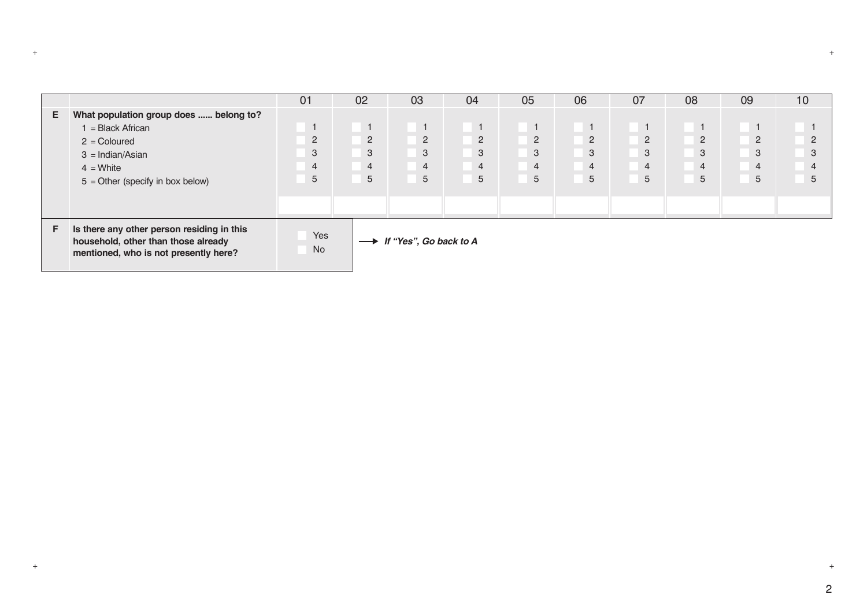|    |                                                                                                                            | 01             | 02             | 03                     | 04             | 05             | 06             | 07             | 08             | 09             | 10             |
|----|----------------------------------------------------------------------------------------------------------------------------|----------------|----------------|------------------------|----------------|----------------|----------------|----------------|----------------|----------------|----------------|
| Е. | What population group does  belong to?                                                                                     |                |                |                        |                |                |                |                |                |                |                |
|    | = Black African                                                                                                            |                | $\mathbf{1}$   | $\overline{1}$         | $\overline{1}$ |                | $\overline{1}$ | $\overline{1}$ | $\overline{1}$ |                |                |
|    | $2 =$ Coloured                                                                                                             | 2              | $\overline{2}$ | $\overline{2}$         | $\overline{2}$ | $\overline{2}$ | $\overline{2}$ | $\overline{2}$ | $\overline{2}$ | $\overline{2}$ | 2              |
|    | $3 = Indian/Asian$                                                                                                         | 3              | 3              | $\mathbf{3}$           | 3              | 3              | 3              | 3              | 3              | 3              | 3              |
|    | $4 = White$                                                                                                                | $\overline{4}$ | $\overline{4}$ | $\overline{4}$         | $\overline{4}$ | 4              | $\overline{4}$ | $\overline{4}$ | $\overline{4}$ | $\overline{4}$ | $\overline{4}$ |
|    | $5 =$ Other (specify in box below)                                                                                         | 5              | 5              | 5                      | 5              | 5              | 5              | 5              | 5              | 5              | 5              |
|    |                                                                                                                            |                |                |                        |                |                |                |                |                |                |                |
|    |                                                                                                                            |                |                |                        |                |                |                |                |                |                |                |
| F. | Is there any other person residing in this<br>household, other than those already<br>mentioned, who is not presently here? | Yes<br>No      | $\rightarrow$  | If "Yes", Go back to A |                |                |                |                |                |                |                |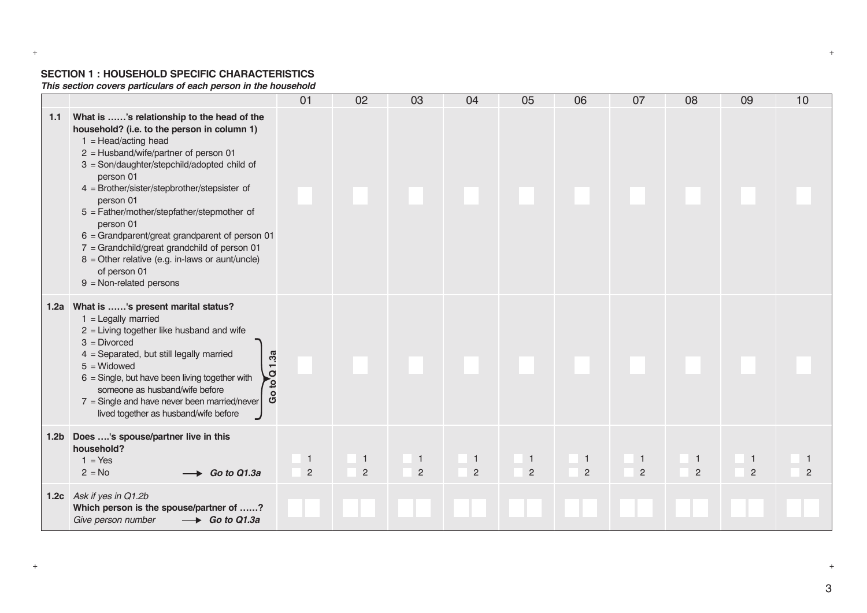#### **SECTION 1 : HOUSEHOLD SPECIFIC CHARACTERISTICS**

*This section covers particulars of each person in the household*

|      |                                                                                                                                                                                                                                                                                                                                                                                                                                                                                                                                                                          | 01                             | 02                               | 03                             | 04                             | 05                             | 06             | 07                | 08                | 09                             | 10 |
|------|--------------------------------------------------------------------------------------------------------------------------------------------------------------------------------------------------------------------------------------------------------------------------------------------------------------------------------------------------------------------------------------------------------------------------------------------------------------------------------------------------------------------------------------------------------------------------|--------------------------------|----------------------------------|--------------------------------|--------------------------------|--------------------------------|----------------|-------------------|-------------------|--------------------------------|----|
| 1.1  | What is 's relationship to the head of the<br>household? (i.e. to the person in column 1)<br>$1 = \text{Head}/\text{acting head}$<br>$2 =$ Husband/wife/partner of person 01<br>3 = Son/daughter/stepchild/adopted child of<br>person 01<br>4 = Brother/sister/stepbrother/stepsister of<br>person 01<br>5 = Father/mother/stepfather/stepmother of<br>person 01<br>$6 =$ Grandparent/great grandparent of person 01<br>$7 =$ Grandchild/great grandchild of person 01<br>$8 =$ Other relative (e.g. in-laws or aunt/uncle)<br>of person 01<br>$9 = Non-related persons$ |                                |                                  |                                |                                |                                |                |                   |                   |                                |    |
| 1.2a | What is 's present marital status?<br>$1 =$ Legally married<br>$2$ = Living together like husband and wife<br>$3 = Divorced$<br>4 = Separated, but still legally married<br>Go to $Q$ 1.3a<br>$5 =$ Widowed<br>$6 =$ Single, but have been living together with<br>someone as husband/wife before<br>$7 =$ Single and have never been married/never<br>lived together as husband/wife before                                                                                                                                                                             |                                |                                  |                                |                                |                                |                |                   |                   |                                |    |
|      | 1.2b Does 's spouse/partner live in this<br>household?<br>$1 = Yes$<br>$2 = No$<br>$\rightarrow$ Go to Q1.3a                                                                                                                                                                                                                                                                                                                                                                                                                                                             | $\mathbf{1}$<br>$\overline{c}$ | $\overline{1}$<br>$\overline{2}$ | $\mathbf{1}$<br>$\overline{2}$ | $\mathbf{1}$<br>$\overline{2}$ | $\mathbf{1}$<br>$\overline{2}$ | $\overline{2}$ | $\mathbf{1}$<br>2 | $\mathbf{1}$<br>2 | $\mathbf{1}$<br>$\overline{2}$ | 2  |
|      | 1.2c Ask if yes in Q1.2b<br>Which person is the spouse/partner of ?<br>Give person number<br>$\rightarrow$ Go to Q1.3a                                                                                                                                                                                                                                                                                                                                                                                                                                                   |                                |                                  |                                |                                |                                |                |                   |                   |                                |    |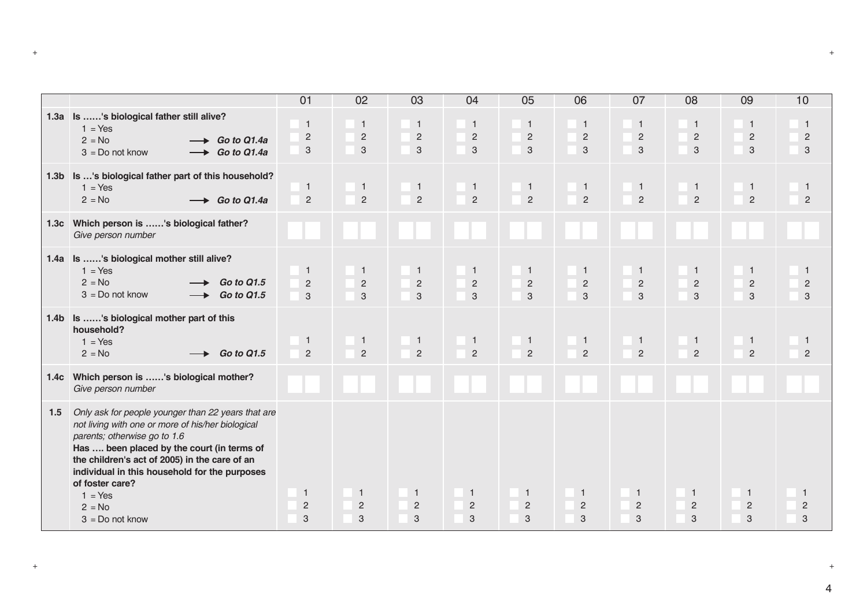|                  |                                                                                                                                                                                                                                                                                                                                                          | 01                                               | 02                                    | 03                                    | 04                                  | 05                                             | 06                                  | 07                                  | 08                                           | 09                                  | 10                                    |
|------------------|----------------------------------------------------------------------------------------------------------------------------------------------------------------------------------------------------------------------------------------------------------------------------------------------------------------------------------------------------------|--------------------------------------------------|---------------------------------------|---------------------------------------|-------------------------------------|------------------------------------------------|-------------------------------------|-------------------------------------|----------------------------------------------|-------------------------------------|---------------------------------------|
|                  | 1.3a Is 's biological father still alive?<br>$1 = Yes$<br>$2 = No$<br>$\rightarrow$ Go to Q1.4a<br>$3 = Do$ not know<br>$\rightarrow$ Go to Q1.4a                                                                                                                                                                                                        | $\overline{1}$<br>$\overline{2}$<br>$\mathbf{3}$ | $\overline{1}$<br>$\sqrt{2}$<br>3     | $\overline{1}$<br>$\sqrt{2}$<br>3     | $\mathbf{1}$<br>$\overline{c}$<br>3 | $\mathbf{1}$<br>$\overline{c}$<br>$\mathbf{3}$ | $\overline{1}$<br>$\sqrt{2}$<br>3   | $\mathbf{1}$<br>$\sqrt{2}$<br>3     | $\mathbf{1}$<br>$\overline{2}$<br>$\sqrt{3}$ | $\mathbf{1}$<br>$\mathbf{2}$<br>3   | $\overline{1}$<br>$\overline{c}$<br>3 |
|                  | 1.3b Is 's biological father part of this household?<br>$1 = Yes$<br>$2 = No$<br>$\rightarrow$ Go to Q1.4a                                                                                                                                                                                                                                               | $\mathbf{1}$<br>$\overline{2}$                   | $\overline{1}$<br>$\overline{2}$      | $\mathbf{1}$<br>$\overline{2}$        | $\mathbf{1}$<br>$\overline{c}$      | $\mathbf{1}$<br>$\overline{2}$                 | $\overline{1}$<br>$\overline{c}$    | $\mathbf{1}$<br>$\overline{2}$      | $\mathbf{1}$<br>$\overline{2}$               | $\mathbf{1}$<br>$\overline{2}$      | $\mathbf{1}$<br>$\overline{2}$        |
| 1.3 <sub>c</sub> | Which person is 's biological father?<br>Give person number                                                                                                                                                                                                                                                                                              |                                                  |                                       |                                       |                                     |                                                |                                     |                                     |                                              |                                     |                                       |
| 1.4a             | Is 's biological mother still alive?<br>$1 = Yes$<br>$2 = No$<br><b>Go to Q1.5</b><br>$3 = Do$ not know<br>Go to Q1.5                                                                                                                                                                                                                                    | $\overline{1}$<br>$\overline{2}$<br>$\mathbf{3}$ | $\overline{1}$<br>$\overline{c}$<br>3 | $\overline{1}$<br>$\overline{2}$<br>3 | $\mathbf{1}$<br>$\overline{c}$<br>3 | $\mathbf{1}$<br>$\overline{2}$<br>$\mathbf{3}$ | $\mathbf{1}$<br>$\overline{c}$<br>3 | $\mathbf{1}$<br>$\overline{c}$<br>3 | $\mathbf{1}$<br>$\sqrt{2}$<br>$\sqrt{3}$     | $\mathbf{1}$<br>$\overline{2}$<br>3 | $\mathbf{1}$<br>$\overline{2}$<br>3   |
|                  | 1.4b Is 's biological mother part of this<br>household?<br>$1 = Yes$<br>$2 = No$<br><b>Go to Q1.5</b>                                                                                                                                                                                                                                                    | $\mathbf{1}$<br>$\overline{2}$                   | $\overline{1}$<br>$\overline{2}$      | $\overline{1}$<br>$\overline{2}$      | $\mathbf{1}$<br>$\overline{2}$      | $\mathbf{1}$<br>$\overline{2}$                 | $\overline{1}$<br>$\overline{2}$    | $\mathbf{1}$<br>$\overline{2}$      | $\mathbf{1}$<br>$\overline{2}$               | $\overline{1}$<br>$\overline{2}$    | $\overline{1}$<br>$\overline{2}$      |
| 1.4 <sub>c</sub> | Which person is 's biological mother?<br>Give person number                                                                                                                                                                                                                                                                                              |                                                  |                                       |                                       |                                     |                                                |                                     |                                     |                                              |                                     |                                       |
| 1.5              | Only ask for people younger than 22 years that are<br>not living with one or more of his/her biological<br>parents; otherwise go to 1.6<br>Has  been placed by the court (in terms of<br>the children's act of 2005) in the care of an<br>individual in this household for the purposes<br>of foster care?<br>$1 = Yes$<br>$2 = No$<br>$3 = Do$ not know | $\mathbf{1}$<br>$\overline{c}$<br>3              | $\overline{1}$<br>$\sqrt{2}$<br>3     | $\overline{1}$<br>$\sqrt{2}$<br>3     | $\mathbf{1}$<br>$\sqrt{2}$<br>3     | $\mathbf{1}$<br>$\sqrt{2}$<br>$\sqrt{3}$       | $\overline{1}$<br>$\sqrt{2}$<br>3   | $\mathbf{1}$<br>$\overline{c}$<br>3 | $\mathbf{1}$<br>$\overline{c}$<br>3          | $\mathbf{1}$<br>$\sqrt{2}$<br>3     | $\overline{1}$<br>$\overline{c}$<br>3 |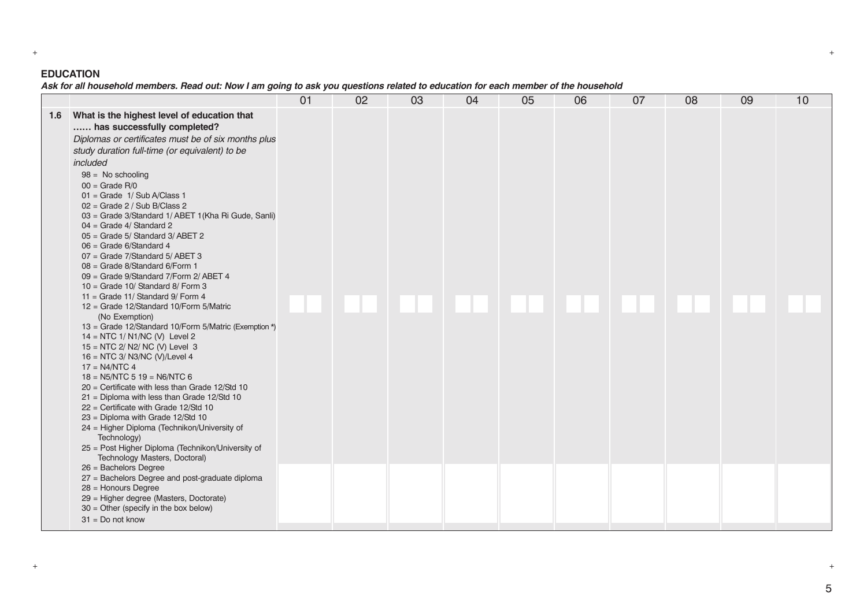# **EDUCATION**

*Ask for all household members. Read out: Now I am going to ask you questions related to education for each member of the household*

|     |                                                                                                                                                                                                                                                                                                                                                                                                                                                                                                                                                                                                                                                                                                                                                                                                                                                                                                                                                                                                                                                                                                                                                                                                                                                                                                 | 01 | 02 | 03 | 04 | 05 | 06 | 07 | 08 | 09 | 10 |
|-----|-------------------------------------------------------------------------------------------------------------------------------------------------------------------------------------------------------------------------------------------------------------------------------------------------------------------------------------------------------------------------------------------------------------------------------------------------------------------------------------------------------------------------------------------------------------------------------------------------------------------------------------------------------------------------------------------------------------------------------------------------------------------------------------------------------------------------------------------------------------------------------------------------------------------------------------------------------------------------------------------------------------------------------------------------------------------------------------------------------------------------------------------------------------------------------------------------------------------------------------------------------------------------------------------------|----|----|----|----|----|----|----|----|----|----|
| 1.6 | What is the highest level of education that<br>has successfully completed?<br>Diplomas or certificates must be of six months plus<br>study duration full-time (or equivalent) to be<br>included<br>$98 = No$ schooling<br>$00 =$ Grade R/0<br>$01 =$ Grade $1/$ Sub A/Class 1<br>$02 =$ Grade 2 / Sub B/Class 2<br>03 = Grade 3/Standard 1/ ABET 1 (Kha Ri Gude, Sanli)<br>$04 =$ Grade 4/ Standard 2<br>$05 =$ Grade 5/ Standard 3/ ABET 2<br>$06 =$ Grade 6/Standard 4<br>07 = Grade 7/Standard 5/ABET 3<br>08 = Grade 8/Standard 6/Form 1<br>09 = Grade 9/Standard 7/Form 2/ ABET 4<br>$10 =$ Grade 10/ Standard 8/ Form 3<br>11 = Grade 11/ Standard $9/$ Form 4<br>12 = Grade 12/Standard 10/Form 5/Matric<br>(No Exemption)<br>13 = Grade 12/Standard 10/Form 5/Matric (Exemption *)<br>$14 = NTC$ 1/ N1/NC (V) Level 2<br>15 = NTC 2/ N2/ NC (V) Level 3<br>16 = NTC 3/ N3/NC (V)/Level 4<br>$17 = N4/NTC$ 4<br>$18 =$ N5/NTC 5 19 = N6/NTC 6<br>$20$ = Certificate with less than Grade 12/Std 10<br>$21$ = Diploma with less than Grade 12/Std 10<br>$22$ = Certificate with Grade 12/Std 10<br>23 = Diploma with Grade 12/Std 10<br>24 = Higher Diploma (Technikon/University of<br>Technology)<br>25 = Post Higher Diploma (Technikon/University of<br>Technology Masters, Doctoral) |    |    |    |    |    |    |    |    |    |    |
|     | $26 =$ Bachelors Degree<br>27 = Bachelors Degree and post-graduate diploma<br>28 = Honours Degree<br>29 = Higher degree (Masters, Doctorate)<br>$30 =$ Other (specify in the box below)<br>$31 = Do$ not know                                                                                                                                                                                                                                                                                                                                                                                                                                                                                                                                                                                                                                                                                                                                                                                                                                                                                                                                                                                                                                                                                   |    |    |    |    |    |    |    |    |    |    |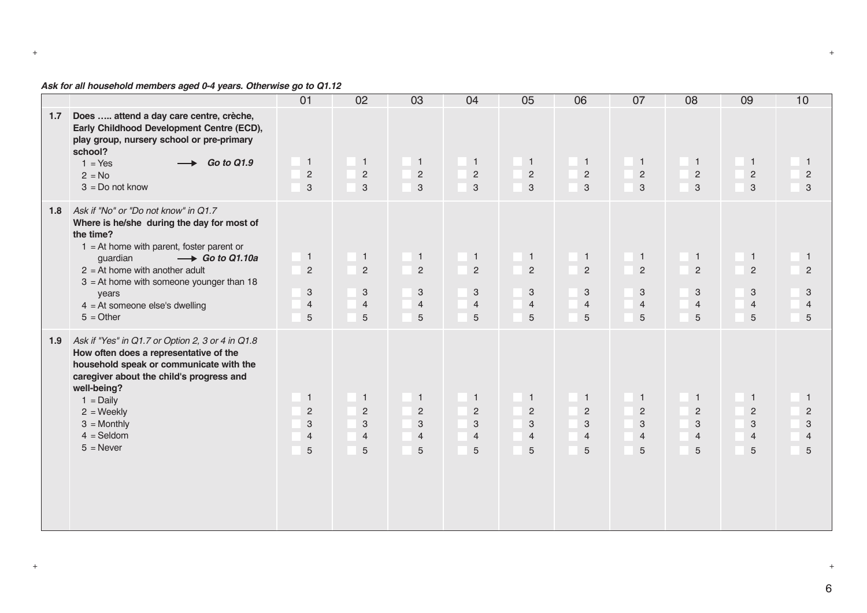# *Ask for all household members aged 0-4 years. Otherwise go to Q1.12*

|     |                                                                                                                                                                                                                                                                                                                                            | 01                                                                               | 02                                                                                                | 03                                                                                 | 04                                                                                 | 05                                                                                                | 06                                                                                   | 07                                                         | 08                                                         | 09                                                         | 10                                                                               |
|-----|--------------------------------------------------------------------------------------------------------------------------------------------------------------------------------------------------------------------------------------------------------------------------------------------------------------------------------------------|----------------------------------------------------------------------------------|---------------------------------------------------------------------------------------------------|------------------------------------------------------------------------------------|------------------------------------------------------------------------------------|---------------------------------------------------------------------------------------------------|--------------------------------------------------------------------------------------|------------------------------------------------------------|------------------------------------------------------------|------------------------------------------------------------|----------------------------------------------------------------------------------|
| 1.7 | Does  attend a day care centre, crèche,<br>Early Childhood Development Centre (ECD),<br>play group, nursery school or pre-primary<br>school?<br>$1 = Yes$<br><b>Go to Q1.9</b><br>$2 = No$<br>$3 = Do$ not know                                                                                                                            | $\mathbf{1}$<br>$\overline{c}$<br>$\mathbf{3}$                                   | $\blacksquare$<br>$\overline{2}$<br>$\mathbf{3}$                                                  | $\blacksquare$<br>$\overline{2}$<br>$\mathbf{3}$                                   | $\overline{1}$<br>$\overline{2}$<br>$\overline{3}$                                 | $\overline{1}$<br>$\sqrt{2}$<br>$\mathbf{3}$                                                      | $\blacksquare$<br>$\overline{2}$<br>$\mathbf{3}$                                     | $\overline{1}$<br>$\overline{2}$<br>3                      | $\mathbf{1}$<br>$\overline{2}$<br>$\mathbf{3}$             | $\overline{1}$<br>$\overline{2}$<br>3                      | $\overline{1}$<br>$\overline{c}$<br>$\mathbf{3}$                                 |
|     | 1.8 Ask if "No" or "Do not know" in Q1.7<br>Where is he/she during the day for most of<br>the time?<br>$1 = At$ home with parent, foster parent or<br>guardian<br>$\rightarrow$ Go to Q1.10a<br>$2 = At$ home with another adult<br>$3 = At$ home with someone younger than 18<br>years<br>$4 = At$ someone else's dwelling<br>$5 = Other$ | $\mathbf{1}$<br>$\overline{2}$<br>$\sqrt{3}$<br>$\overline{4}$<br>$\overline{5}$ | $\overline{1}$<br>$\overline{c}$<br>$\ensuremath{\mathsf{3}}$<br>$\overline{4}$<br>$\overline{5}$ | $\mathbf{1}$<br>$\overline{2}$<br>$\ensuremath{\mathsf{3}}$<br>$\overline{4}$<br>5 | $\mathbf{1}$<br>$\overline{2}$<br>$\ensuremath{\mathsf{3}}$<br>$\overline{4}$<br>5 | $\mathbf{1}$<br>$\overline{2}$<br>$\sqrt{3}$<br>$\overline{4}$<br>5                               | $\overline{1}$<br>$\overline{2}$<br>$\ensuremath{\mathsf{3}}$<br>$\overline{4}$<br>5 | $\mathbf{1}$<br>$\overline{2}$<br>3<br>$\overline{4}$<br>5 | $\mathbf{1}$<br>$\overline{c}$<br>3<br>$\overline{4}$<br>5 | $\mathbf{1}$<br>$\overline{c}$<br>3<br>$\overline{4}$<br>5 | $\overline{1}$<br>$\overline{2}$<br>3<br>$\overline{4}$<br>5                     |
| 1.9 | Ask if "Yes" in Q1.7 or Option 2, 3 or 4 in Q1.8<br>How often does a representative of the<br>household speak or communicate with the<br>caregiver about the child's progress and<br>well-being?<br>$1 = Daily$<br>$2 = \text{Weekly}$<br>$3 =$ Monthly<br>$4 =$ Seldom<br>$5 =$ Never                                                     | $\overline{1}$<br>2<br>3<br>$\overline{4}$<br>5                                  | $\mathbf{1}$<br>$\overline{c}$<br>3<br>$\overline{4}$<br>5                                        | $\overline{1}$<br>$\overline{2}$<br>3<br>$\overline{4}$<br>5                       | $\mathbf{1}$<br>$\overline{c}$<br>3<br>$\overline{4}$<br>5                         | $\overline{1}$<br>$\overline{2}$<br>$\ensuremath{\mathsf{3}}$<br>$\overline{4}$<br>$\overline{5}$ | $\overline{1}$<br>$\overline{2}$<br>3<br>$\overline{4}$<br>5                         | $\mathbf{1}$<br>$\overline{2}$<br>3<br>$\overline{4}$<br>5 | $\mathbf{1}$<br>$\overline{2}$<br>3<br>$\overline{4}$<br>5 | $\mathbf{1}$<br>2<br>3<br>$\overline{4}$<br>5              | $\overline{1}$<br>$\sqrt{2}$<br>$\ensuremath{\mathsf{3}}$<br>$\overline{4}$<br>5 |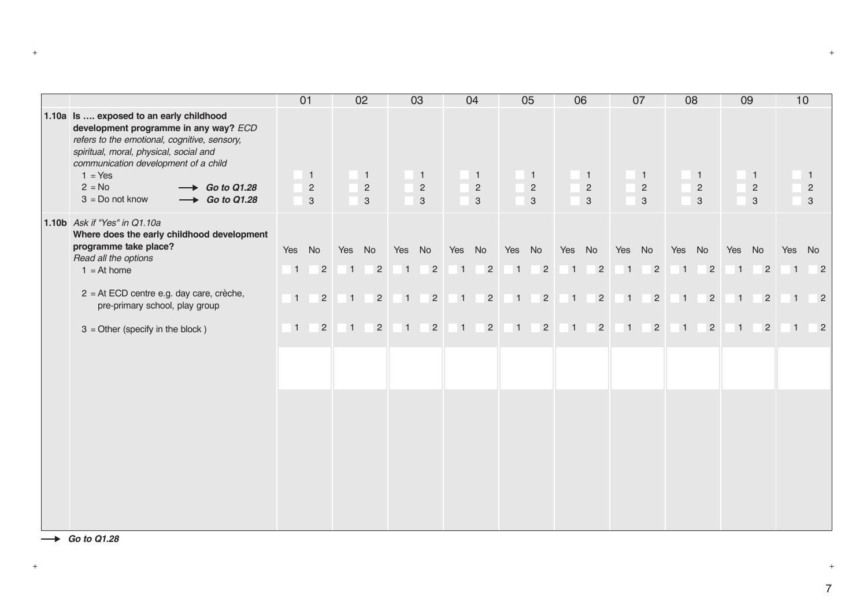|                                                                                                                                                                                                                                                                                                                                | 01    |                                       |                | 02                                             |       | 03                                                          |        | 04                                  |        | 05                                               |       | 06                                    |                | 07                                           |                | 08                                         |        | 09                                         | 10             |                            |
|--------------------------------------------------------------------------------------------------------------------------------------------------------------------------------------------------------------------------------------------------------------------------------------------------------------------------------|-------|---------------------------------------|----------------|------------------------------------------------|-------|-------------------------------------------------------------|--------|-------------------------------------|--------|--------------------------------------------------|-------|---------------------------------------|----------------|----------------------------------------------|----------------|--------------------------------------------|--------|--------------------------------------------|----------------|----------------------------|
| 1.10a Is  exposed to an early childhood<br>development programme in any way? ECD<br>refers to the emotional, cognitive, sensory,<br>spiritual, moral, physical, social and<br>communication development of a child<br>$1 = Yes$<br>$2 = No$<br>$\longrightarrow$ Go to Q1.28<br>$3 = Do$ not know<br>$\rightarrow$ Go to Q1.28 |       | $\overline{1}$<br>$\overline{2}$<br>3 |                | $\mathbf{1}$<br>$\overline{2}$<br>$\mathbf{3}$ |       | $\mathbf{1}$<br>$\overline{c}$<br>$\ensuremath{\mathsf{3}}$ |        | $\mathbf{1}$<br>$\overline{2}$<br>3 |        | $\overline{1}$<br>$\overline{c}$<br>$\mathbf{3}$ |       | $\overline{1}$<br>$\overline{2}$<br>3 |                | $\mathbf{1}$<br>$\overline{2}$<br>$\sqrt{3}$ |                | $\overline{1}$<br>$\sqrt{2}$<br>$\sqrt{3}$ |        | $\overline{1}$<br>$\sqrt{2}$<br>$\sqrt{3}$ |                | 2<br>3                     |
| 1.10b Ask if "Yes" in Q1.10a<br>Where does the early childhood development                                                                                                                                                                                                                                                     |       |                                       |                |                                                |       |                                                             |        |                                     |        |                                                  |       |                                       |                |                                              |                |                                            |        |                                            |                |                            |
| programme take place?<br>Read all the options                                                                                                                                                                                                                                                                                  | Yes   | No                                    | Yes No         |                                                |       | Yes No                                                      | Yes No |                                     | Yes No |                                                  |       | Yes No                                | Yes No         |                                              | Yes No         |                                            | Yes No |                                            | Yes            | No                         |
| $1 = At home$                                                                                                                                                                                                                                                                                                                  | $1 -$ | $\overline{2}$                        | $\vert$ 1      | $\overline{2}$                                 |       | $\overline{2}$<br>1                                         |        | $1 \quad 2$                         | $1 -$  | $\overline{2}$                                   |       | $1 \quad 2$                           | $\overline{1}$ | $\overline{2}$                               | $\overline{1}$ | $\overline{\phantom{0}}$ 2                 |        | $1 \quad 2$                                | $\overline{1}$ | $\overline{2}$             |
| 2 = At ECD centre e.g. day care, crèche,<br>pre-primary school, play group                                                                                                                                                                                                                                                     | $1 -$ | $\overline{2}$                        | $1 -$          | $\overline{2}$                                 | $1 -$ | $\overline{2}$                                              |        | $1 \quad 2$                         |        | $1 \t2$                                          | $1 -$ | $\vert$ 2                             | $1 -$          | $\overline{2}$                               |                | $1 \quad 2$                                |        | $1 \quad 2$                                | $\overline{1}$ | $\overline{\phantom{0}}$ 2 |
| $3 =$ Other (specify in the block)                                                                                                                                                                                                                                                                                             | $1 -$ | $\overline{2}$                        | $\overline{1}$ | $\overline{c}$                                 | $1 -$ | $\overline{2}$                                              | $1 -$  | $\overline{2}$                      | $1 -$  | $\overline{2}$                                   | $1 -$ | $\overline{2}$                        | $\overline{1}$ | $\overline{2}$                               | $1 -$          | $\overline{2}$                             | $1 -$  | $\overline{2}$                             | $\overline{1}$ | $\overline{\phantom{0}}$ 2 |
|                                                                                                                                                                                                                                                                                                                                |       |                                       |                |                                                |       |                                                             |        |                                     |        |                                                  |       |                                       |                |                                              |                |                                            |        |                                            |                |                            |
|                                                                                                                                                                                                                                                                                                                                |       |                                       |                |                                                |       |                                                             |        |                                     |        |                                                  |       |                                       |                |                                              |                |                                            |        |                                            |                |                            |
|                                                                                                                                                                                                                                                                                                                                |       |                                       |                |                                                |       |                                                             |        |                                     |        |                                                  |       |                                       |                |                                              |                |                                            |        |                                            |                |                            |
|                                                                                                                                                                                                                                                                                                                                |       |                                       |                |                                                |       |                                                             |        |                                     |        |                                                  |       |                                       |                |                                              |                |                                            |        |                                            |                |                            |
|                                                                                                                                                                                                                                                                                                                                |       |                                       |                |                                                |       |                                                             |        |                                     |        |                                                  |       |                                       |                |                                              |                |                                            |        |                                            |                |                            |
|                                                                                                                                                                                                                                                                                                                                |       |                                       |                |                                                |       |                                                             |        |                                     |        |                                                  |       |                                       |                |                                              |                |                                            |        |                                            |                |                            |
|                                                                                                                                                                                                                                                                                                                                |       |                                       |                |                                                |       |                                                             |        |                                     |        |                                                  |       |                                       |                |                                              |                |                                            |        |                                            |                |                            |

*Go to Q1.28*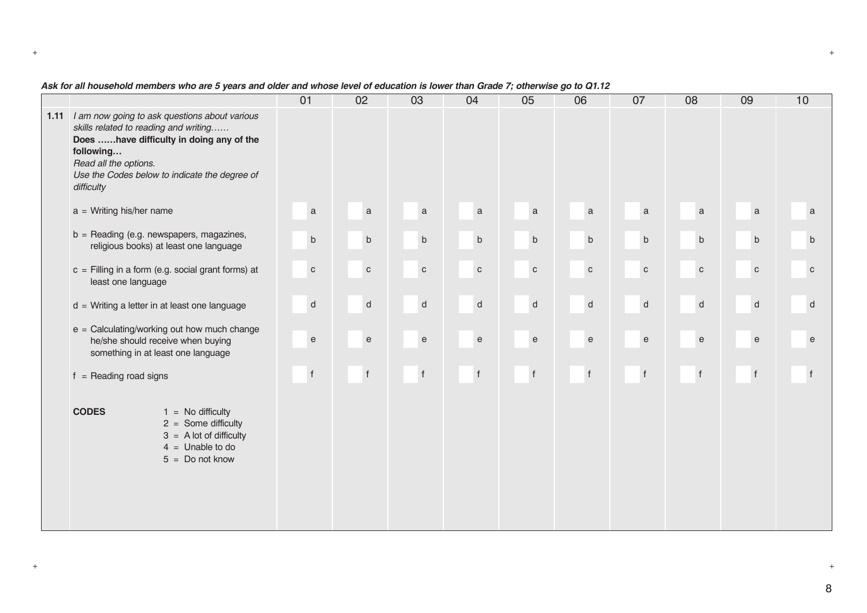|                                                                                                                                                                                                                                              | 01                                         | 02                                         | 03                                         | 04                                         | 05                                         | 06                                             | 07                                         | 08                                         | 09                                         | 10                                         |
|----------------------------------------------------------------------------------------------------------------------------------------------------------------------------------------------------------------------------------------------|--------------------------------------------|--------------------------------------------|--------------------------------------------|--------------------------------------------|--------------------------------------------|------------------------------------------------|--------------------------------------------|--------------------------------------------|--------------------------------------------|--------------------------------------------|
| 1.11 / am now going to ask questions about various<br>skills related to reading and writing<br>Does have difficulty in doing any of the<br>following<br>Read all the options.<br>Use the Codes below to indicate the degree of<br>difficulty |                                            |                                            |                                            |                                            |                                            |                                                |                                            |                                            |                                            |                                            |
| $a = Writing his/her name$                                                                                                                                                                                                                   | $\mathbf a$                                | $\mathsf a$                                | $\mathsf a$                                | $\mathsf a$                                | $\mathsf a$                                | a                                              | $\mathsf a$                                | a                                          | $\mathbf{a}$                               | $\mathbf a$                                |
| $b =$ Reading (e.g. newspapers, magazines,<br>religious books) at least one language                                                                                                                                                         | $\mathsf b$                                | $\mathsf b$                                | $\sf b$                                    | $\sf b$                                    | $\sf b$                                    | $\sf b$                                        | $\mathsf b$                                | $\sf b$                                    | $\sf b$                                    | $\mathsf b$                                |
| $c =$ Filling in a form (e.g. social grant forms) at<br>least one language                                                                                                                                                                   | $\mathbf{C}$                               | $\mathtt{C}$                               | ${\bf c}$                                  | ${\bf c}$                                  | $\mathtt{C}$                               | $\mathbf{C}$                                   | $\mathtt{C}$                               | $\mathbf{C}$                               | $\mathtt{C}$                               | ${\bf c}$                                  |
| d = Writing a letter in at least one language                                                                                                                                                                                                | $\mathsf{d}$                               | ${\sf d}$                                  | $\sf d$                                    | $\sf d$                                    | ${\sf d}$                                  | ${\sf d}$                                      | ${\sf d}$                                  | ${\sf d}$                                  | ${\sf d}$                                  | ${\sf d}$                                  |
| $e =$ Calculating/working out how much change<br>he/she should receive when buying<br>something in at least one language                                                                                                                     | $\mathsf{e}% _{0}\left( \mathsf{e}\right)$ | $\mathsf{e}% _{0}\left( \mathsf{e}\right)$ | $\mathsf{e}% _{0}\left( \mathsf{e}\right)$ | $\mathsf{e}% _{0}\left( \mathsf{e}\right)$ | $\mathsf{e}% _{0}\left( \mathsf{e}\right)$ | $\mathbf{e}% _{t}\left( \mathbf{1}_{t}\right)$ | $\mathsf{e}% _{0}\left( \mathsf{e}\right)$ | $\mathsf{e}% _{0}\left( \mathsf{e}\right)$ | $\mathsf{e}% _{t}\left( \mathsf{e}\right)$ | $\mathsf{e}% _{t}\left( \mathsf{e}\right)$ |
| $f =$ Reading road signs                                                                                                                                                                                                                     | $^\mathrm{f}$                              | $\mathsf{f}$                               | f                                          | $\mathsf f$                                | $\mathsf f$                                | f                                              | $^\mathrm{f}$                              | $^\mathsf{f}$                              | $\mathsf f$                                | f                                          |
| <b>CODES</b><br>$1 = No$ difficulty<br>$2 =$ Some difficulty<br>$3 = A$ lot of difficulty<br>$4 =$ Unable to do<br>$5 = Do$ not know                                                                                                         |                                            |                                            |                                            |                                            |                                            |                                                |                                            |                                            |                                            |                                            |

# *Ask for all household members who are 5 years and older and whose level of education is lower than Grade 7; otherwise go to Q1.12*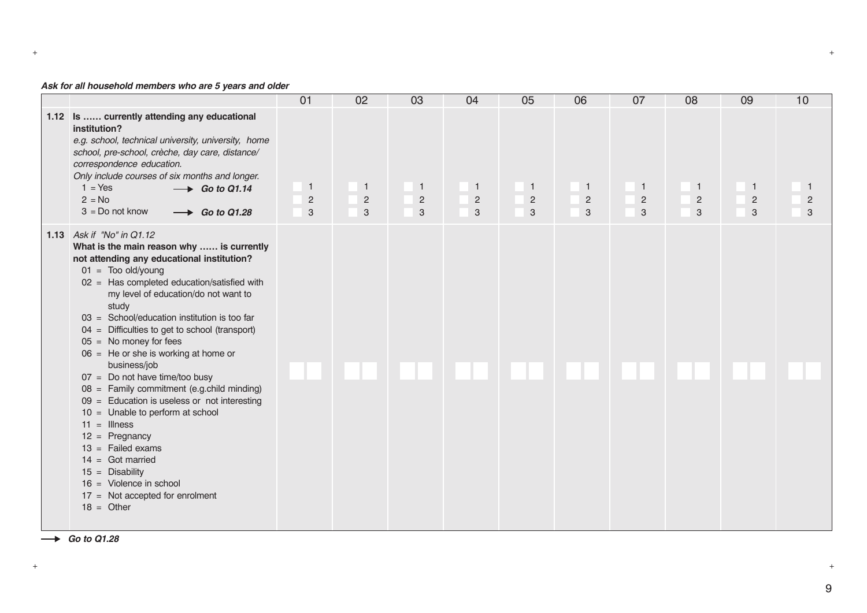# *Ask for all household members who are 5 years and older*

|                                                                                                                                                                                                                                                                                                                                                                                                                                                                                                                                                                                                                                                                                                                                                                                                              | 01                                  | 02                                  | 03                                  | 04                                    | 05                                    | 06                                  | 07                                           | 08                                    | 09                                  | 10                        |
|--------------------------------------------------------------------------------------------------------------------------------------------------------------------------------------------------------------------------------------------------------------------------------------------------------------------------------------------------------------------------------------------------------------------------------------------------------------------------------------------------------------------------------------------------------------------------------------------------------------------------------------------------------------------------------------------------------------------------------------------------------------------------------------------------------------|-------------------------------------|-------------------------------------|-------------------------------------|---------------------------------------|---------------------------------------|-------------------------------------|----------------------------------------------|---------------------------------------|-------------------------------------|---------------------------|
| 1.12 Is  currently attending any educational<br>institution?<br>e.g. school, technical university, university, home<br>school, pre-school, crèche, day care, distance/<br>correspondence education.<br>Only include courses of six months and longer.<br>$1 = Yes$<br>$\rightarrow$ Go to Q1.14<br>$2 = No$<br>$3 = Do$ not know<br>$\rightarrow$ Go to Q1.28                                                                                                                                                                                                                                                                                                                                                                                                                                                | $\mathbf{1}$<br>$\overline{2}$<br>3 | $\mathbf{1}$<br>$\overline{2}$<br>3 | $\mathbf{1}$<br>$\overline{c}$<br>3 | $\overline{1}$<br>$\overline{2}$<br>3 | $\overline{1}$<br>$\overline{c}$<br>3 | $\mathbf{1}$<br>$\overline{c}$<br>3 | $\mathbf{1}$<br>$\overline{c}$<br>$\sqrt{3}$ | $\overline{1}$<br>$\overline{2}$<br>3 | $\mathbf{1}$<br>$\overline{c}$<br>3 | -1<br>$\overline{2}$<br>3 |
| 1.13 Ask if "No" in Q1.12<br>What is the main reason why  is currently<br>not attending any educational institution?<br>$01 =$ Too old/young<br>$02 =$ Has completed education/satisfied with<br>my level of education/do not want to<br>study<br>03 = School/education institution is too far<br>$04 =$ Difficulties to get to school (transport)<br>$05 =$ No money for fees<br>$06 =$ He or she is working at home or<br>business/job<br>$07 = Do$ not have time/too busy<br>08 = Family commitment (e.g.child minding)<br>$09 =$ Education is useless or not interesting<br>$10 =$ Unable to perform at school<br>$11 =$ Illness<br>$12 =$ Pregnancy<br>$13 =$ Failed exams<br>$14 =$ Got married<br>$15 =$ Disability<br>$16 =$ Violence in school<br>$17 =$ Not accepted for enrolment<br>$18 =$ Other |                                     |                                     |                                     |                                       |                                       |                                     |                                              |                                       |                                     |                           |

+ +

 $\rightarrow$  *Go to Q1.28*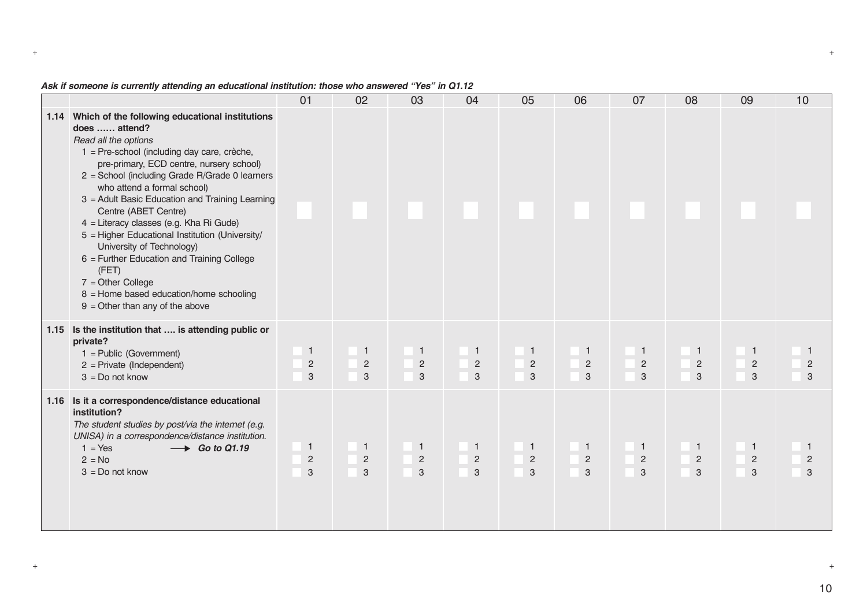| Ask if someone is currently attending an educational institution: those who answered "Yes" in Q1.12 |  |
|-----------------------------------------------------------------------------------------------------|--|
|-----------------------------------------------------------------------------------------------------|--|

|      |                                                                                                                                                                                                                                                                                                                                                                                                                                                                                                                                                                                                                                               | 01                                    | 02                                    | 03                                  | 04                                             | 05                                    | 06                                    | 07                                  | 08                                         | 09                                  | 10 |
|------|-----------------------------------------------------------------------------------------------------------------------------------------------------------------------------------------------------------------------------------------------------------------------------------------------------------------------------------------------------------------------------------------------------------------------------------------------------------------------------------------------------------------------------------------------------------------------------------------------------------------------------------------------|---------------------------------------|---------------------------------------|-------------------------------------|------------------------------------------------|---------------------------------------|---------------------------------------|-------------------------------------|--------------------------------------------|-------------------------------------|----|
|      | 1.14 Which of the following educational institutions<br>does  attend?<br>Read all the options<br>1 = Pre-school (including day care, crèche,<br>pre-primary, ECD centre, nursery school)<br>2 = School (including Grade R/Grade 0 learners<br>who attend a formal school)<br>3 = Adult Basic Education and Training Learning<br>Centre (ABET Centre)<br>4 = Literacy classes (e.g. Kha Ri Gude)<br>5 = Higher Educational Institution (University/<br>University of Technology)<br>6 = Further Education and Training College<br>(FET)<br>$7 = Other College$<br>8 = Home based education/home schooling<br>$9 =$ Other than any of the above |                                       |                                       |                                     |                                                |                                       |                                       |                                     |                                            |                                     |    |
|      | 1.15 Is the institution that  is attending public or<br>private?<br>$1 =$ Public (Government)<br>$2$ = Private (Independent)<br>$3 = Do$ not know                                                                                                                                                                                                                                                                                                                                                                                                                                                                                             | $\overline{1}$<br>$\overline{2}$<br>3 | $\overline{1}$<br>$\sqrt{2}$<br>3     | $\mathbf{1}$<br>$\overline{2}$<br>3 | $\mathbf{1}$<br>$\sqrt{2}$<br>3                | $\overline{1}$<br>$\overline{c}$<br>3 | $\overline{1}$<br>$\overline{c}$<br>3 | $\mathbf{1}$<br>$\overline{c}$<br>3 | $\mathbf{1}$<br>$\sqrt{2}$<br>$\mathbf{3}$ | $\overline{1}$<br>$\sqrt{2}$<br>3   | 3  |
| 1.16 | Is it a correspondence/distance educational<br>institution?<br>The student studies by post/via the internet (e.g.<br>UNISA) in a correspondence/distance institution.<br>$1 = Yes$<br>$\rightarrow$ Go to Q1.19<br>$2 = No$<br>$3 = Do$ not know                                                                                                                                                                                                                                                                                                                                                                                              | $\overline{1}$<br>$\overline{2}$<br>3 | $\overline{1}$<br>$\overline{2}$<br>3 | $\mathbf{1}$<br>$\overline{2}$<br>3 | $\mathbf{1}$<br>$\overline{c}$<br>$\mathbf{3}$ | $\overline{1}$<br>$\overline{2}$<br>3 | $\overline{1}$<br>$\sqrt{2}$<br>3     | $\mathbf{1}$<br>$\overline{2}$<br>3 | $\mathbf{1}$<br>$\overline{2}$<br>3        | $\mathbf{1}$<br>$\overline{2}$<br>3 | 3  |

10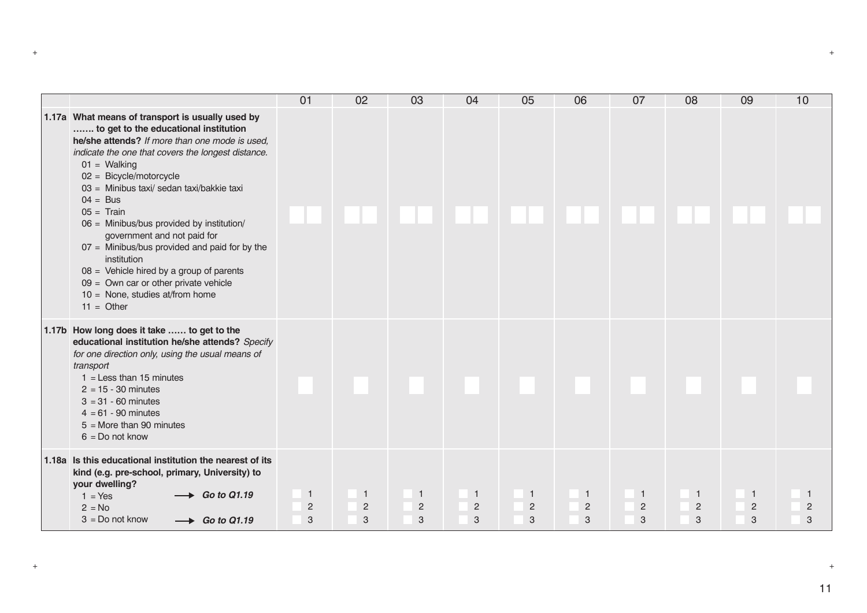|                                                                                                                                                                                                                                                                                                                                                                                                                                                                                                                       | 01                                    | 02                                    | 03                                  | 04                                    | 05                                    | 06                                  | 07                                  | 08                                  | 09                                    | 10                  |
|-----------------------------------------------------------------------------------------------------------------------------------------------------------------------------------------------------------------------------------------------------------------------------------------------------------------------------------------------------------------------------------------------------------------------------------------------------------------------------------------------------------------------|---------------------------------------|---------------------------------------|-------------------------------------|---------------------------------------|---------------------------------------|-------------------------------------|-------------------------------------|-------------------------------------|---------------------------------------|---------------------|
| 1.17a What means of transport is usually used by<br>to get to the educational institution<br>he/she attends? If more than one mode is used,<br>indicate the one that covers the longest distance.<br>$01 =$ Walking<br>02 = Bicycle/motorcycle<br>03 = Minibus taxi/ sedan taxi/bakkie taxi<br>$04 = Bus$<br>$05 =$ Train<br>06 = Minibus/bus provided by institution/<br>government and not paid for<br>$07 =$ Minibus/bus provided and paid for by the<br>institution<br>$08 =$ Vehicle hired by a group of parents |                                       |                                       |                                     |                                       |                                       |                                     |                                     |                                     |                                       |                     |
| $09 =$ Own car or other private vehicle<br>$10 =$ None, studies at/from home<br>$11 =$ Other                                                                                                                                                                                                                                                                                                                                                                                                                          |                                       |                                       |                                     |                                       |                                       |                                     |                                     |                                     |                                       |                     |
| 1.17b How long does it take  to get to the<br>educational institution he/she attends? Specify<br>for one direction only, using the usual means of<br>transport<br>$1 =$ Less than 15 minutes<br>$2 = 15 - 30$ minutes<br>$3 = 31 - 60$ minutes<br>$4 = 61 - 90$ minutes<br>$5 =$ More than 90 minutes<br>$6 = Do$ not know                                                                                                                                                                                            |                                       |                                       |                                     |                                       |                                       |                                     |                                     |                                     |                                       |                     |
| 1.18a Is this educational institution the nearest of its<br>kind (e.g. pre-school, primary, University) to<br>your dwelling?<br>$\rightarrow$ Go to Q1.19<br>$1 = Yes$<br>$2 = No$<br>$3 = Do$ not know<br>$\rightarrow$ Go to Q1.19                                                                                                                                                                                                                                                                                  | $\overline{1}$<br>$\overline{2}$<br>3 | $\overline{1}$<br>$\overline{c}$<br>3 | $\mathbf{1}$<br>$\overline{c}$<br>3 | $\overline{1}$<br>$\overline{2}$<br>3 | $\overline{1}$<br>$\overline{2}$<br>3 | $\mathbf{1}$<br>$\overline{c}$<br>3 | $\mathbf{1}$<br>$\overline{2}$<br>3 | $\mathbf{1}$<br>$\overline{2}$<br>3 | $\overline{1}$<br>$\overline{2}$<br>3 | $\overline{c}$<br>3 |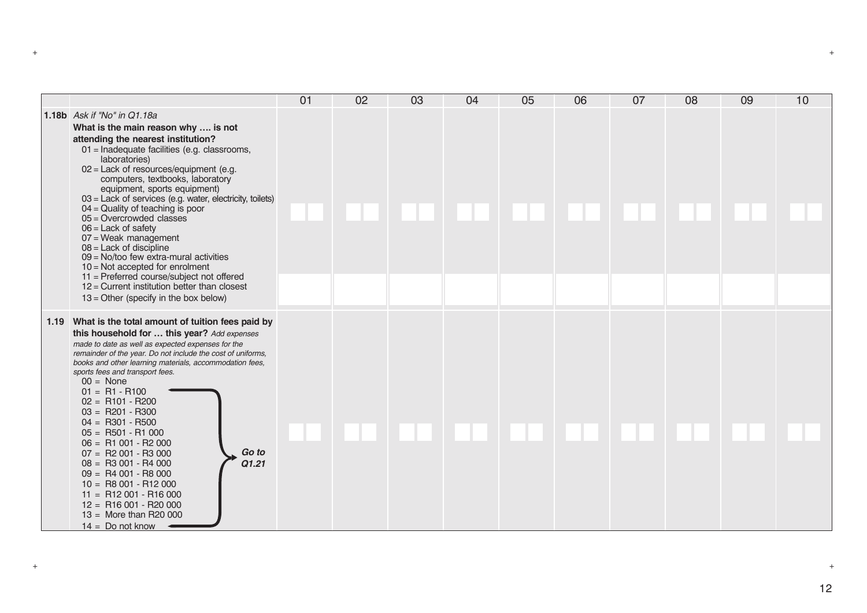|                                                                                                                                                                                                                                                                                                                                                                                                                                                                                                                                                                                                                                                                                                                                      | 01 | 02 | 03 | 04 | 05 | 06 | 07 | 08 | 09 | 10 |
|--------------------------------------------------------------------------------------------------------------------------------------------------------------------------------------------------------------------------------------------------------------------------------------------------------------------------------------------------------------------------------------------------------------------------------------------------------------------------------------------------------------------------------------------------------------------------------------------------------------------------------------------------------------------------------------------------------------------------------------|----|----|----|----|----|----|----|----|----|----|
| 1.18b Ask if "No" in Q1.18a<br>What is the main reason why  is not<br>attending the nearest institution?<br>01 = Inadequate facilities (e.g. classrooms,<br>laboratories)<br>$02$ = Lack of resources/equipment (e.g.<br>computers, textbooks, laboratory<br>equipment, sports equipment)<br>$03$ = Lack of services (e.g. water, electricity, toilets)<br>$04 =$ Quality of teaching is poor<br>$05 =$ Overcrowded classes<br>$06$ = Lack of safety<br>07 = Weak management<br>$08 =$ Lack of discipline<br>$09 =$ No/too few extra-mural activities<br>$10 = Not accepted for enrolment$<br>11 = Preferred course/subject not offered<br>$12$ = Current institution better than closest<br>$13 =$ Other (specify in the box below) |    |    |    |    |    |    |    |    |    |    |
| 1.19 What is the total amount of tuition fees paid by<br>this household for  this year? Add expenses<br>made to date as well as expected expenses for the<br>remainder of the year. Do not include the cost of uniforms,<br>books and other learning materials, accommodation fees,<br>sports fees and transport fees.<br>$00 = \text{None}$<br>$01 = R1 - R100$<br>$02 = R101 - R200$<br>$03 = R201 - R300$<br>$04 = R301 - R500$<br>$05 = R501 - R1000$<br>$06 = R1 001 - R2 000$<br>Go to<br>$07 = R2 001 - R3 000$<br>Q1.21<br>$08 = R3 001 - R4 000$<br>$09 = R4 001 - R8 000$<br>$10 = R8001 - R12000$<br>$11 = R12001 - R16000$<br>$12 = R16001 - R20000$<br>$13 =$ More than R20 000<br>$14 = Do$ not know                   |    |    |    |    |    |    |    |    |    |    |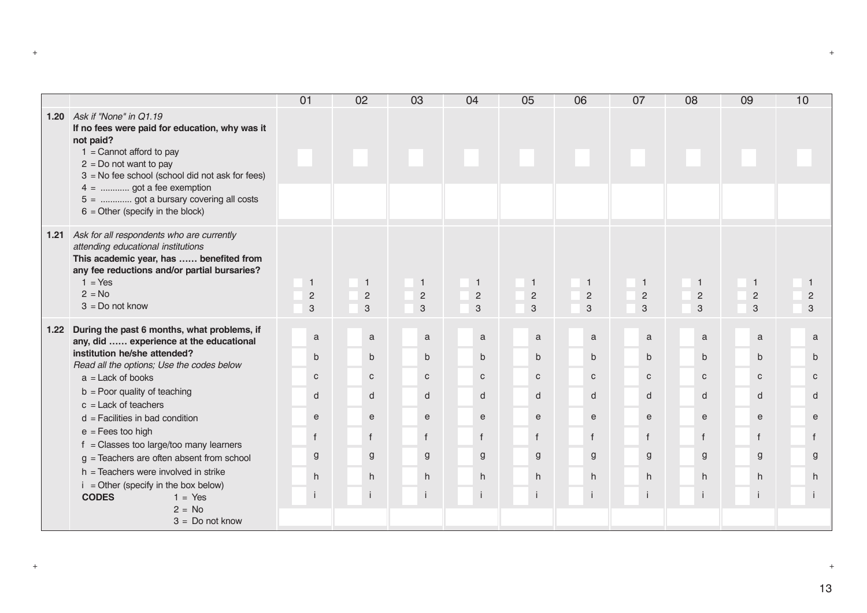|      |                                                                                                                                                                                                                                                                                                                                                                                                                                                                                                                                           | 01                                                          | 02                                                                                    | 03                                                                                              | 04                                                                                | 05                                                                         | 06                                                                                    | 07                                                                                              | 08                                                                                    | 09                                                                          | 10                                                                                    |
|------|-------------------------------------------------------------------------------------------------------------------------------------------------------------------------------------------------------------------------------------------------------------------------------------------------------------------------------------------------------------------------------------------------------------------------------------------------------------------------------------------------------------------------------------------|-------------------------------------------------------------|---------------------------------------------------------------------------------------|-------------------------------------------------------------------------------------------------|-----------------------------------------------------------------------------------|----------------------------------------------------------------------------|---------------------------------------------------------------------------------------|-------------------------------------------------------------------------------------------------|---------------------------------------------------------------------------------------|-----------------------------------------------------------------------------|---------------------------------------------------------------------------------------|
|      | 1.20 Ask if "None" in Q1.19<br>If no fees were paid for education, why was it<br>not paid?<br>$1 =$ Cannot afford to pay<br>$2 = Do$ not want to pay<br>$3 = No$ fee school (school did not ask for fees)<br>$4 =$ got a fee exemption<br>5 =  got a bursary covering all costs<br>$6 =$ Other (specify in the block)                                                                                                                                                                                                                     |                                                             |                                                                                       |                                                                                                 |                                                                                   |                                                                            |                                                                                       |                                                                                                 |                                                                                       |                                                                             |                                                                                       |
| 1.21 | Ask for all respondents who are currently<br>attending educational institutions<br>This academic year, has  benefited from<br>any fee reductions and/or partial bursaries?<br>$1 = Yes$<br>$2 = No$<br>$3 = Do$ not know                                                                                                                                                                                                                                                                                                                  | $\mathbf{1}$<br>$\sqrt{2}$<br>3                             | 1<br>$\sqrt{2}$<br>$\sqrt{3}$                                                         | $\mathbf{1}$<br>$\overline{c}$<br>3                                                             | $\mathbf{1}$<br>$\sqrt{2}$<br>3                                                   | $\mathbf{1}$<br>$\sqrt{2}$<br>3                                            | $\mathbf{1}$<br>$\overline{2}$<br>3                                                   | $\mathbf{1}$<br>$\overline{c}$<br>3                                                             | $\mathbf{1}$<br>$\overline{2}$<br>3                                                   | $\mathbf{1}$<br>$\overline{2}$<br>3                                         | $\mathbf{1}$<br>$\overline{c}$<br>3                                                   |
| 1.22 | During the past 6 months, what problems, if<br>any, did  experience at the educational<br>institution he/she attended?<br>Read all the options; Use the codes below<br>$a =$ Lack of books<br>$b =$ Poor quality of teaching<br>$c =$ Lack of teachers<br>$d =$ Facilities in bad condition<br>$e = Fees$ too high<br>$f =$ Classes too large/too many learners<br>$g =$ Teachers are often absent from school<br>h = Teachers were involved in strike<br>$i =$ Other (specify in the box below)<br><b>CODES</b><br>$1 = Yes$<br>$2 = No$ | a<br>b<br>$\mathbf{C}$<br>d<br>e<br>$\mathbf{f}$<br>g<br>h. | a<br>$\mathsf b$<br>$\mathbf{C}$<br>d<br>$\mathbf{e}$<br>$\mathsf{f}$<br>g<br>h<br>j. | a<br>$\mathsf b$<br>$\mathtt{C}$<br>d<br>$\mathsf{e}$<br>$\mathsf{f}$<br>g<br>h<br>$\mathbf{I}$ | a<br>$\mathsf{b}$<br>$\mathbf{C}$<br>d<br>$\mathsf{e}$<br>$\mathbf{f}$<br>g<br>h. | a<br>$\mathsf{b}$<br>C<br>d<br>$\mathsf{e}$<br>$\mathsf{f}$<br>g<br>h<br>Ť | $\mathbf a$<br>b<br>$\mathbf{C}$<br>d<br>$\mathsf{e}$<br>$\mathsf{f}$<br>g<br>h<br>j. | a<br>$\mathbf b$<br>$\mathbf{C}$<br>d<br>$\mathsf{e}$<br>$\mathsf{f}$<br>$\mathbf{g}$<br>h<br>Ť | a<br>$\mathsf{b}$<br>$\mathsf{C}$<br>d<br>$\mathsf{e}$<br>$\mathsf{f}$<br>g<br>h<br>i | a<br>$\mathsf{b}$<br>C<br>d<br>$\mathsf{e}$<br>$\mathsf{f}$<br>g<br>h<br>İ. | a<br>$\mathsf{b}$<br>$\mathsf{C}$<br>d<br>$\mathsf{e}$<br>$\mathsf{f}$<br>g<br>h<br>÷ |
|      | $3 = Do$ not know                                                                                                                                                                                                                                                                                                                                                                                                                                                                                                                         |                                                             |                                                                                       |                                                                                                 |                                                                                   |                                                                            |                                                                                       |                                                                                                 |                                                                                       |                                                                             |                                                                                       |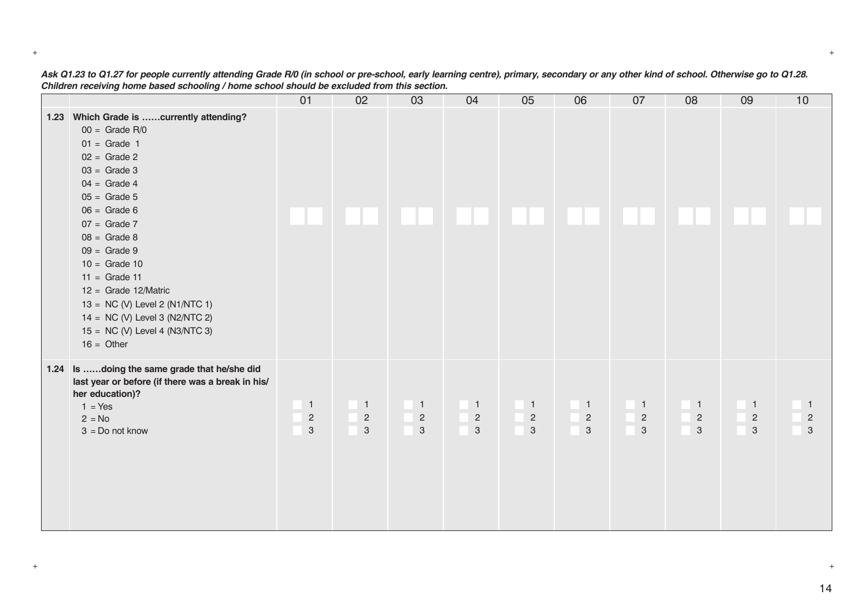|                                                                                                                                                                                                                                                                                                                                                                                                                            | 01                                                            | 02                                             | 03                                                      | 04                                                            | 05                                                        | 06                                             | 07                                                          | 08                                                          | 09                                                        | 10                                                      |
|----------------------------------------------------------------------------------------------------------------------------------------------------------------------------------------------------------------------------------------------------------------------------------------------------------------------------------------------------------------------------------------------------------------------------|---------------------------------------------------------------|------------------------------------------------|---------------------------------------------------------|---------------------------------------------------------------|-----------------------------------------------------------|------------------------------------------------|-------------------------------------------------------------|-------------------------------------------------------------|-----------------------------------------------------------|---------------------------------------------------------|
| 1.23 Which Grade is currently attending?<br>$00 =$ Grade R/0<br>$01 =$ Grade 1<br>$02 =$ Grade 2<br>$03 =$ Grade 3<br>$04 =$ Grade 4<br>$05 =$ Grade 5<br>$06 =$ Grade 6<br>$07 =$ Grade 7<br>$08 =$ Grade 8<br>$09 =$ Grade 9<br>$10 =$ Grade 10<br>$11 =$ Grade 11<br>$12 =$ Grade 12/Matric<br>13 = $NC$ (V) Level 2 (N1/NTC 1)<br>14 = $NC$ (V) Level 3 (N2/NTC 2)<br>15 = $NC$ (V) Level 4 (N3/NTC 3)<br>$16 =$ Other |                                                               |                                                |                                                         |                                                               |                                                           |                                                |                                                             |                                                             |                                                           |                                                         |
| 1.24 Is doing the same grade that he/she did<br>last year or before (if there was a break in his/<br>her education)?<br>$1 = Yes$<br>$2 = No$<br>$3 = Do$ not know                                                                                                                                                                                                                                                         | $\overline{1}$<br>$\overline{c}$<br>$\ensuremath{\mathsf{3}}$ | $\mathbf{1}$<br>$\overline{c}$<br>$\mathbf{3}$ | $\mathbf{1}$<br>$\sqrt{2}$<br>$\ensuremath{\mathsf{3}}$ | $\overline{1}$<br>$\overline{c}$<br>$\ensuremath{\mathsf{3}}$ | $\blacksquare$<br>$\sqrt{2}$<br>$\ensuremath{\mathsf{3}}$ | $\mathbf{1}$<br>$\overline{2}$<br>$\mathbf{3}$ | $\mathbf{1}$<br>$\overline{c}$<br>$\ensuremath{\mathsf{3}}$ | $\mathbf{1}$<br>$\overline{c}$<br>$\ensuremath{\mathsf{3}}$ | $\overline{1}$<br>$\sqrt{2}$<br>$\ensuremath{\mathsf{3}}$ | $\mathbf{1}$<br>$\sqrt{2}$<br>$\ensuremath{\mathsf{3}}$ |

*Ask Q1.23 to Q1.27 for people currently attending Grade R/0 (in school or pre-school, early learning centre), primary, secondary or any other kind of school. Otherwise go to Q1.28. Children receiving home based schooling / home school should be excluded from this section.*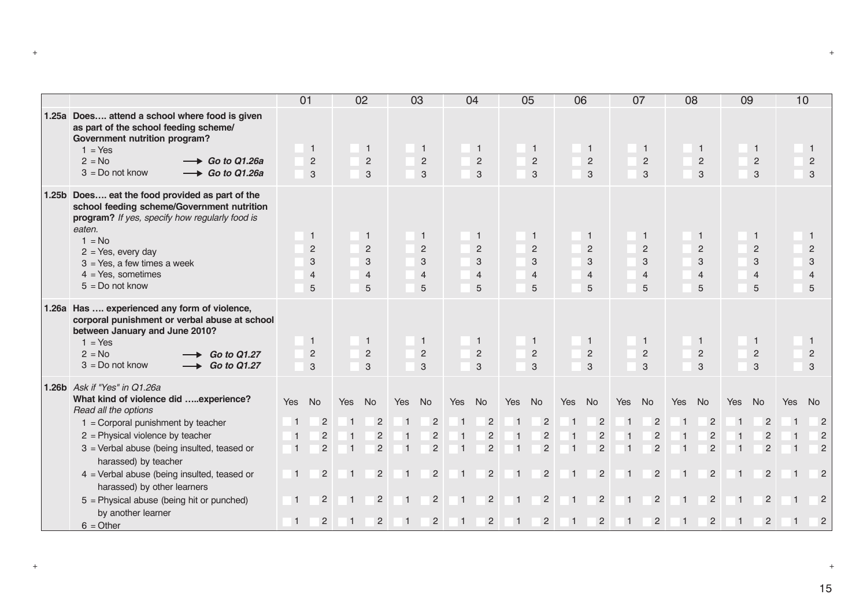|                                                                                                                                                                                                                                                                                                                                                                                                         |                                                                                        | 01                                                                                           |                                    | 02                                                                                           |                                                                        | 03                                                                                           |                                                           | 04                                                                                           |                                                                                               | 05                                                                                           | 06                                                                                                     |                                                                                              |                                                                                     | 07                                                                                           | 08                                       |                                                                                              | 09                                                                  |                                                                                              | 10                                                                                       |                                                                                                     |
|---------------------------------------------------------------------------------------------------------------------------------------------------------------------------------------------------------------------------------------------------------------------------------------------------------------------------------------------------------------------------------------------------------|----------------------------------------------------------------------------------------|----------------------------------------------------------------------------------------------|------------------------------------|----------------------------------------------------------------------------------------------|------------------------------------------------------------------------|----------------------------------------------------------------------------------------------|-----------------------------------------------------------|----------------------------------------------------------------------------------------------|-----------------------------------------------------------------------------------------------|----------------------------------------------------------------------------------------------|--------------------------------------------------------------------------------------------------------|----------------------------------------------------------------------------------------------|-------------------------------------------------------------------------------------|----------------------------------------------------------------------------------------------|------------------------------------------|----------------------------------------------------------------------------------------------|---------------------------------------------------------------------|----------------------------------------------------------------------------------------------|------------------------------------------------------------------------------------------|-----------------------------------------------------------------------------------------------------|
| 1.25a Does attend a school where food is given<br>as part of the school feeding scheme/<br>Government nutrition program?<br>$1 = Yes$<br>$\rightarrow$ Go to Q1.26a<br>$2 = No$<br>$3 = Do$ not know<br>$\rightarrow$ Go to Q1.26a                                                                                                                                                                      |                                                                                        | $\mathbf{1}$<br>$\overline{2}$<br>3                                                          |                                    | $\mathbf{1}$<br>$\overline{2}$<br>3                                                          |                                                                        | $\overline{1}$<br>$\overline{c}$<br>$\mathbf{3}$                                             |                                                           | $\overline{1}$<br>$\sqrt{2}$<br>3                                                            |                                                                                               | $\mathbf{1}$<br>$\sqrt{2}$<br>3                                                              |                                                                                                        | $\mathbf{1}$<br>$\overline{c}$<br>3                                                          |                                                                                     | $\mathbf{1}$<br>$\overline{2}$<br>3                                                          |                                          | $\mathbf{1}$<br>$\overline{c}$<br>3                                                          |                                                                     | $\mathbf{1}$<br>2<br>3                                                                       |                                                                                          | 1<br>$\overline{2}$<br>$\sqrt{3}$                                                                   |
| 1.25b Does eat the food provided as part of the<br>school feeding scheme/Government nutrition<br>program? If yes, specify how regularly food is<br>eaten.<br>$1 = No$<br>$2 = Yes$ , every day<br>$3 = Yes$ , a few times a week<br>$4 = Yes$ , sometimes<br>$5 = Do$ not know                                                                                                                          |                                                                                        | $\mathbf{1}$<br>2<br>3<br>$\overline{4}$<br>5                                                |                                    | $\mathbf{1}$<br>2<br>3<br>$\overline{4}$<br>5                                                |                                                                        | $\mathbf{1}$<br>$\overline{2}$<br>3<br>$\overline{4}$<br>5                                   |                                                           | $\mathbf{1}$<br>2<br>3<br>$\overline{4}$<br>5                                                |                                                                                               | $\mathbf{1}$<br>$\overline{2}$<br>3<br>$\overline{4}$<br>5                                   |                                                                                                        | $\mathbf{1}$<br>$\overline{2}$<br>3<br>$\overline{4}$<br>5                                   |                                                                                     | $\mathbf{1}$<br>$\overline{2}$<br>3<br>$\overline{4}$<br>5                                   |                                          | $\mathbf 1$<br>$\overline{2}$<br>3<br>$\overline{4}$<br>5                                    |                                                                     | $\mathbf{1}$<br>2<br>3<br>$\overline{4}$<br>5                                                |                                                                                          | -1<br>$\sqrt{2}$<br>3<br>$\overline{4}$<br>5                                                        |
| 1.26a Has  experienced any form of violence,<br>corporal punishment or verbal abuse at school<br>between January and June 2010?<br>$1 = Yes$<br>$2 = No$<br><b>Go to Q1.27</b><br>$3 = Do$ not know<br>$\rightarrow$ Go to Q1.27                                                                                                                                                                        |                                                                                        | $\mathbf 1$<br>$\overline{c}$<br>3                                                           |                                    | 1<br>2<br>3                                                                                  |                                                                        | 1<br>$\overline{2}$<br>3                                                                     |                                                           | $\mathbf{1}$<br>2<br>3                                                                       |                                                                                               | -1<br>2<br>3                                                                                 |                                                                                                        | $\mathbf{1}$<br>$\overline{2}$<br>3                                                          |                                                                                     | 1<br>$\overline{2}$<br>3                                                                     |                                          | -1<br>$\overline{c}$<br>3                                                                    |                                                                     | $\mathbf{1}$<br>2<br>3                                                                       |                                                                                          | -1<br>$\overline{2}$<br>3                                                                           |
| 1.26b Ask if "Yes" in Q1.26a<br>What kind of violence did experience?<br>Read all the options<br>$1 =$ Corporal punishment by teacher<br>$2$ = Physical violence by teacher<br>3 = Verbal abuse (being insulted, teased or<br>harassed) by teacher<br>$4$ = Verbal abuse (being insulted, teased or<br>harassed) by other learners<br>$5$ = Physical abuse (being hit or punched)<br>by another learner | Yes<br>$\mathbf{1}$<br>$\overline{1}$<br>$\overline{1}$<br>$\vert$ 1<br>$\overline{1}$ | No<br>$\overline{2}$<br>$\overline{c}$<br>$\overline{2}$<br>$\overline{2}$<br>$\overline{2}$ | Yes<br>$\vert$ 1<br>$\overline{1}$ | No<br>$\overline{2}$<br>$\overline{c}$<br>$\overline{c}$<br>$\overline{c}$<br>$\overline{2}$ | Yes<br>$\vert$ 1<br>$\overline{1}$<br>$\overline{1}$<br>$\overline{1}$ | No<br>$\overline{2}$<br>$\overline{c}$<br>$\overline{2}$<br>$\overline{c}$<br>$\overline{2}$ | Yes<br>$\overline{1}$<br>$\overline{1}$<br>$\overline{1}$ | No<br>$\overline{2}$<br>$\overline{2}$<br>$\overline{2}$<br>$\overline{2}$<br>$\overline{2}$ | Yes<br>$\overline{1}$<br>$\overline{1}$<br>$\overline{1}$<br>$\overline{1}$<br>$\overline{1}$ | No<br>$\overline{2}$<br>$\overline{c}$<br>$\overline{c}$<br>$\overline{c}$<br>$\overline{2}$ | Yes<br>$\overline{\mathbf{1}}$<br>$\overline{1}$<br>$\overline{1}$<br>$\overline{1}$<br>$\overline{1}$ | No<br>$\overline{2}$<br>$\overline{2}$<br>$\overline{c}$<br>$\overline{2}$<br>$\overline{2}$ | Yes<br>$\overline{1}$<br>$\vert$ 1<br>$\vert$ 1<br>$\overline{1}$<br>$\overline{1}$ | No<br>$\overline{2}$<br>$\overline{c}$<br>$\overline{c}$<br>$\overline{2}$<br>$\overline{2}$ | Yes<br>-1<br>$\overline{1}$<br>$\vert$ 1 | No<br>$\overline{2}$<br>$\overline{2}$<br>$\overline{2}$<br>$\overline{2}$<br>$\overline{2}$ | Yes<br>-1<br>$\mathbf{1}$<br>-1<br>$\overline{1}$<br>$\overline{1}$ | No<br>$\overline{2}$<br>$\overline{2}$<br>$\overline{2}$<br>$\overline{2}$<br>$\overline{2}$ | <b>Yes</b><br>-1<br>$\overline{1}$<br>$\overline{1}$<br>$\overline{1}$<br>$\overline{1}$ | <b>No</b><br>$\overline{2}$<br>$\overline{2}$<br>$\overline{2}$<br>$\overline{2}$<br>$\overline{2}$ |
| $6 = Other$                                                                                                                                                                                                                                                                                                                                                                                             | $\overline{1}$                                                                         | $\overline{2}$                                                                               |                                    | $\overline{c}$                                                                               | $\overline{1}$                                                         | $\sqrt{2}$                                                                                   | $\overline{1}$                                            | $\overline{c}$                                                                               | $\vert$ 1                                                                                     | $\overline{c}$                                                                               | $\overline{1}$                                                                                         | $\overline{2}$                                                                               | $\overline{1}$                                                                      | $\overline{c}$                                                                               | $\vert$ 1                                | $\overline{c}$                                                                               | $\overline{1}$                                                      | $\overline{c}$                                                                               | $\mathbf{1}$                                                                             | $\overline{2}$                                                                                      |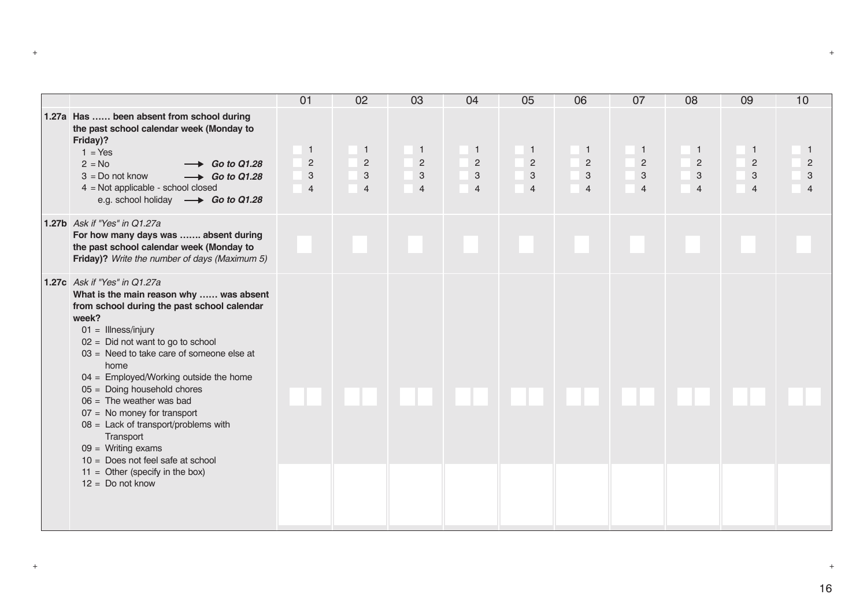|                                                                                                                                                                                                                                                                                                                                                                                                                                                                                                                                                                                     | 01                                                               | 02                                                                              | 03                                                                              | 04                                                               | 05                                                                              | 06                                                                              | 07                                                    | 08                                                                        | 09                                                    | 10                  |
|-------------------------------------------------------------------------------------------------------------------------------------------------------------------------------------------------------------------------------------------------------------------------------------------------------------------------------------------------------------------------------------------------------------------------------------------------------------------------------------------------------------------------------------------------------------------------------------|------------------------------------------------------------------|---------------------------------------------------------------------------------|---------------------------------------------------------------------------------|------------------------------------------------------------------|---------------------------------------------------------------------------------|---------------------------------------------------------------------------------|-------------------------------------------------------|---------------------------------------------------------------------------|-------------------------------------------------------|---------------------|
| 1.27a Has  been absent from school during<br>the past school calendar week (Monday to<br>Friday)?<br>$1 = Yes$<br>$2 = No$<br>$\rightarrow$ Go to Q1.28<br>$3 = Do$ not know<br>$\rightarrow$ Go to Q1.28<br>$4 = Not applicable - school closed$<br>e.g. school holiday -> Go to Q1.28                                                                                                                                                                                                                                                                                             | $\mathbf{1}$<br>$\overline{c}$<br>$\mathbf{3}$<br>$\overline{4}$ | $\overline{1}$<br>$\overline{2}$<br>$\ensuremath{\mathsf{3}}$<br>$\overline{4}$ | $\overline{1}$<br>$\overline{c}$<br>$\ensuremath{\mathsf{3}}$<br>$\overline{4}$ | $\mathbf{1}$<br>$\overline{2}$<br>$\mathbf{3}$<br>$\overline{4}$ | $\overline{1}$<br>$\overline{c}$<br>$\ensuremath{\mathsf{3}}$<br>$\overline{4}$ | $\overline{1}$<br>$\overline{c}$<br>$\ensuremath{\mathsf{3}}$<br>$\overline{4}$ | $\mathbf{1}$<br>$\overline{2}$<br>3<br>$\overline{4}$ | $\mathbf{1}$<br>$\sqrt{2}$<br>$\ensuremath{\mathsf{3}}$<br>$\overline{4}$ | $\mathbf{1}$<br>$\overline{2}$<br>3<br>$\overline{4}$ | $\overline{2}$<br>3 |
| 1.27b Ask if "Yes" in Q1.27a<br>For how many days was  absent during<br>the past school calendar week (Monday to<br>Friday)? Write the number of days (Maximum 5)                                                                                                                                                                                                                                                                                                                                                                                                                   |                                                                  |                                                                                 |                                                                                 |                                                                  |                                                                                 |                                                                                 |                                                       |                                                                           |                                                       |                     |
| 1.27c Ask if "Yes" in Q1.27a<br>What is the main reason why  was absent<br>from school during the past school calendar<br>week?<br>$01 =$ Illness/injury<br>$02 =$ Did not want to go to school<br>$03 =$ Need to take care of someone else at<br>home<br>$04 =$ Employed/Working outside the home<br>$05 =$ Doing household chores<br>$06 =$ The weather was bad<br>$07 =$ No money for transport<br>$08 =$ Lack of transport/problems with<br>Transport<br>$09 =$ Writing exams<br>$10 =$ Does not feel safe at school<br>$11 =$ Other (specify in the box)<br>$12 = Do$ not know |                                                                  |                                                                                 |                                                                                 |                                                                  |                                                                                 |                                                                                 |                                                       |                                                                           |                                                       |                     |
|                                                                                                                                                                                                                                                                                                                                                                                                                                                                                                                                                                                     |                                                                  |                                                                                 |                                                                                 |                                                                  |                                                                                 |                                                                                 |                                                       |                                                                           |                                                       |                     |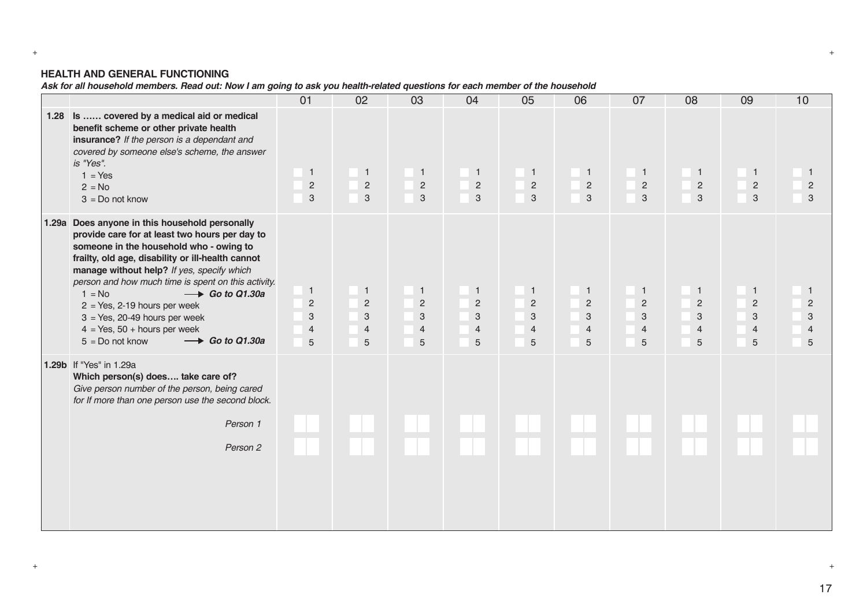# **HEALTH AND GENERAL FUNCTIONING**

*Ask for all household members. Read out: Now I am going to ask you health-related questions for each member of the household*

|                                                                                                                                                                                                                                                                                                                                                                                                                                                                                                               | 01                                                           | 02                                                         | 03                                                                                              | 04                                                         | 05                                                                | 06                                                         | 07                                                         | 08                                                         | 09                                                           | 10                                                         |
|---------------------------------------------------------------------------------------------------------------------------------------------------------------------------------------------------------------------------------------------------------------------------------------------------------------------------------------------------------------------------------------------------------------------------------------------------------------------------------------------------------------|--------------------------------------------------------------|------------------------------------------------------------|-------------------------------------------------------------------------------------------------|------------------------------------------------------------|-------------------------------------------------------------------|------------------------------------------------------------|------------------------------------------------------------|------------------------------------------------------------|--------------------------------------------------------------|------------------------------------------------------------|
| 1.28 Is  covered by a medical aid or medical<br>benefit scheme or other private health<br>insurance? If the person is a dependant and<br>covered by someone else's scheme, the answer<br>is "Yes".<br>$1 = Yes$<br>$2 = No$<br>$3 = Do$ not know                                                                                                                                                                                                                                                              | $\overline{1}$<br>$\overline{c}$<br>$\mathbf{3}$             | $\blacksquare$<br>$\overline{c}$<br>$\mathbf{3}$           | $\mathbf{1}$<br>$\overline{c}$<br>$\mathbf{3}$                                                  | $\blacksquare$<br>$\sqrt{2}$<br>3                          | $\blacksquare$<br>$\overline{2}$<br>$\mathbf{3}$                  | $\overline{1}$<br>$\overline{c}$<br>3                      | $\mathbf{1}$<br>$\overline{2}$<br>3                        | $\overline{1}$<br>$\overline{c}$<br>$\mathbf{3}$           | $\overline{1}$<br>$\overline{2}$<br>$\mathbf{3}$             | $\mathbf{1}$<br>$\overline{2}$<br>3                        |
| 1.29a Does anyone in this household personally<br>provide care for at least two hours per day to<br>someone in the household who - owing to<br>frailty, old age, disability or ill-health cannot<br>manage without help? If yes, specify which<br>person and how much time is spent on this activity.<br>$1 = No$<br>$\rightarrow$ Go to Q1.30a<br>$2 = Yes, 2-19 hours per week$<br>$3 = Yes, 20-49 hours per week$<br>$4 = Yes, 50 + hours per week$<br>$\longrightarrow$ Go to Q1.30a<br>$5 = Do$ not know | $\overline{1}$<br>$\overline{c}$<br>3<br>$\overline{4}$<br>5 | $\mathbf{1}$<br>$\overline{c}$<br>3<br>$\overline{4}$<br>5 | $\mathbf{1}$<br>$\overline{2}$<br>$\ensuremath{\mathsf{3}}$<br>$\overline{4}$<br>$\overline{5}$ | $\mathbf{1}$<br>$\overline{2}$<br>3<br>$\overline{4}$<br>5 | $\overline{1}$<br>$\sqrt{2}$<br>$\sqrt{3}$<br>$\overline{4}$<br>5 | $\mathbf{1}$<br>$\overline{2}$<br>3<br>$\overline{4}$<br>5 | $\mathbf{1}$<br>$\overline{2}$<br>3<br>$\overline{4}$<br>5 | $\mathbf{1}$<br>$\overline{2}$<br>3<br>$\overline{4}$<br>5 | $\overline{1}$<br>$\overline{2}$<br>3<br>$\overline{4}$<br>5 | $\mathbf{1}$<br>$\overline{2}$<br>3<br>$\overline{4}$<br>5 |
| 1.29b If "Yes" in 1.29a<br>Which person(s) does take care of?<br>Give person number of the person, being cared<br>for If more than one person use the second block.<br>Person 1<br>Person 2                                                                                                                                                                                                                                                                                                                   |                                                              |                                                            |                                                                                                 |                                                            |                                                                   |                                                            |                                                            |                                                            |                                                              |                                                            |

+ +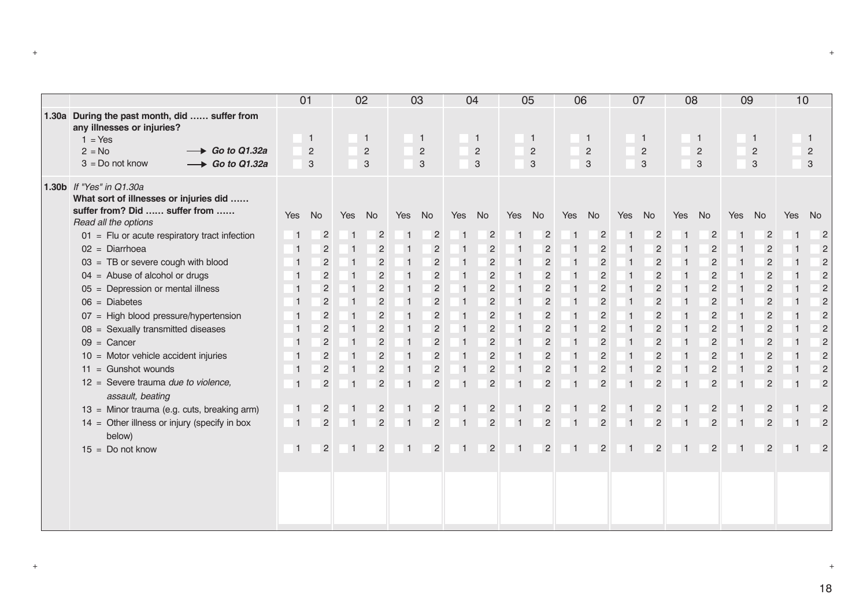|                                                                                                                             | 01             |                |                | 02             |                | 03             |                | 04             |                         | 05             | 06             |                |                         | 07             | 08             |                | 09             |                | 10             |                |
|-----------------------------------------------------------------------------------------------------------------------------|----------------|----------------|----------------|----------------|----------------|----------------|----------------|----------------|-------------------------|----------------|----------------|----------------|-------------------------|----------------|----------------|----------------|----------------|----------------|----------------|----------------|
| 1.30a During the past month, did  suffer from<br>any illnesses or injuries?<br>$1 = Yes$                                    |                | $\mathbf{1}$   |                | $\overline{1}$ |                | $\mathbf{1}$   |                | $\mathbf{1}$   |                         | $\overline{1}$ |                | $\overline{1}$ |                         | $\mathbf{1}$   |                | $\mathbf{1}$   |                | $\overline{1}$ |                | $\mathbf{1}$   |
| $2 = No$<br>$\longrightarrow$ Go to Q1.32a                                                                                  |                | $\overline{2}$ |                | $\overline{2}$ |                | 2              |                | $\overline{2}$ |                         | $\overline{2}$ |                | $\overline{2}$ |                         | $\overline{2}$ |                | $\overline{c}$ |                | $\overline{2}$ |                | $\overline{2}$ |
| $3 = Do$ not know<br>$\longrightarrow$ Go to Q1.32a                                                                         |                | 3              |                | 3              |                | 3              |                | 3              |                         | 3              |                | 3              |                         | 3              |                | 3              |                | 3              |                | 3              |
| 1.30b If "Yes" in Q1.30a<br>What sort of illnesses or injuries did<br>suffer from? Did  suffer from<br>Read all the options | Yes            | No             | Yes            | <b>No</b>      | Yes            | No             | Yes            | No             | Yes                     | No             | Yes            | No             | Yes                     | No             | Yes            | No             | Yes            | No             | Yes            | <b>No</b>      |
| $01$ = Flu or acute respiratory tract infection                                                                             | $\overline{1}$ | $\overline{c}$ | $\overline{1}$ | $\overline{c}$ | -1             | $\overline{c}$ | $\mathbf{1}$   | $\overline{2}$ | $\overline{1}$          | $\overline{c}$ | -1             | $\overline{c}$ | $\overline{1}$          | $\overline{c}$ | $\overline{1}$ | $\overline{c}$ |                | $\overline{c}$ | -1             | $\overline{2}$ |
| $02 =$ Diarrhoea                                                                                                            | $\vert$ 1      | $\overline{2}$ | $\overline{1}$ | $\overline{2}$ | $\vert$ 1      | $\overline{c}$ |                | $\overline{2}$ | $\vert$ 1               | $\overline{c}$ | -1             | $\overline{2}$ | $\overline{1}$          | $\overline{c}$ | $\overline{1}$ | $\overline{c}$ |                | $\overline{2}$ | -1             | $\overline{c}$ |
| $03 = TB$ or severe cough with blood                                                                                        |                | $\overline{2}$ | $\overline{1}$ | $\overline{2}$ | $\vert$ 1      | $\overline{2}$ | -1             | $\overline{2}$ | $\overline{1}$          | $\overline{c}$ | -1             | $\overline{2}$ | $\overline{1}$          | $\overline{c}$ | $\overline{1}$ | $\overline{2}$ |                | $\overline{2}$ | -1             | $\overline{2}$ |
| $04$ = Abuse of alcohol or drugs                                                                                            |                | $\overline{c}$ | $\vert$ 1      | $\overline{2}$ | -1             | $\overline{2}$ |                | $\overline{2}$ | $\overline{1}$          | $\overline{2}$ | -1             | $\overline{2}$ | -1                      | $\overline{c}$ | $\mathbf 1$    | $\overline{2}$ |                | $\overline{2}$ |                | $\overline{c}$ |
| 05 = Depression or mental illness                                                                                           | -1             | $\overline{2}$ | $\overline{1}$ | $\overline{2}$ | $\vert$ 1      | $\overline{2}$ |                | $\overline{2}$ | $\overline{1}$          | $\overline{2}$ | -1             | $\overline{2}$ | $\overline{1}$          | $\overline{c}$ | $\overline{1}$ | $\overline{2}$ | $\overline{1}$ | $\overline{2}$ |                | $\overline{c}$ |
| $06 = Diabetes$                                                                                                             | -1             | $\overline{2}$ | $\overline{1}$ | $\overline{c}$ | $\vert$ 1      | $\overline{2}$ |                | $\overline{2}$ | $\vert$ 1               | $\overline{2}$ | -1             | $\overline{2}$ | $\overline{\mathbf{1}}$ | $\overline{c}$ | $\overline{1}$ | $\overline{c}$ | -1             | $\overline{2}$ | -1             | $\overline{c}$ |
| 07 = High blood pressure/hypertension                                                                                       |                | $\overline{c}$ | $\overline{1}$ | $\overline{c}$ | $\vert$ 1      | $\overline{2}$ |                | $\overline{c}$ | $\overline{1}$          | $\overline{c}$ | -1             | $\overline{c}$ |                         | $\overline{c}$ | $\overline{1}$ | $\overline{2}$ |                | $\overline{2}$ |                | $\overline{2}$ |
| 08 = Sexually transmitted diseases                                                                                          | -1             | $\overline{c}$ | $\overline{1}$ | $\overline{2}$ | $\vert$ 1      | $\overline{c}$ |                | $\overline{c}$ | $\overline{1}$          | $\overline{2}$ | $\overline{1}$ | $\overline{c}$ | $\overline{1}$          | $\overline{2}$ | $\overline{1}$ | $\overline{c}$ | $\overline{1}$ | $\overline{2}$ |                | $\overline{2}$ |
| $09 =$ Cancer                                                                                                               |                | $\overline{2}$ | $\overline{1}$ | $\overline{2}$ | $\vert$ 1      | $\overline{c}$ |                | $\overline{c}$ | $\overline{1}$          | $\overline{2}$ | ∣ 1            | $\overline{2}$ | $\overline{1}$          | $\overline{c}$ | $\overline{1}$ | $\overline{c}$ |                | $\overline{2}$ | -1             | $\overline{c}$ |
| $10$ = Motor vehicle accident injuries                                                                                      |                | $\overline{c}$ | $\vert$ 1      | $\overline{c}$ | $\vert$ 1      | $\overline{c}$ |                | $\overline{2}$ | $\overline{1}$          | $\overline{c}$ | $\overline{1}$ | $\overline{2}$ | $\overline{1}$          | $\overline{c}$ | $\overline{1}$ | $\overline{c}$ |                | $\overline{2}$ |                | $\overline{2}$ |
| $11 =$ Gunshot wounds                                                                                                       | $\mathbf{1}$   | $\overline{2}$ | $\overline{1}$ | $\sqrt{2}$     | $\vert$ 1      | $\overline{2}$ |                | $\overline{2}$ | $\overline{\mathbf{1}}$ | $\overline{2}$ | -1             | $\overline{2}$ | -1                      | $\overline{c}$ | $\mathbf{1}$   | $\overline{2}$ | $\mathbf{1}$   | $\overline{2}$ |                | $\overline{2}$ |
| 12 = Severe trauma due to violence,<br>assault, beating                                                                     | $\overline{1}$ | $\overline{2}$ | $\overline{1}$ | $\overline{2}$ | $\overline{1}$ | $\overline{2}$ |                | $\overline{2}$ | $\overline{1}$          | $\overline{2}$ |                | $\overline{2}$ | $\overline{1}$          | $\overline{2}$ | $\mathbf 1$    | $\overline{2}$ |                | $\overline{2}$ | $\overline{1}$ | $\overline{2}$ |
| 13 = Minor trauma (e.g. cuts, breaking arm)                                                                                 | $\overline{1}$ | $\overline{2}$ | $\vert$ 1      | $\overline{c}$ | $\overline{1}$ | $\overline{2}$ |                | $\overline{2}$ | $\overline{1}$          | $\overline{2}$ | $\overline{1}$ | $\overline{2}$ | $\overline{1}$          | $\overline{2}$ | $\overline{1}$ | $\overline{2}$ | $\overline{1}$ | $\overline{2}$ | 1              | $\overline{2}$ |
| $14 =$ Other illness or injury (specify in box<br>below)                                                                    | $\overline{1}$ | $\overline{2}$ | $\vert$ 1      | $\overline{c}$ | -1             | $\overline{2}$ | -1             | $\overline{2}$ | $\vert$ 1               | $\overline{2}$ | -1             | $\overline{2}$ | $\overline{1}$          | $\overline{2}$ |                | $\overline{2}$ |                | $\overline{2}$ | -1             | $\overline{2}$ |
| $15 = Do$ not know                                                                                                          | $\overline{1}$ | $\overline{2}$ | $\overline{1}$ | $\overline{2}$ | $\overline{1}$ | $\overline{2}$ | $\overline{1}$ | $\overline{2}$ | $\overline{1}$          | $\overline{2}$ | $\bigoplus$    | $\overline{2}$ | $\overline{1}$          | $\overline{2}$ | $\overline{1}$ | $\overline{2}$ | $\overline{1}$ | $\overline{2}$ | $\overline{1}$ | $\overline{2}$ |
|                                                                                                                             |                |                |                |                |                |                |                |                |                         |                |                |                |                         |                |                |                |                |                |                |                |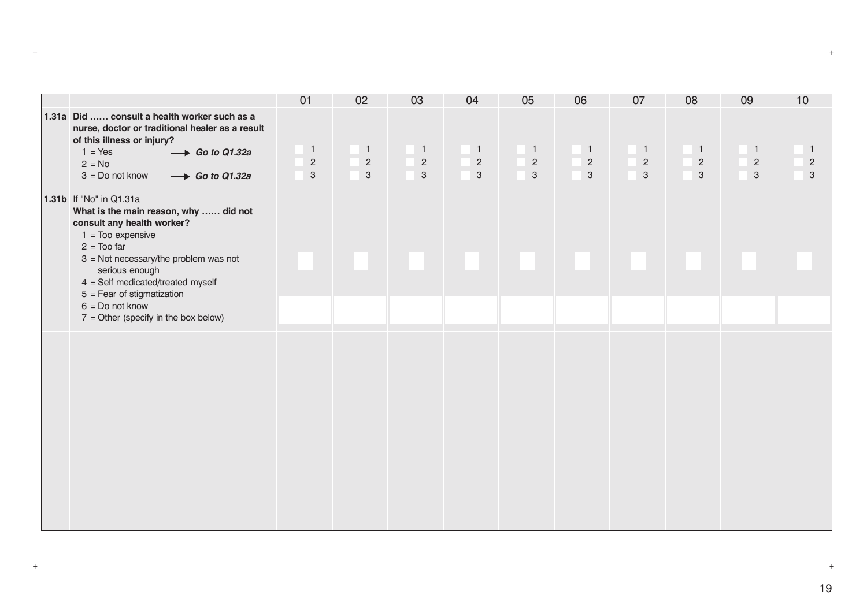|                                                                                                                                        | 01                        | 02                        | 03             | 04             | 05           | 06             | 07                        | 08             | 09             | 10                        |
|----------------------------------------------------------------------------------------------------------------------------------------|---------------------------|---------------------------|----------------|----------------|--------------|----------------|---------------------------|----------------|----------------|---------------------------|
| 1.31a Did  consult a health worker such as a<br>nurse, doctor or traditional healer as a result<br>of this illness or injury?          |                           |                           |                |                |              |                |                           |                |                |                           |
| $1 = Yes$<br>$\rightarrow$ Go to Q1.32a                                                                                                | $\overline{1}$            | $\blacksquare$            | $\overline{1}$ | $\blacksquare$ | $\sqrt{1}$   | $\blacksquare$ | $\overline{1}$            | $\blacksquare$ | $\blacksquare$ | $\bigoplus$               |
| $2 = No$                                                                                                                               | $\sqrt{2}$                | $\overline{c}$            | $\sqrt{2}$     | $\sqrt{2}$     | $\sqrt{2}$   | $\sqrt{2}$     | $\sqrt{2}$                | $\sqrt{2}$     | $\sqrt{2}$     | $\sqrt{2}$                |
| $3 = Do$ not know<br>$\rightarrow$ Go to Q1.32a                                                                                        | $\ensuremath{\mathsf{3}}$ | $\ensuremath{\mathsf{3}}$ | $\sqrt{3}$     | $\sqrt{3}$     | $\mathbf{3}$ | $\mathbf{3}$   | $\ensuremath{\mathsf{3}}$ | $\sqrt{3}$     | $\mathbf{3}$   | $\ensuremath{\mathsf{3}}$ |
| 1.31b If "No" in Q1.31a<br>What is the main reason, why  did not<br>consult any health worker?<br>$1 =$ Too expensive<br>$2 = Too$ far |                           |                           |                |                |              |                |                           |                |                |                           |
| $3 = Not necessary/the problem was not$<br>serious enough<br>$4 = Self$ medicated/treated myself                                       |                           |                           |                |                |              |                |                           |                |                |                           |
| $5 =$ Fear of stigmatization                                                                                                           |                           |                           |                |                |              |                |                           |                |                |                           |
| $6 = Do$ not know<br>$7 =$ Other (specify in the box below)                                                                            |                           |                           |                |                |              |                |                           |                |                |                           |
|                                                                                                                                        |                           |                           |                |                |              |                |                           |                |                |                           |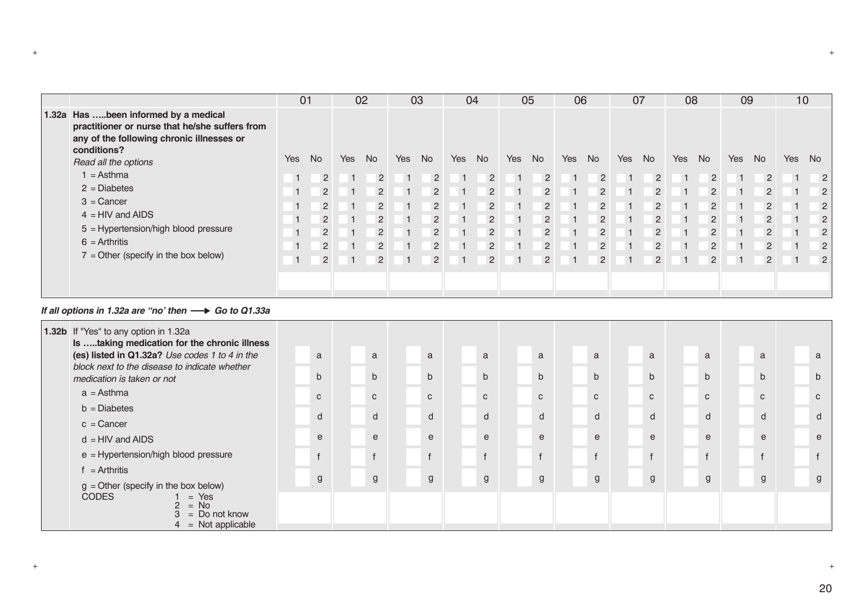|                                                                                                                                                    |                | 01             |     | 02             |     | 03             |            | 04             |     | 05             | 06 |                | 07  |                |     | 08             | 09  |                | 10             |                |
|----------------------------------------------------------------------------------------------------------------------------------------------------|----------------|----------------|-----|----------------|-----|----------------|------------|----------------|-----|----------------|----|----------------|-----|----------------|-----|----------------|-----|----------------|----------------|----------------|
| 1.32a Has been informed by a medical<br>practitioner or nurse that he/she suffers from<br>any of the following chronic illnesses or<br>conditions? |                |                |     |                |     |                |            |                |     |                |    |                |     |                |     |                |     |                |                |                |
| Read all the options                                                                                                                               | <b>Yes</b>     | <b>No</b>      | Yes | <b>No</b>      | Yes | <b>No</b>      | <b>Yes</b> | No.            | Yes | <b>No</b>      |    | Yes No         | Yes | <b>No</b>      | Yes | <b>No</b>      | Yes | No             | Yes            | No             |
| $1 =$ Asthma                                                                                                                                       | $\overline{1}$ | $\overline{2}$ |     | 2              |     | 2              |            |                |     | 2              |    | 2              |     | $\overline{2}$ |     | 2              |     | $\overline{2}$ | $\overline{1}$ | 2              |
| $2 = Diabetes$                                                                                                                                     |                | $\overline{2}$ |     | 2              |     | 2              |            | 2              |     | 2              |    | 2              |     | 2              |     | 2              |     | $\overline{2}$ |                | $\overline{2}$ |
| $3 =$ Cancer                                                                                                                                       | 1              | 2              |     | 2              |     | 2              |            | 2              |     | $\overline{2}$ |    | $\overline{2}$ |     | $\overline{2}$ |     | 2              |     | $\overline{2}$ |                | $\overline{2}$ |
| $4 = HIV$ and AIDS                                                                                                                                 |                | $\overline{2}$ |     | $\mathcal{P}$  |     | 2              |            | 2              |     | $\overline{2}$ |    | 2              |     | $\overline{2}$ |     | 2              |     | 2              |                | $\overline{2}$ |
| 5 = Hypertension/high blood pressure                                                                                                               | 1              | $\overline{2}$ |     | 2              |     | $\overline{2}$ |            | $\overline{2}$ |     | $\overline{2}$ |    | 2              |     | $\overline{2}$ |     | 2              |     | $\overline{2}$ |                | $\overline{2}$ |
| $6 =$ Arthritis                                                                                                                                    | $1 -$          | $\overline{2}$ |     | $\overline{2}$ |     | $\overline{2}$ |            | $\overline{2}$ |     | $\overline{2}$ |    | $\overline{2}$ |     | $\overline{2}$ |     | $\overline{2}$ |     | $\overline{2}$ |                | $\overline{2}$ |
| $7 =$ Other (specify in the box below)                                                                                                             | 1              | $\overline{2}$ |     | 2              |     | 2              |            | $\overline{2}$ |     | $\overline{2}$ |    | 2              |     | 2              |     | 2              |     | $\overline{2}$ |                | $\overline{2}$ |
|                                                                                                                                                    |                |                |     |                |     |                |            |                |     |                |    |                |     |                |     |                |     |                |                |                |

#### *If all options in 1.32a are "no' then*  $\longrightarrow$  Go to Q1.33a

| 1.32b If "Yes" to any option in 1.32a<br>Is taking medication for the chronic illness |              |              |              |              |              |              |              |              |              |              |
|---------------------------------------------------------------------------------------|--------------|--------------|--------------|--------------|--------------|--------------|--------------|--------------|--------------|--------------|
| (es) listed in Q1.32a? Use codes 1 to 4 in the                                        | a            | a            | a            | a            | a            | a            | a            | a            | a            | a            |
| block next to the disease to indicate whether<br>medication is taken or not           | $\mathsf{b}$ | $\mathsf{b}$ | $\mathsf{b}$ | $\mathsf{b}$ | $\mathsf{b}$ | $\mathsf{b}$ | $\mathsf{b}$ | $\mathsf{b}$ | $\mathsf{b}$ | $\mathsf{b}$ |
| $a =$ Asthma                                                                          | $\mathbf{C}$ | $\mathbf{C}$ | $\mathbf{C}$ | $\mathbf{C}$ | $\mathbf{C}$ | $\mathbf{C}$ | $\mathbf{C}$ | $\mathbf{C}$ | $\mathbf{C}$ | $\mathbf{C}$ |
| $b = Diabetes$                                                                        | $\sf d$      | d            | d            | d            | $\mathsf{d}$ | d            | d            | d            | d            | d            |
| $c =$ Cancer                                                                          |              |              |              |              |              |              |              |              |              |              |
| $d = HIV$ and AIDS                                                                    | e            | $\mathsf{e}$ | e            | e            | $\mathsf{e}$ | $\mathsf{e}$ | e            | e            | e            | e            |
| e = Hypertension/high blood pressure                                                  | $\mathsf{f}$ | $\mathsf{f}$ | $\mathsf{f}$ |              | $\mathsf{f}$ | $\mathsf{f}$ | $\mathsf{f}$ |              | $\mathsf{f}$ |              |
| $f =$ Arthritis                                                                       | g            | g            | $\mathsf{g}$ |              | g            | g            | g            | g            | g            | g            |
| $g =$ Other (specify in the box below)                                                |              |              |              | g            |              |              |              |              |              |              |
| $= No$<br>$=$ Do not know                                                             |              |              |              |              |              |              |              |              |              |              |
| <b>CODES</b><br>$=$ Yes<br>$4 = Not applicable$                                       |              |              |              |              |              |              |              |              |              |              |

+ +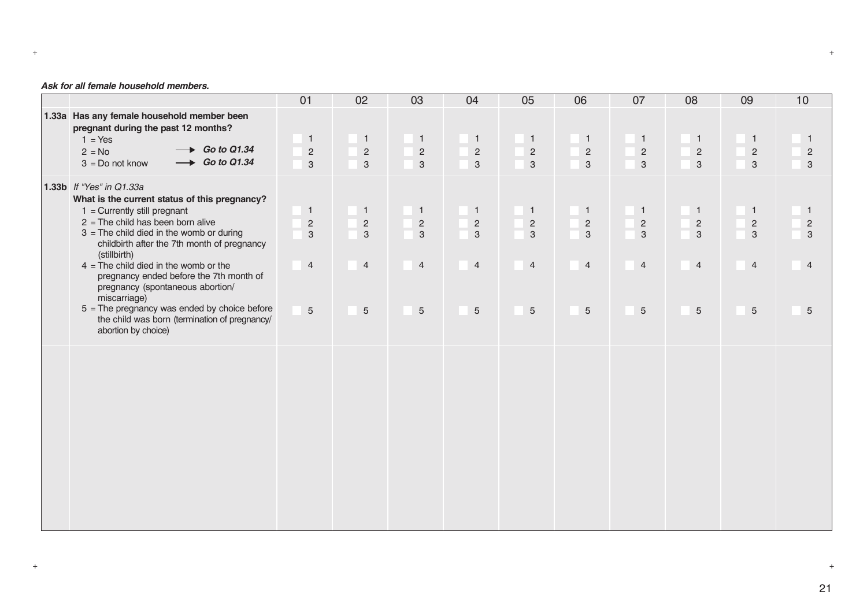#### *Ask for all female household members.*

|                                                                                                                                                                                                                                                                                                                                                                                                                                                                                                                                     | 01                                                               | 02                                                                                 | 03                                                                      | 04                                                                          | 05                                                                         | 06                                                                                 | 07                                                                         | 08                                                                                 | 09                                                                               | 10                                                                       |
|-------------------------------------------------------------------------------------------------------------------------------------------------------------------------------------------------------------------------------------------------------------------------------------------------------------------------------------------------------------------------------------------------------------------------------------------------------------------------------------------------------------------------------------|------------------------------------------------------------------|------------------------------------------------------------------------------------|-------------------------------------------------------------------------|-----------------------------------------------------------------------------|----------------------------------------------------------------------------|------------------------------------------------------------------------------------|----------------------------------------------------------------------------|------------------------------------------------------------------------------------|----------------------------------------------------------------------------------|--------------------------------------------------------------------------|
| 1.33a Has any female household member been<br>pregnant during the past 12 months?<br>$1 = Yes$<br>$\rightarrow$ Go to Q1.34<br>$2 = No$<br>$\rightarrow$ Go to Q1.34<br>$3 = Do$ not know                                                                                                                                                                                                                                                                                                                                           | $\overline{1}$<br>$\overline{c}$<br>3                            | $\mathbf{1}$<br>$\overline{2}$<br>3                                                | $\mathbf{1}$<br>$\overline{c}$<br>$\mathbf{3}$                          | $\mathbf{1}$<br>$\overline{2}$<br>$\mathbf{3}$                              | $\blacksquare$<br>$\sqrt{2}$<br>$\mathsf 3$                                | $\mathbf{1}$<br>$\overline{2}$<br>$\mathbf{3}$                                     | $\mathbf{1}$<br>$\overline{2}$<br>$\mathbf{3}$                             | $\mathbf{1}$<br>$\sqrt{2}$<br>$\mathbf 3$                                          | $\blacksquare$<br>$\overline{2}$<br>$\mathbf{3}$                                 | $\mathbf{1}$<br>$\overline{2}$<br>$\mathbf{3}$                           |
| 1.33b If "Yes" in Q1.33a<br>What is the current status of this pregnancy?<br>$1 =$ Currently still pregnant<br>$2$ = The child has been born alive<br>$3$ = The child died in the womb or during<br>childbirth after the 7th month of pregnancy<br>(stillbirth)<br>$4 =$ The child died in the womb or the<br>pregnancy ended before the 7th month of<br>pregnancy (spontaneous abortion/<br>miscarriage)<br>$5$ = The pregnancy was ended by choice before<br>the child was born (termination of pregnancy/<br>abortion by choice) | $\mathbf{1}$<br>$\mathbf 2$<br>3<br>$\overline{4}$<br>$\sqrt{5}$ | $\mathbf{1}$<br>$\overline{2}$<br>$\mathbf{3}$<br>$\overline{4}$<br>$\overline{5}$ | $\mathbf{1}$<br>$\overline{c}$<br>$\overline{3}$<br>$\overline{4}$<br>5 | $\mathbf{1}$<br>$\mathbf 2$<br>$\mathsf 3$<br>$\overline{4}$<br>$\mathbf 5$ | $\overline{1}$<br>$\sqrt{2}$<br>$\sqrt{3}$<br>$\overline{4}$<br>$\sqrt{5}$ | $\mathbf{1}$<br>$\overline{2}$<br>$\mathbf{3}$<br>$\overline{4}$<br>5 <sup>5</sup> | $\mathbf{1}$<br>$\sqrt{2}$<br>$\mathbf{3}$<br>$\overline{4}$<br>$\sqrt{5}$ | $\mathbf{1}$<br>$\overline{c}$<br>$\mathbf{3}$<br>$\overline{4}$<br>$\overline{5}$ | $\overline{1}$<br>$\sqrt{2}$<br>$\mathbf{3}$<br>$\overline{4}$<br>$\overline{5}$ | $\mathbf{1}$<br>$\overline{c}$<br>3<br>$\overline{4}$<br>$5\overline{)}$ |
|                                                                                                                                                                                                                                                                                                                                                                                                                                                                                                                                     |                                                                  |                                                                                    |                                                                         |                                                                             |                                                                            |                                                                                    |                                                                            |                                                                                    |                                                                                  |                                                                          |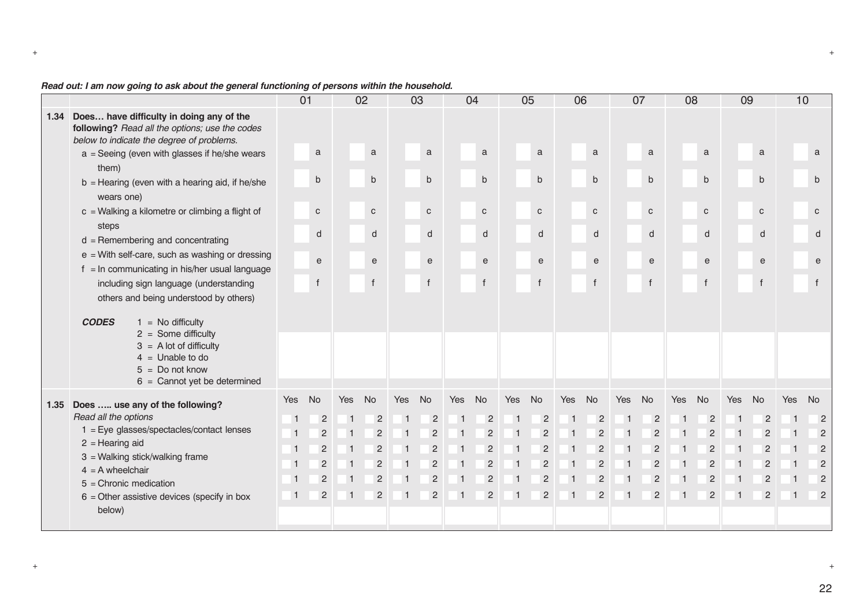|      |                                                                                                                                         | 01             |                |     | 02             |     | 03             |     | 04             |            | 05                                         |              | 06             |                | 07             |                | 08                                         | 09             |                                            | 10         |                                            |
|------|-----------------------------------------------------------------------------------------------------------------------------------------|----------------|----------------|-----|----------------|-----|----------------|-----|----------------|------------|--------------------------------------------|--------------|----------------|----------------|----------------|----------------|--------------------------------------------|----------------|--------------------------------------------|------------|--------------------------------------------|
| 1.34 | Does have difficulty in doing any of the<br>following? Read all the options; use the codes<br>below to indicate the degree of problems. |                |                |     |                |     |                |     |                |            |                                            |              |                |                |                |                |                                            |                |                                            |            |                                            |
|      | $a =$ Seeing (even with glasses if he/she wears<br>them)                                                                                |                | a              |     | $\mathbf{a}$   |     | $\mathbf{a}$   |     | $\mathbf a$    |            | $\mathbf{a}$                               |              | a              |                | a              |                | a                                          |                | a                                          |            | a                                          |
|      | $b =$ Hearing (even with a hearing aid, if he/she<br>wears one)                                                                         |                | $\mathsf b$    |     | $\mathsf b$    |     | $\mathsf b$    |     | $\mathsf{b}$   |            | $\mathsf b$                                |              | $\mathsf b$    |                | $\mathsf{b}$   |                | $\mathsf{b}$                               |                | $\sf b$                                    |            | $\mathsf{b}$                               |
|      | $c =$ Walking a kilometre or climbing a flight of                                                                                       |                | $\mathbf{C}$   |     | $\mathtt{C}$   |     | $\mathbf C$    |     | C              |            | $\mathtt{C}$                               |              | $\mathtt{C}$   |                | $\mathbf{C}$   |                | $\mathbf{C}$                               |                | $\mathbf C$                                |            | $\mathbf{C}$                               |
|      | steps<br>$d$ = Remembering and concentrating                                                                                            |                | d              |     | d              |     | d              |     | ${\sf d}$      |            | $\mathsf{d}$                               |              | d              |                | d              |                | $\mathsf{d}$                               |                | d                                          |            | d                                          |
|      | $e$ = With self-care, such as washing or dressing<br>$f = \ln$ communicating in his/her usual language                                  |                | e              |     | $\mathbf{e}$   |     | $\mathsf{e}$   |     | $\mathbf e$    |            | $\mathsf{e}% _{t}\left( \mathsf{e}\right)$ |              | $\mathbf e$    |                | $\mathsf{e}$   |                | $\mathsf{e}% _{t}\left( \mathsf{e}\right)$ |                | $\mathsf{e}% _{t}\left( \mathsf{e}\right)$ |            | $\mathsf{e}% _{t}\left( \mathsf{e}\right)$ |
|      | including sign language (understanding                                                                                                  |                | $\mathsf{f}$   |     | $\mathsf{f}$   |     | $\mathsf{f}$   |     | $\mathsf{f}$   |            | $\mathsf{f}$                               |              | $\mathsf{f}$   |                | $\mathbf f$    |                | $\mathsf{f}$                               |                | $\mathsf{f}$                               |            | $\mathsf{f}$                               |
|      | others and being understood by others)                                                                                                  |                |                |     |                |     |                |     |                |            |                                            |              |                |                |                |                |                                            |                |                                            |            |                                            |
|      | <b>CODES</b><br>$1 = No$ difficulty<br>$2 =$ Some difficulty                                                                            |                |                |     |                |     |                |     |                |            |                                            |              |                |                |                |                |                                            |                |                                            |            |                                            |
|      | $3 = A$ lot of difficulty<br>$4 =$ Unable to do<br>$5 = Do$ not know<br>$6 =$ Cannot yet be determined                                  |                |                |     |                |     |                |     |                |            |                                            |              |                |                |                |                |                                            |                |                                            |            |                                            |
| 1.35 | Does  use any of the following?                                                                                                         | Yes            | No             | Yes | <b>No</b>      | Yes | No             | Yes | <b>No</b>      | <b>Yes</b> | No                                         | <b>Yes</b>   | No             | <b>Yes</b>     | <b>No</b>      | Yes            | No                                         | Yes            | No                                         | <b>Yes</b> | No                                         |
|      | Read all the options                                                                                                                    | $\mathbf 1$    | $\overline{2}$ |     | $\overline{2}$ |     | $\overline{2}$ |     | $\overline{2}$ | -1         | $\overline{2}$                             | -1           | $\overline{2}$ | -1             | $\overline{c}$ |                | $\overline{2}$                             | -1             | $\overline{2}$                             |            | $\overline{2}$                             |
|      | $1 = Eye$ glasses/spectacles/contact lenses                                                                                             | $\overline{1}$ | $\overline{2}$ |     | $\overline{2}$ |     | $\overline{2}$ |     | $\overline{2}$ | -1         | $\overline{2}$                             | $\mathbf{1}$ | $\overline{2}$ | $\overline{1}$ | $\overline{2}$ | $\overline{1}$ | $\overline{2}$                             | $\overline{1}$ | $\overline{2}$                             |            | $\overline{2}$                             |
|      | $2 =$ Hearing aid                                                                                                                       | $\overline{1}$ | $\overline{2}$ |     | $\overline{2}$ | -1  | $\overline{2}$ |     | $\overline{2}$ | -1         | $\overline{2}$                             | -1           | $\overline{2}$ | $\overline{1}$ | $\overline{2}$ | -1             | $\overline{2}$                             | $\overline{1}$ | $\overline{2}$                             |            | $\overline{2}$                             |
|      | 3 = Walking stick/walking frame                                                                                                         | $\mathbf{1}$   | $\overline{2}$ |     | $\overline{c}$ |     | $\overline{2}$ |     | $\overline{2}$ |            | $\overline{2}$                             |              | $\overline{c}$ |                | $\overline{2}$ |                | $\overline{2}$                             | $\overline{1}$ | $\overline{2}$                             |            | $\overline{2}$                             |
|      | $4 = A$ wheelchair<br>$5 =$ Chronic medication                                                                                          | $\mathbf{1}$   | $\overline{c}$ |     | $\overline{c}$ |     | $\overline{2}$ |     | $\overline{2}$ |            | $\overline{2}$                             |              | $\overline{c}$ | $\overline{1}$ | $\overline{2}$ | $\mathbf{1}$   | $\overline{2}$                             | -1             | $\overline{2}$                             |            | $\overline{2}$                             |
|      | $6$ = Other assistive devices (specify in box                                                                                           | $\overline{1}$ | $\overline{2}$ | -1  | $\overline{2}$ | -1  | $\overline{2}$ |     | $\overline{2}$ | -1         | $\overline{2}$                             | $\mathbf{1}$ | $\overline{2}$ | $\overline{1}$ | $\overline{2}$ | $\overline{1}$ | $\overline{2}$                             | $\overline{1}$ | $\overline{2}$                             |            | $\overline{\phantom{0}}$ 2                 |
|      | below)                                                                                                                                  |                |                |     |                |     |                |     |                |            |                                            |              |                |                |                |                |                                            |                |                                            |            |                                            |
|      |                                                                                                                                         |                |                |     |                |     |                |     |                |            |                                            |              |                |                |                |                |                                            |                |                                            |            |                                            |

+ +

# *Read out: I am now going to ask about the general functioning of persons within the household.*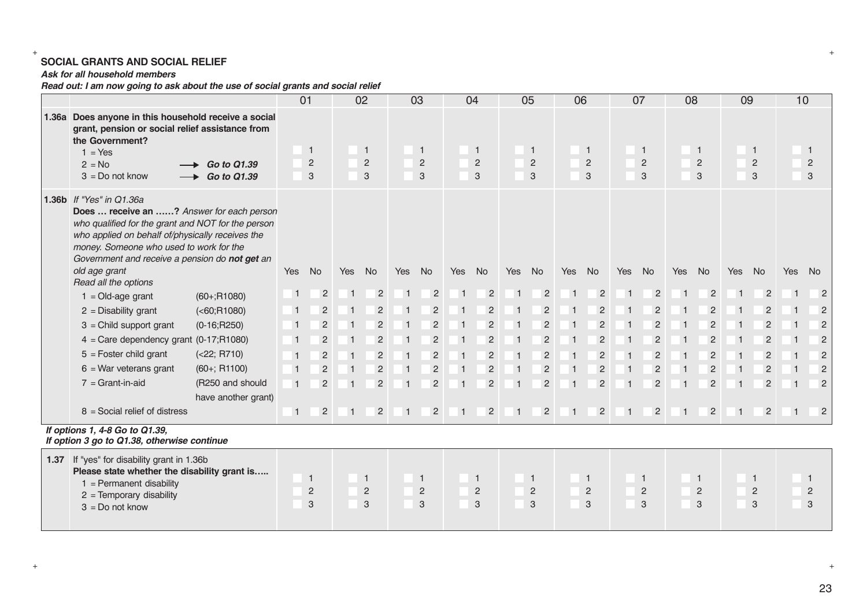# + + **SOCIAL GRANTS AND SOCIAL RELIEF**

#### *Ask for all household members*

*Read out: I am now going to ask about the use of social grants and social relief*

|       |                                                                                                                                                                                                                                                                                                                       |                                   |                | 01                                    |                | 02                                  |                | 03                                  |                | 04                                             |                | 05                                    |           | 06                                  |                | 07                                  | 08             |                                            | 09             |                                       | 10  |                          |
|-------|-----------------------------------------------------------------------------------------------------------------------------------------------------------------------------------------------------------------------------------------------------------------------------------------------------------------------|-----------------------------------|----------------|---------------------------------------|----------------|-------------------------------------|----------------|-------------------------------------|----------------|------------------------------------------------|----------------|---------------------------------------|-----------|-------------------------------------|----------------|-------------------------------------|----------------|--------------------------------------------|----------------|---------------------------------------|-----|--------------------------|
| 1.36a | Does anyone in this household receive a social<br>grant, pension or social relief assistance from<br>the Government?<br>$1 = Yes$<br>$2 = No$<br>$3 = Do$ not know                                                                                                                                                    | Go to Q1.39<br><b>Go to Q1.39</b> |                | $\overline{1}$<br>$\overline{c}$<br>3 |                | $\mathbf{1}$<br>$\sqrt{2}$<br>3     |                | $\mathbf{1}$<br>$\overline{c}$<br>3 |                | $\mathbf{1}$<br>$\overline{c}$<br>$\mathbf{3}$ |                | $\overline{1}$<br>$\overline{c}$<br>3 |           | $\mathbf{1}$<br>$\overline{2}$<br>3 |                | $\mathbf{1}$<br>$\overline{c}$<br>3 |                | $\mathbf{1}$<br>$\sqrt{2}$<br>$\mathbf{3}$ |                | $\overline{1}$<br>$\overline{c}$<br>3 |     | 1<br>$\overline{c}$<br>3 |
|       | 1.36b If "Yes" in Q1.36a<br>Does  receive an ? Answer for each person<br>who qualified for the grant and NOT for the person<br>who applied on behalf of/physically receives the<br>money. Someone who used to work for the<br>Government and receive a pension do not get an<br>old age grant<br>Read all the options |                                   | Yes            | <b>No</b>                             | Yes            | <b>No</b>                           | Yes            | <b>No</b>                           | Yes            | <b>No</b>                                      | Yes            | <b>No</b>                             | Yes       | <b>No</b>                           | <b>Yes</b>     | <b>No</b>                           | Yes            | <b>No</b>                                  | <b>Yes</b>     | No.                                   | Yes | <b>No</b>                |
|       | $1 = Old-age grant$                                                                                                                                                                                                                                                                                                   | $(60+;R1080)$                     | $\overline{1}$ | $\overline{2}$                        |                | $\overline{2}$                      |                | $\overline{2}$                      |                | $\overline{2}$                                 |                | $\overline{2}$                        |           | $\overline{2}$                      |                | $\overline{2}$                      |                | $\overline{2}$                             |                | $\overline{2}$                        |     | $\overline{2}$           |
|       | $2$ = Disability grant                                                                                                                                                                                                                                                                                                | ( <b>60; R1080</b> )              | $\overline{1}$ | $\overline{2}$                        |                | $\overline{2}$                      |                | $\overline{2}$                      |                | $\overline{2}$                                 | -1             | $\overline{2}$                        |           | $\overline{2}$                      |                | $\overline{2}$                      |                | $\overline{2}$                             | -1             |                                       |     | $\overline{2}$           |
|       | $3 =$ Child support grant                                                                                                                                                                                                                                                                                             | $(0-16; R250)$                    | $\overline{1}$ | $\overline{2}$                        |                | $\overline{2}$                      |                | $\overline{2}$                      |                | $\overline{2}$                                 | -1             | $\overline{2}$                        |           | $\overline{2}$                      |                | $\overline{2}$                      |                | $\overline{2}$                             |                | $\overline{2}$                        |     | $\overline{2}$           |
|       | $4 =$ Care dependency grant (0-17;R1080)                                                                                                                                                                                                                                                                              |                                   | $\overline{1}$ | $\overline{2}$                        |                | $\overline{2}$                      |                | $\overline{2}$                      |                | $\overline{2}$                                 |                | $\overline{2}$                        |           | $\overline{2}$                      |                | $\overline{2}$                      |                | $\overline{2}$                             |                | $\overline{2}$                        |     | $\overline{2}$           |
|       | $5 =$ Foster child grant                                                                                                                                                                                                                                                                                              | ( <b>22</b> ; R710)               | $\overline{1}$ | $\overline{2}$                        |                | $\overline{2}$                      |                | $\overline{2}$                      |                | $\overline{2}$                                 |                | $\overline{2}$                        |           | $\overline{2}$                      |                | $\overline{2}$                      |                | $\overline{2}$                             |                | $\overline{2}$                        |     | $\overline{2}$           |
|       | $6$ = War veterans grant                                                                                                                                                                                                                                                                                              | $(60+; R1100)$                    | $\overline{1}$ | $\overline{c}$                        |                | $\overline{c}$                      |                | $\overline{2}$                      |                | $\overline{c}$                                 |                | $\overline{c}$                        |           | $\overline{c}$                      |                | $\overline{2}$                      |                | $\overline{2}$                             | -1             | $\overline{2}$                        |     | $\overline{2}$           |
|       | $7 = Grant-in-aid$                                                                                                                                                                                                                                                                                                    | (R250 and should                  | $\overline{1}$ | $\overline{2}$                        |                | $\overline{2}$                      | $\overline{1}$ | $\overline{2}$                      |                | $\overline{2}$                                 | -1             | $\overline{2}$                        |           | $\overline{2}$                      | -1             | $\overline{2}$                      |                | $\overline{2}$                             | -1             | $\overline{2}$                        |     | $\overline{2}$           |
|       |                                                                                                                                                                                                                                                                                                                       | have another grant)               |                |                                       |                |                                     |                |                                     |                |                                                |                |                                       |           |                                     |                |                                     |                |                                            |                |                                       |     |                          |
|       | $8 =$ Social relief of distress                                                                                                                                                                                                                                                                                       |                                   | $\overline{1}$ | $\overline{2}$                        | $\overline{1}$ | $\overline{2}$                      | $\overline{1}$ | $\overline{2}$                      | $\overline{1}$ | $\overline{2}$                                 | $\overline{1}$ | $\overline{2}$                        | $\vert$ 1 | $\overline{2}$                      | $\overline{1}$ | $\overline{2}$                      | $\overline{1}$ | $\overline{2}$                             | $\overline{1}$ | $\overline{2}$                        |     | $\overline{2}$           |
|       | If options 1, 4-8 Go to Q1.39,<br>If option 3 go to Q1.38, otherwise continue                                                                                                                                                                                                                                         |                                   |                |                                       |                |                                     |                |                                     |                |                                                |                |                                       |           |                                     |                |                                     |                |                                            |                |                                       |     |                          |
|       | 1.37 If "yes" for disability grant in 1.36b<br>Please state whether the disability grant is<br>$1 =$ Permanent disability<br>$2 =$ Temporary disability<br>$3 = Do$ not know                                                                                                                                          |                                   |                | $\mathbf{1}$<br>$\overline{2}$<br>3   |                | $\mathbf{1}$<br>$\overline{2}$<br>3 |                | $\mathbf{1}$<br>$\overline{c}$<br>3 |                | $\mathbf{1}$<br>$\overline{c}$<br>3            |                | $\mathbf{1}$<br>$\overline{c}$<br>3   |           | $\mathbf{1}$<br>$\overline{c}$<br>3 |                | $\mathbf{1}$<br>$\overline{c}$<br>3 |                | $\mathbf{1}$<br>$\overline{c}$<br>3        |                | $\mathbf{1}$<br>$\overline{c}$<br>3   |     | 1<br>$\overline{2}$<br>3 |

23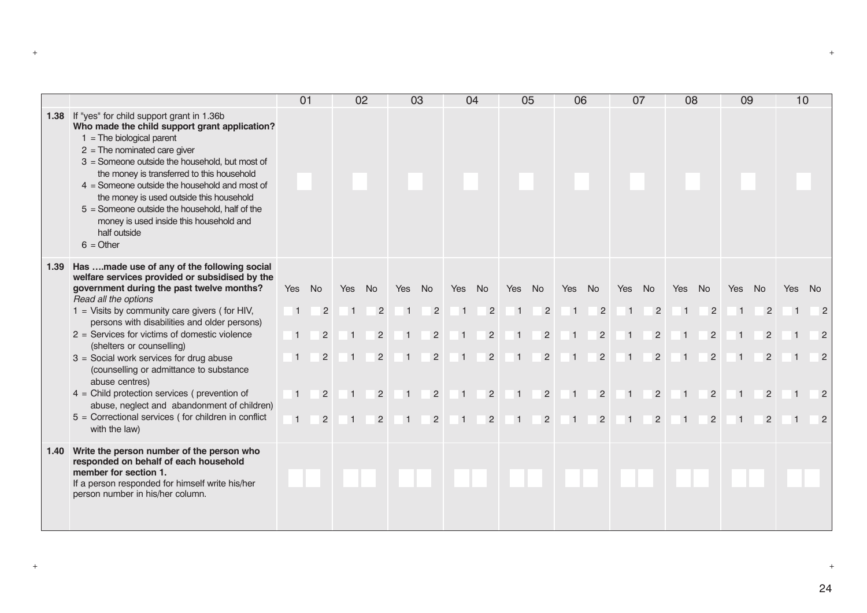|      |                                                                                                                                                                                                                                                                                                                                                                                                                                                                                                                                                                                                                                            | 01                                                                                                   |                                                              |                       | 02                                                                                                  |                       | 03                                                                                     |     | 04                                                                                                  |                                         | 05                                                                                                  | 06                                       |                                                                                        |                                       | 07                                                                               | 08                                             |                                                                                                     | 09                                                        |                                                                                  | 10  |                                                            |
|------|--------------------------------------------------------------------------------------------------------------------------------------------------------------------------------------------------------------------------------------------------------------------------------------------------------------------------------------------------------------------------------------------------------------------------------------------------------------------------------------------------------------------------------------------------------------------------------------------------------------------------------------------|------------------------------------------------------------------------------------------------------|--------------------------------------------------------------|-----------------------|-----------------------------------------------------------------------------------------------------|-----------------------|----------------------------------------------------------------------------------------|-----|-----------------------------------------------------------------------------------------------------|-----------------------------------------|-----------------------------------------------------------------------------------------------------|------------------------------------------|----------------------------------------------------------------------------------------|---------------------------------------|----------------------------------------------------------------------------------|------------------------------------------------|-----------------------------------------------------------------------------------------------------|-----------------------------------------------------------|----------------------------------------------------------------------------------|-----|------------------------------------------------------------|
|      | 1.38 If "yes" for child support grant in 1.36b<br>Who made the child support grant application?<br>$1 =$ The biological parent<br>$2 =$ The nominated care giver<br>3 = Someone outside the household, but most of<br>the money is transferred to this household<br>$4 =$ Someone outside the household and most of<br>the money is used outside this household<br>$5 =$ Someone outside the household, half of the<br>money is used inside this household and<br>half outside<br>$6 = Other$                                                                                                                                              |                                                                                                      |                                                              |                       |                                                                                                     |                       |                                                                                        |     |                                                                                                     |                                         |                                                                                                     |                                          |                                                                                        |                                       |                                                                                  |                                                |                                                                                                     |                                                           |                                                                                  |     |                                                            |
| 1.39 | Has made use of any of the following social<br>welfare services provided or subsidised by the<br>government during the past twelve months?<br>Read all the options<br>$1 =$ Visits by community care givers (for HIV,<br>persons with disabilities and older persons)<br>$2 =$ Services for victims of domestic violence<br>(shelters or counselling)<br>$3 =$ Social work services for drug abuse<br>(counselling or admittance to substance<br>abuse centres)<br>$4 =$ Child protection services (prevention of<br>abuse, neglect and abandonment of children)<br>$5 =$ Correctional services (for children in conflict<br>with the law) | <b>Yes</b><br>$\overline{1}$<br>$\overline{1}$<br>$\overline{1}$<br>$\overline{1}$<br>$\overline{1}$ | <b>No</b><br>$\overline{2}$<br>2<br>2<br>2<br>$\overline{2}$ | Yes<br>$\overline{1}$ | <b>No</b><br>$\overline{2}$<br>$\overline{2}$<br>$\overline{2}$<br>$\overline{2}$<br>$\overline{2}$ | Yes<br>$\overline{1}$ | <b>No</b><br>$\overline{2}$<br>$\overline{2}$<br>$\overline{2}$<br>2<br>$\overline{2}$ | Yes | <b>No</b><br>$\overline{2}$<br>$\overline{2}$<br>$\overline{2}$<br>$\overline{2}$<br>$\overline{2}$ | Yes<br>$\overline{1}$<br>$\overline{1}$ | <b>No</b><br>$\overline{2}$<br>$\overline{2}$<br>$\overline{2}$<br>$\overline{2}$<br>$\overline{2}$ | Yes No<br>$\overline{1}$<br>$\mathbf{1}$ | $\overline{2}$<br>$\overline{2}$<br>$\overline{2}$<br>$\overline{2}$<br>$\overline{2}$ | Yes<br>$\overline{1}$<br>$\mathbf{1}$ | No.<br>$\overline{2}$<br>$\overline{2}$<br>$\overline{2}$<br>2<br>$\overline{2}$ | <b>Yes</b><br>$\overline{1}$<br>$\overline{1}$ | <b>No</b><br>$\overline{2}$<br>$\overline{2}$<br>$\overline{2}$<br>$\overline{2}$<br>$\overline{2}$ | Yes<br>$\overline{1}$<br>$\overline{1}$<br>$\overline{1}$ | No.<br>$\overline{2}$<br>$\overline{2}$<br>$\overline{2}$<br>$\overline{2}$<br>2 | Yes | - No<br>$\overline{2}$<br>$\overline{2}$<br>$\overline{2}$ |
| 1.40 | Write the person number of the person who<br>responded on behalf of each household<br>member for section 1.<br>If a person responded for himself write his/her<br>person number in his/her column.                                                                                                                                                                                                                                                                                                                                                                                                                                         |                                                                                                      |                                                              |                       |                                                                                                     |                       |                                                                                        |     |                                                                                                     |                                         |                                                                                                     |                                          |                                                                                        |                                       |                                                                                  |                                                |                                                                                                     |                                                           |                                                                                  |     |                                                            |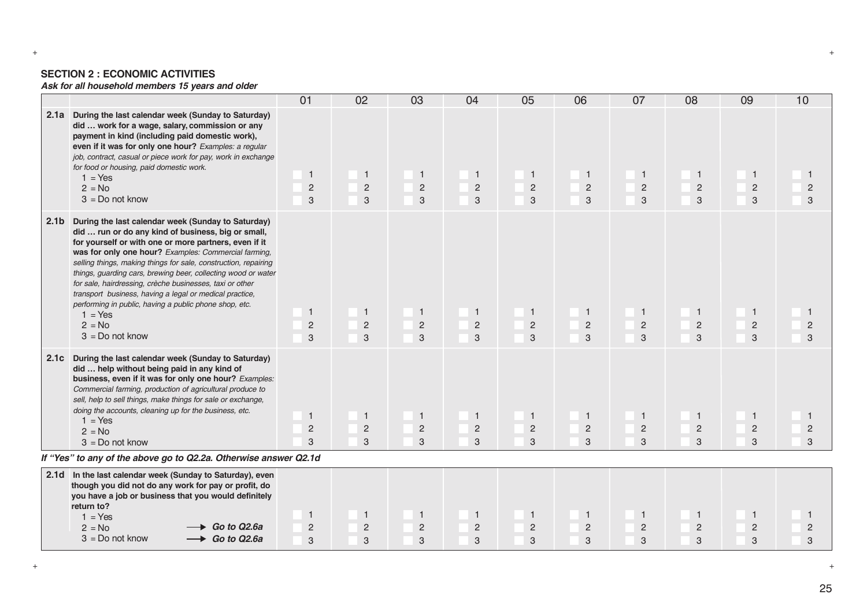#### **SECTION 2 : ECONOMIC ACTIVITIES**

*Ask for all household members 15 years and older*

|                  |                                                                                                                                                                                                                                                                                                                                                                                                                                                                                                                                                                                              | 01                                    | 02                                  | 03                                             | 04                                    | 05                                               | 06                                  | 07                                               | 08                                               | 09                                  | 10                    |
|------------------|----------------------------------------------------------------------------------------------------------------------------------------------------------------------------------------------------------------------------------------------------------------------------------------------------------------------------------------------------------------------------------------------------------------------------------------------------------------------------------------------------------------------------------------------------------------------------------------------|---------------------------------------|-------------------------------------|------------------------------------------------|---------------------------------------|--------------------------------------------------|-------------------------------------|--------------------------------------------------|--------------------------------------------------|-------------------------------------|-----------------------|
|                  | 2.1a During the last calendar week (Sunday to Saturday)<br>did  work for a wage, salary, commission or any<br>payment in kind (including paid domestic work),<br>even if it was for only one hour? Examples: a regular<br>job, contract, casual or piece work for pay, work in exchange<br>for food or housing, paid domestic work.<br>$1 = Yes$<br>$2 = No$<br>$3 = Do$ not know                                                                                                                                                                                                            | $\overline{1}$<br>$\overline{c}$<br>3 | $\mathbf{1}$<br>$\overline{2}$<br>3 | $\mathbf{1}$<br>$\overline{c}$<br>$\mathbf{3}$ | $\overline{1}$<br>$\overline{c}$<br>3 | $\overline{1}$<br>$\overline{2}$<br>3            | $\mathbf{1}$<br>$\overline{c}$<br>3 | $\mathbf{1}$<br>$\overline{c}$<br>3              | $\overline{1}$<br>$\sqrt{2}$<br>3                | $\mathbf 1$<br>$\overline{2}$<br>3  | -1<br>$\sqrt{2}$<br>3 |
| 2.1 <sub>b</sub> | During the last calendar week (Sunday to Saturday)<br>did  run or do any kind of business, big or small,<br>for yourself or with one or more partners, even if it<br>was for only one hour? Examples: Commercial farming,<br>selling things, making things for sale, construction, repairing<br>things, guarding cars, brewing beer, collecting wood or water<br>for sale, hairdressing, crèche businesses, taxi or other<br>transport business, having a legal or medical practice,<br>performing in public, having a public phone shop, etc.<br>$1 = Yes$<br>$2 = No$<br>$3 = Do$ not know | $\overline{1}$<br>$\overline{c}$<br>3 | $\mathbf{1}$<br>$\overline{2}$<br>3 | $\mathbf{1}$<br>$\overline{2}$<br>$\mathbf{3}$ | $\overline{1}$<br>$\overline{2}$<br>3 | $\overline{1}$<br>$\overline{2}$<br>3            | $\mathbf{1}$<br>$\overline{2}$<br>3 | $\overline{1}$<br>$\overline{2}$<br>$\mathbf{3}$ | $\overline{1}$<br>$\overline{c}$<br>$\mathbf{3}$ | $\mathbf{1}$<br>$\overline{2}$<br>3 | $\overline{c}$<br>3   |
|                  | 2.1c During the last calendar week (Sunday to Saturday)<br>did  help without being paid in any kind of<br>business, even if it was for only one hour? Examples:<br>Commercial farming, production of agricultural produce to<br>sell, help to sell things, make things for sale or exchange,<br>doing the accounts, cleaning up for the business, etc.<br>$1 = Yes$<br>$2 = No$<br>$3 = Do$ not know                                                                                                                                                                                         | $\overline{1}$<br>$\overline{c}$<br>3 | $\mathbf{1}$<br>$\overline{2}$<br>3 | $\mathbf{1}$<br>$\overline{2}$<br>3            | $\mathbf{1}$<br>$\overline{c}$<br>3   | $\overline{1}$<br>$\overline{2}$<br>$\mathbf{3}$ | $\mathbf{1}$<br>$\overline{2}$<br>3 | $\overline{1}$<br>$\overline{2}$<br>3            | $\overline{1}$<br>$\overline{c}$<br>3            | $\mathbf{1}$<br>$\overline{c}$<br>3 | $\overline{c}$<br>3   |
|                  | If "Yes" to any of the above go to Q2.2a. Otherwise answer Q2.1d                                                                                                                                                                                                                                                                                                                                                                                                                                                                                                                             |                                       |                                     |                                                |                                       |                                                  |                                     |                                                  |                                                  |                                     |                       |
|                  | 2.1d In the last calendar week (Sunday to Saturday), even<br>though you did not do any work for pay or profit, do<br>you have a job or business that you would definitely<br>return to?<br>$1 = Yes$<br>$\rightarrow$ Go to Q2.6a<br>$2 = No$                                                                                                                                                                                                                                                                                                                                                | $\mathbf{1}$<br>$\overline{2}$        | $\mathbf{1}$<br>$\overline{2}$      | $\mathbf{1}$<br>$\overline{c}$                 | $\overline{1}$<br>2                   | $\overline{1}$<br>$\overline{c}$                 | $\mathbf{1}$<br>$\overline{c}$      | $\overline{1}$<br>$\overline{2}$                 | $\overline{1}$<br>$\overline{c}$                 | $\mathbf{1}$<br>$\overline{c}$      | $\overline{c}$        |
|                  | $\rightarrow$ Go to Q2.6a<br>$3 = Do$ not know                                                                                                                                                                                                                                                                                                                                                                                                                                                                                                                                               | 3                                     | 3                                   | $\ensuremath{\mathsf{3}}$                      | 3                                     | 3                                                | 3                                   | 3                                                | 3                                                | 3                                   | 3                     |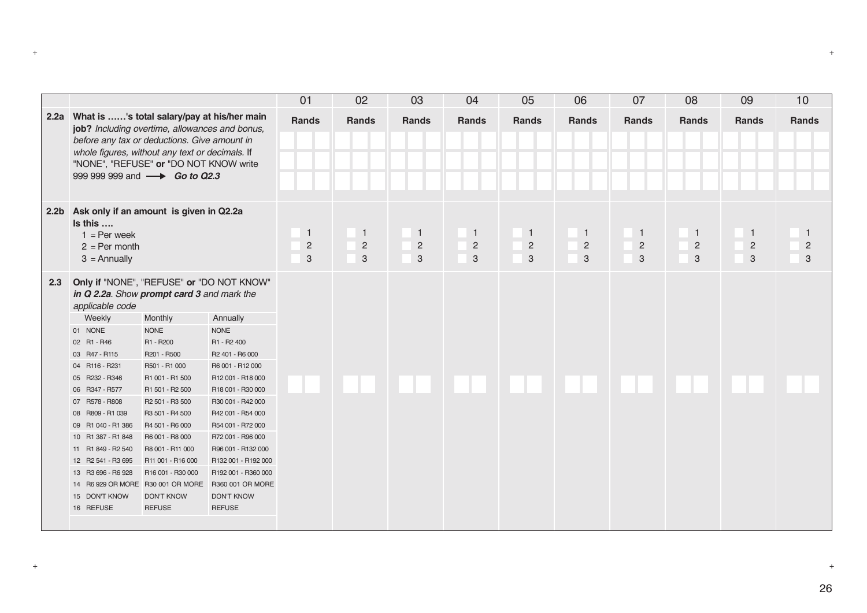|                  |                                                                                                                                                                                                                                                                                                                                                   |                                                                                                                                                                                                                                                                                           |                                                                                                                                                                                                                                                                                                                                           | 01                                               | 02                                    | 03                                    | 04                                  | 05                                  | 06                                    | 07                                  | 08                       | 09                                  | 10                                  |
|------------------|---------------------------------------------------------------------------------------------------------------------------------------------------------------------------------------------------------------------------------------------------------------------------------------------------------------------------------------------------|-------------------------------------------------------------------------------------------------------------------------------------------------------------------------------------------------------------------------------------------------------------------------------------------|-------------------------------------------------------------------------------------------------------------------------------------------------------------------------------------------------------------------------------------------------------------------------------------------------------------------------------------------|--------------------------------------------------|---------------------------------------|---------------------------------------|-------------------------------------|-------------------------------------|---------------------------------------|-------------------------------------|--------------------------|-------------------------------------|-------------------------------------|
| 2.2a             | What is 's total salary/pay at his/her main<br>job? Including overtime, allowances and bonus,<br>before any tax or deductions. Give amount in<br>whole figures, without any text or decimals. If<br>"NONE", "REFUSE" or "DO NOT KNOW write<br>999 999 999 and <b>- Go to Q2.3</b>                                                                 |                                                                                                                                                                                                                                                                                           |                                                                                                                                                                                                                                                                                                                                           | <b>Rands</b>                                     | <b>Rands</b>                          | <b>Rands</b>                          | <b>Rands</b>                        | <b>Rands</b>                        | Rands                                 | <b>Rands</b>                        | <b>Rands</b>             | <b>Rands</b>                        | <b>Rands</b>                        |
| 2.2 <sub>b</sub> | Is this<br>$1 = Per week$<br>$2 = Per month$<br>$3 =$ Annually                                                                                                                                                                                                                                                                                    | Ask only if an amount is given in Q2.2a<br>Only if "NONE", "REFUSE" or "DO NOT KNOW"<br>in Q 2.2a. Show prompt card 3 and mark the                                                                                                                                                        |                                                                                                                                                                                                                                                                                                                                           | $\overline{1}$<br>$\overline{c}$<br>$\mathbf{3}$ | $\overline{1}$<br>$\overline{c}$<br>3 | $\overline{1}$<br>$\overline{c}$<br>3 | $\mathbf{1}$<br>$\overline{c}$<br>3 | $\mathbf{1}$<br>$\overline{c}$<br>3 | $\overline{1}$<br>$\overline{c}$<br>3 | $\mathbf{1}$<br>$\overline{c}$<br>3 | 1<br>$\overline{c}$<br>3 | $\mathbf{1}$<br>$\overline{c}$<br>3 | $\mathbf{1}$<br>$\overline{c}$<br>3 |
| 2.3              | applicable code<br>Weekly<br>01 NONE<br>02 R1 - R46<br>03 R47 - R115<br>04 R116 - R231<br>05 R232 - R346<br>06 R347 - R577<br>07 R578 - R808<br>08 R809 - R1 039<br>09 R1 040 - R1 386<br>10 R1 387 - R1 848<br>11 R1 849 - R2 540<br>12 R2 541 - R3 695<br>13 R3 696 - R6 928<br>14 R6 929 OR MORE R30 001 OR MORE<br>15 DON'T KNOW<br>16 REFUSE | Monthly<br><b>NONE</b><br>R1 - R200<br>R201 - R500<br>R501 - R1 000<br>R1 001 - R1 500<br>R1 501 - R2 500<br>R2 501 - R3 500<br>R3 501 - R4 500<br>R4 501 - R6 000<br>R6 001 - R8 000<br>R8 001 - R11 000<br>R11 001 - R16 000<br>R16 001 - R30 000<br><b>DON'T KNOW</b><br><b>REFUSE</b> | Annually<br><b>NONE</b><br>R1 - R2 400<br>R2 401 - R6 000<br>R6 001 - R12 000<br>R12 001 - R18 000<br>R18 001 - R30 000<br>R30 001 - R42 000<br>R42 001 - R54 000<br>R54 001 - R72 000<br>R72 001 - R96 000<br>R96 001 - R132 000<br>R132 001 - R192 000<br>R192 001 - R360 000<br>R360 001 OR MORE<br><b>DON'T KNOW</b><br><b>REFUSE</b> |                                                  |                                       |                                       |                                     |                                     |                                       |                                     |                          |                                     |                                     |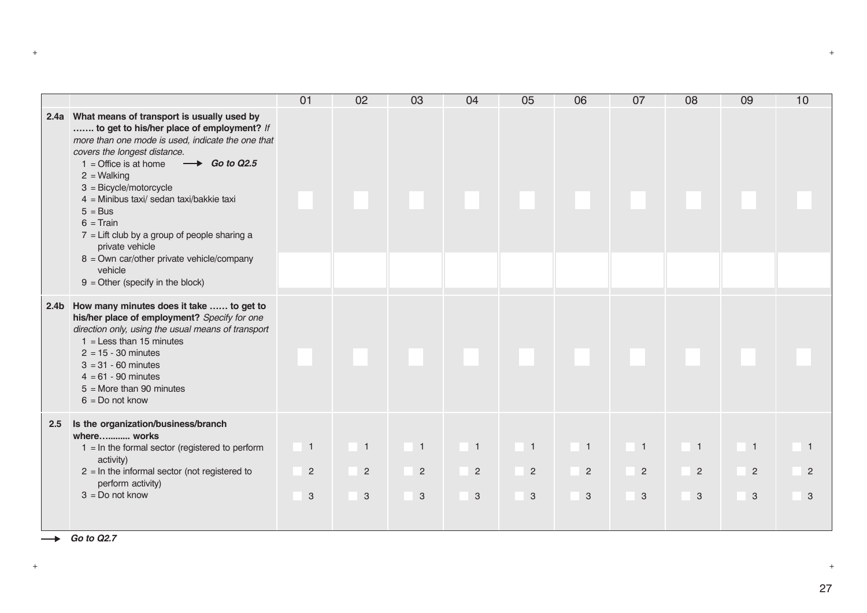|                  |                                                                                                                                                                                                                                                                                                                                                                                                                                                                                                                                      | 01                                    | 02                                                            | 03                                    | 04                                               | 05                                               | 06                                    | 07                                    | 08                                               | 09                                    | 10     |
|------------------|--------------------------------------------------------------------------------------------------------------------------------------------------------------------------------------------------------------------------------------------------------------------------------------------------------------------------------------------------------------------------------------------------------------------------------------------------------------------------------------------------------------------------------------|---------------------------------------|---------------------------------------------------------------|---------------------------------------|--------------------------------------------------|--------------------------------------------------|---------------------------------------|---------------------------------------|--------------------------------------------------|---------------------------------------|--------|
|                  | 2.4a What means of transport is usually used by<br>to get to his/her place of employment? If<br>more than one mode is used, indicate the one that<br>covers the longest distance.<br>$\longrightarrow$ Go to Q2.5<br>$1 =$ Office is at home<br>$2 = Walking$<br>$3 = Bicycle/motorcycle$<br>4 = Minibus taxi/ sedan taxi/bakkie taxi<br>$5 = Bus$<br>$6 = Train$<br>$7$ = Lift club by a group of people sharing a<br>private vehicle<br>8 = Own car/other private vehicle/company<br>vehicle<br>$9 =$ Other (specify in the block) |                                       |                                                               |                                       |                                                  |                                                  |                                       |                                       |                                                  |                                       |        |
| 2.4 <sub>b</sub> | How many minutes does it take  to get to<br>his/her place of employment? Specify for one<br>direction only, using the usual means of transport<br>$1 =$ Less than 15 minutes<br>$2 = 15 - 30$ minutes<br>$3 = 31 - 60$ minutes<br>$4 = 61 - 90$ minutes<br>$5 =$ More than 90 minutes<br>$6 = Do$ not know                                                                                                                                                                                                                           |                                       |                                                               |                                       |                                                  |                                                  |                                       |                                       |                                                  |                                       |        |
| 2.5              | Is the organization/business/branch<br>where works<br>$1 = \ln$ the formal sector (registered to perform<br>activity)<br>$2 = \ln$ the informal sector (not registered to<br>perform activity)<br>$3 = Do$ not know                                                                                                                                                                                                                                                                                                                  | $\overline{1}$<br>$\overline{2}$<br>3 | $\overline{1}$<br>$\overline{2}$<br>$\ensuremath{\mathsf{3}}$ | $\overline{1}$<br>$\overline{2}$<br>3 | $\overline{1}$<br>$\overline{2}$<br>$\mathbf{3}$ | $\overline{1}$<br>$\overline{2}$<br>$\mathbf{3}$ | $\blacksquare$<br>$\overline{2}$<br>3 | $\overline{1}$<br>$\overline{2}$<br>3 | $\overline{1}$<br>$\overline{c}$<br>$\mathbf{3}$ | $\blacksquare$<br>$\overline{2}$<br>3 | 2<br>3 |

 $\rightarrow$  *Go to Q2.7*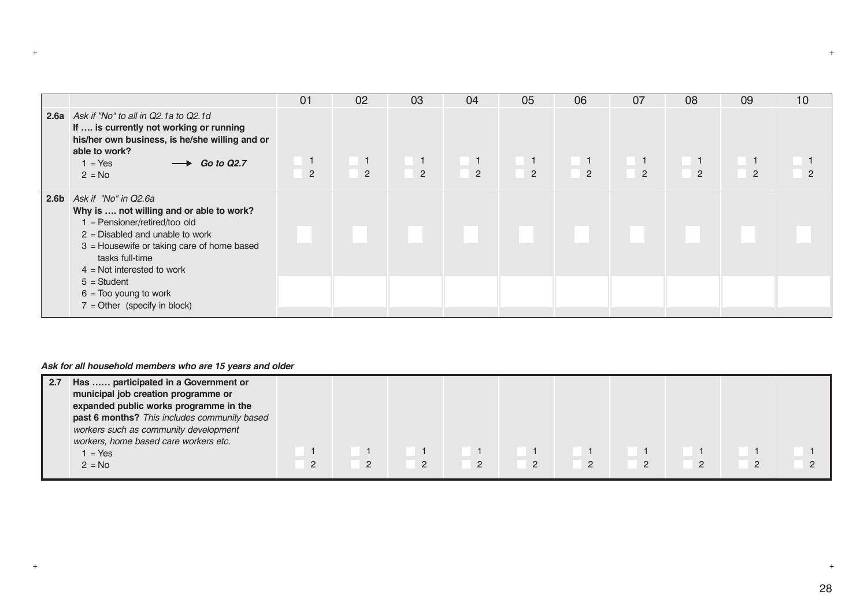|                                                                                                                                                                                                                                                                                                                                  | 01             | 02                                 | 03                               | 04                                                                      | 05                               | 06                           | 07                               | 08                               | 09                               | 10           |
|----------------------------------------------------------------------------------------------------------------------------------------------------------------------------------------------------------------------------------------------------------------------------------------------------------------------------------|----------------|------------------------------------|----------------------------------|-------------------------------------------------------------------------|----------------------------------|------------------------------|----------------------------------|----------------------------------|----------------------------------|--------------|
| <b>2.6a</b> Ask if "No" to all in Q2.1a to Q2.1d<br>If  is currently not working or running<br>his/her own business, is he/she willing and or<br>able to work?<br>$1 = Yes$<br>$\rightarrow$ Go to Q2.7<br>$2 = No$                                                                                                              | $\overline{2}$ | $\blacksquare$ 1<br>$\overline{2}$ | $\overline{1}$<br>$\overline{2}$ | $\left  \begin{array}{c} 1 \\ -1 \end{array} \right $<br>$\overline{2}$ | $\blacksquare$<br>$\overline{2}$ | $\sqrt{1}$<br>$\overline{2}$ | $\blacksquare$<br>$\overline{2}$ | $\blacksquare$<br>$\overline{2}$ | $\overline{1}$<br>$\overline{2}$ | $\mathbf{2}$ |
| 2.6b Ask if "No" in $Q2.6a$<br>Why is  not willing and or able to work?<br>$1 =$ Pensioner/retired/too old<br>$2$ = Disabled and unable to work<br>$3$ = Housewife or taking care of home based<br>tasks full-time<br>$4$ = Not interested to work<br>$5 = Student$<br>$6 =$ Too young to work<br>$7 =$ Other (specify in block) |                |                                    |                                  |                                                                         |                                  |                              |                                  |                                  |                                  |              |

# *Ask for all household members who are 15 years and older*

| 2.7 | Has  participated in a Government or<br>municipal job creation programme or<br>expanded public works programme in the<br>past 6 months? This includes community based<br>workers such as community development<br>workers, home based care workers etc. |                      |   |                |   |   |              |                |                |   |  |
|-----|---------------------------------------------------------------------------------------------------------------------------------------------------------------------------------------------------------------------------------------------------------|----------------------|---|----------------|---|---|--------------|----------------|----------------|---|--|
|     | $1 = Yes$                                                                                                                                                                                                                                               |                      |   |                |   |   |              |                |                |   |  |
|     | $2 = No$                                                                                                                                                                                                                                                | $\mathbf{2}^{\circ}$ | 2 | $\overline{2}$ | 2 | 2 | $\mathbf{2}$ | $\overline{2}$ | $\overline{2}$ | 2 |  |

+ +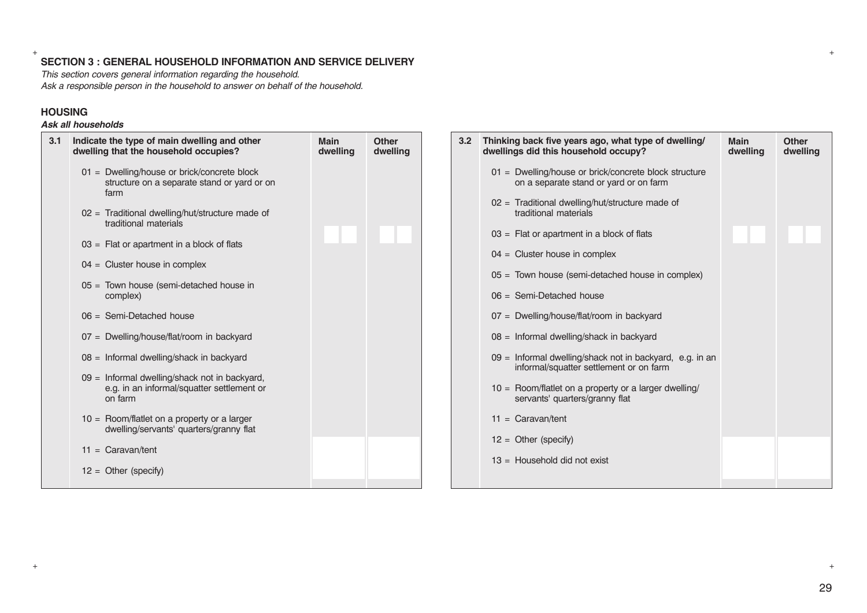# + + **SECTION 3 : GENERAL HOUSEHOLD INFORMATION AND SERVICE DELIVERY**

*This section covers general information regarding the household. Ask a responsible person in the household to answer on behalf of the household.*

# **HOUSING**

# *Ask all households*

| 3.1 | Indicate the type of main dwelling and other<br>dwelling that the household occupies?                                                                                                                                                                                                                                                                                      | <b>Main</b><br>dwelling | <b>Other</b><br>dwelling | 3.2 <sub>2</sub> | Thinking back five years ago, what type of dwelling/<br>dwellings did this household occupy?                                                                                                                                                                                                                                                                                 | <b>Main</b><br>dwelling | Other<br>dwelling |
|-----|----------------------------------------------------------------------------------------------------------------------------------------------------------------------------------------------------------------------------------------------------------------------------------------------------------------------------------------------------------------------------|-------------------------|--------------------------|------------------|------------------------------------------------------------------------------------------------------------------------------------------------------------------------------------------------------------------------------------------------------------------------------------------------------------------------------------------------------------------------------|-------------------------|-------------------|
|     | 01 = Dwelling/house or brick/concrete block<br>structure on a separate stand or yard or on<br>farm<br>$02 =$ Traditional dwelling/hut/structure made of<br>traditional materials<br>$03 =$ Flat or apartment in a block of flats<br>$04 =$ Cluster house in complex<br>$05 =$ Town house (semi-detached house in<br>complex)                                               |                         |                          |                  | 01 = Dwelling/house or brick/concrete block structure<br>on a separate stand or yard or on farm<br>$02 =$ Traditional dwelling/hut/structure made of<br>traditional materials<br>$03 =$ Flat or apartment in a block of flats<br>$04 =$ Cluster house in complex<br>$05 =$ Town house (semi-detached house in complex)<br>$06 =$ Semi-Detached house                         |                         |                   |
|     | $06 =$ Semi-Detached house<br>07 = Dwelling/house/flat/room in backyard<br>08 = Informal dwelling/shack in backyard<br>09 = Informal dwelling/shack not in backyard,<br>e.g. in an informal/squatter settlement or<br>on farm<br>$10 =$ Room/flatlet on a property or a larger<br>dwelling/servants' quarters/granny flat<br>$11 =$ Caravan/tent<br>$12 =$ Other (specify) |                         |                          |                  | 07 = Dwelling/house/flat/room in backyard<br>08 = Informal dwelling/shack in backyard<br>09 = Informal dwelling/shack not in backyard, e.g. in an<br>informal/squatter settlement or on farm<br>$10 =$ Room/flatlet on a property or a larger dwelling/<br>servants' quarters/granny flat<br>$11 =$ Caravan/tent<br>$12 =$ Other (specify)<br>$13 =$ Household did not exist |                         |                   |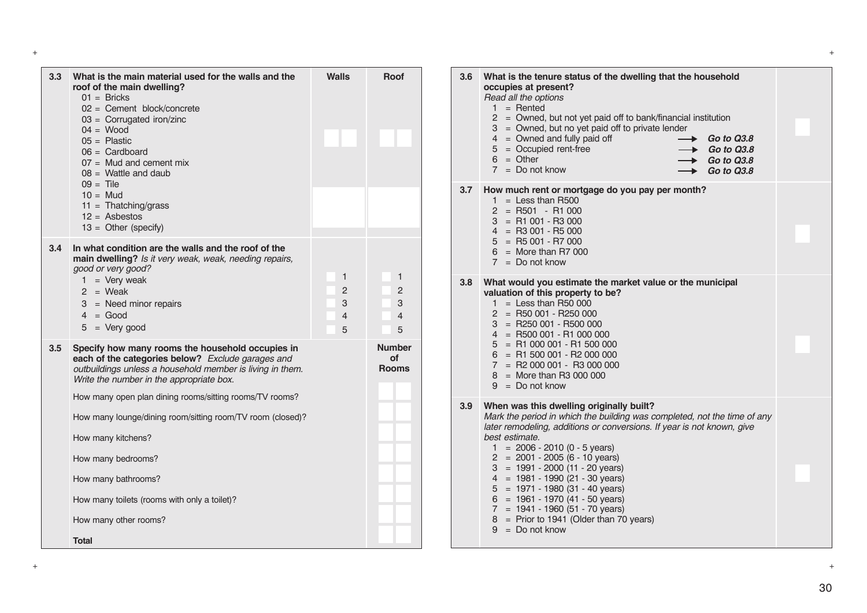| 3.3 | What is the main material used for the walls and the<br>roof of the main dwelling?<br>$01 =$ Bricks<br>$02 =$ Cement block/concrete<br>$03 =$ Corrugated iron/zinc<br>$04 = Wood$<br>$05 =$ Plastic<br>$06 =$ Cardboard<br>$07 =$ Mud and cement mix<br>$08 =$ Wattle and daub<br>$09 =$ Tile<br>$10 = Mud$<br>$11 = \text{Thatching/grass}$<br>$12 =$ Asbestos<br>$13 =$ Other (specify)                                                                                                    | <b>Walls</b>                       | <b>Roof</b>                        |
|-----|----------------------------------------------------------------------------------------------------------------------------------------------------------------------------------------------------------------------------------------------------------------------------------------------------------------------------------------------------------------------------------------------------------------------------------------------------------------------------------------------|------------------------------------|------------------------------------|
| 3.4 | In what condition are the walls and the roof of the<br>main dwelling? Is it very weak, weak, needing repairs,<br>good or very good?<br>$=$ Very weak<br>1.<br>$2 = Weak$<br>$3 =$ Need minor repairs<br>$4 = Good$<br>$5 = Very good$                                                                                                                                                                                                                                                        | 1<br>$\overline{2}$<br>3<br>4<br>5 | 1<br>$\overline{2}$<br>3<br>4<br>5 |
| 3.5 | Specify how many rooms the household occupies in<br>each of the categories below? Exclude garages and<br>outbuildings unless a household member is living in them.<br>Write the number in the appropriate box.<br>How many open plan dining rooms/sitting rooms/TV rooms?<br>How many lounge/dining room/sitting room/TV room (closed)?<br>How many kitchens?<br>How many bedrooms?<br>How many bathrooms?<br>How many toilets (rooms with only a toilet)?<br>How many other rooms?<br>Total |                                    | Number<br>Ωf<br><b>Rooms</b>       |

| Walls                                           | Roof                                                                                              | 3.6 | What is the tenure status of the dwelling that the household<br>occupies at present?<br>Read all the options<br>$1 =$ Rented<br>$2 =$ Owned, but not yet paid off to bank/financial institution<br>= Owned, but no yet paid off to private lender<br>3<br>$4 =$ Owned and fully paid off<br><b>Go to Q3.8</b><br>$=$ Occupied rent-free<br>5<br>Go to Q3.8<br>$6 = Other$<br><b>Go to Q3.8</b><br>$7 = Do$ not know<br><b>Go to Q3.8</b>                                                                                                                                                   |  |
|-------------------------------------------------|---------------------------------------------------------------------------------------------------|-----|--------------------------------------------------------------------------------------------------------------------------------------------------------------------------------------------------------------------------------------------------------------------------------------------------------------------------------------------------------------------------------------------------------------------------------------------------------------------------------------------------------------------------------------------------------------------------------------------|--|
|                                                 |                                                                                                   | 3.7 | How much rent or mortgage do you pay per month?<br>$1 =$ Less than R500<br>$2 = R501 - R1000$<br>$3 = R1001 - R3000$<br>$4 = R3001 - R5000$<br>$=$ R5 001 - R7 000<br>5<br>$6 =$ More than R7 000<br>$7 = Do$ not know                                                                                                                                                                                                                                                                                                                                                                     |  |
| 1<br>$\overline{2}$<br>3<br>$\overline{4}$<br>5 | $\mathbf{1}$<br>$\overline{2}$<br>3<br>$\overline{4}$<br>5<br><b>Number</b><br>οf<br><b>Rooms</b> | 3.8 | What would you estimate the market value or the municipal<br>valuation of this property to be?<br>$1 =$ Less than R50 000<br>$2 = R50001 - R250000$<br>$3 = R250001 - R500000$<br>$4 =$ R500 001 - R1 000 000<br>$5 = R1000001 - R1500000$<br>$= R1 500 001 - R2 000 000$<br>6<br>$7 = R2000001 - R3000000$<br>$8 =$ More than R3 000 000<br>$9 = Do$ not know                                                                                                                                                                                                                             |  |
|                                                 |                                                                                                   | 3.9 | When was this dwelling originally built?<br>Mark the period in which the building was completed, not the time of any<br>later remodeling, additions or conversions. If year is not known, give<br>best estimate.<br>$1 = 2006 - 2010 (0 - 5 \text{ years})$<br>$2 = 2001 - 2005 (6 - 10 \text{ years})$<br>$3 = 1991 - 2000 (11 - 20 years)$<br>$4 = 1981 - 1990(21 - 30 \text{ years})$<br>$5 = 1971 - 1980(31 - 40 \text{ years})$<br>$6 = 1961 - 1970(41 - 50 \text{ years})$<br>$7 = 1941 - 1960 (51 - 70 years)$<br>$=$ Prior to 1941 (Older than 70 years)<br>8<br>$9 = Do$ not know |  |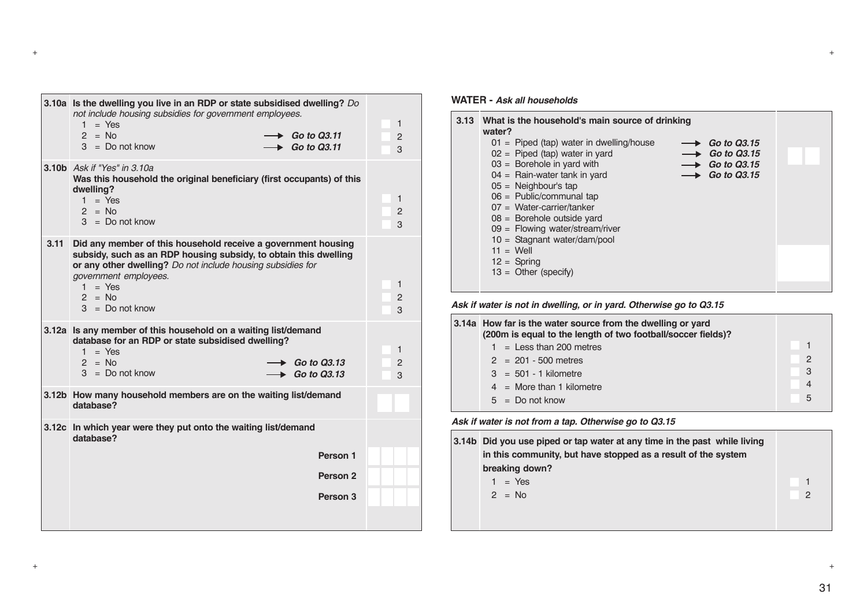|      | 3.10a Is the dwelling you live in an RDP or state subsidised dwelling? Do<br>not include housing subsidies for government employees.<br>$=$ Yes<br>1.<br>$2 = No$<br>$3 = Do not know$                                                                                  | $\rightarrow$ Go to Q3.11<br>$\triangleright$ Go to Q3.11 | 1<br>2<br>3              |
|------|-------------------------------------------------------------------------------------------------------------------------------------------------------------------------------------------------------------------------------------------------------------------------|-----------------------------------------------------------|--------------------------|
|      | 3.10b Ask if "Yes" in 3.10a<br>Was this household the original beneficiary (first occupants) of this<br>dwelling?<br>$1 = Yes$<br>$2 = No$<br>$3 = Do$ not know                                                                                                         |                                                           | 1<br>$\overline{2}$<br>3 |
| 3.11 | Did any member of this household receive a government housing<br>subsidy, such as an RDP housing subsidy, to obtain this dwelling<br>or any other dwelling? Do not include housing subsidies for<br>government employees.<br>$1 = Yes$<br>$2 = No$<br>$3 = Do$ not know |                                                           | 1<br>$\overline{2}$<br>3 |
|      | 3.12a Is any member of this household on a waiting list/demand<br>database for an RDP or state subsidised dwelling?<br>$1 = Yes$<br>$2 = No$<br>$3 = Do$ not know                                                                                                       | $\rightarrow$ Go to Q3.13<br>$\rightarrow$ Go to Q3.13    | 1<br>$\overline{2}$<br>3 |
|      | 3.12b How many household members are on the waiting list/demand<br>database?                                                                                                                                                                                            |                                                           |                          |
|      | 3.12c In which year were they put onto the waiting list/demand<br>database?                                                                                                                                                                                             |                                                           |                          |
|      |                                                                                                                                                                                                                                                                         | Person 1                                                  |                          |
|      |                                                                                                                                                                                                                                                                         | Person <sub>2</sub>                                       |                          |
|      |                                                                                                                                                                                                                                                                         | Person 3                                                  |                          |
|      |                                                                                                                                                                                                                                                                         |                                                           |                          |

#### **WATER -** *Ask all households*

+ +

Н

| 3.13 | What is the household's main source of drinking<br>water? |                               |  |
|------|-----------------------------------------------------------|-------------------------------|--|
|      | $01 =$ Piped (tap) water in dwelling/house                | $\longrightarrow$ Go to Q3.15 |  |
|      | $02 =$ Piped (tap) water in yard                          | $\longrightarrow$ Go to 03.15 |  |
|      | $03 =$ Borehole in yard with                              | $\longrightarrow$ Go to Q3.15 |  |
|      | $04$ = Rain-water tank in yard                            | $\longrightarrow$ Go to Q3.15 |  |
|      | $05 =$ Neighbour's tap                                    |                               |  |
|      | $06 =$ Public/communal tap                                |                               |  |
|      | $07 = Water-carrier/tanker$                               |                               |  |
|      | $08 =$ Borehole outside yard                              |                               |  |
|      | $09 =$ Flowing water/stream/river                         |                               |  |
|      | $10 =$ Stagnant water/dam/pool                            |                               |  |
|      | $11 = Well$                                               |                               |  |
|      | $12 =$ Spring                                             |                               |  |
|      | $13 =$ Other (specify)                                    |                               |  |
|      |                                                           |                               |  |

*Ask if water is not in dwelling, or in yard. Otherwise go to Q3.15*

| 3.14a How far is the water source from the dwelling or yard<br>(200m is equal to the length of two football/soccer fields)? |               |
|-----------------------------------------------------------------------------------------------------------------------------|---------------|
| $1 =$ Less than 200 metres                                                                                                  |               |
| $2 = 201 - 500$ metres                                                                                                      | $\mathcal{P}$ |
| $3 = 501 - 1$ kilometre                                                                                                     | -3            |
| $4 =$ More than 1 kilometre                                                                                                 |               |
| $5 = Do$ not know                                                                                                           | 5             |
|                                                                                                                             |               |

*Ask if water is not from a tap. Otherwise go to Q3.15*

| 3.14b Did you use piped or tap water at any time in the past while living<br>in this community, but have stopped as a result of the system |   |
|--------------------------------------------------------------------------------------------------------------------------------------------|---|
| breaking down?                                                                                                                             |   |
| $1 = Yes$                                                                                                                                  |   |
| $2 = No$                                                                                                                                   | 2 |
|                                                                                                                                            |   |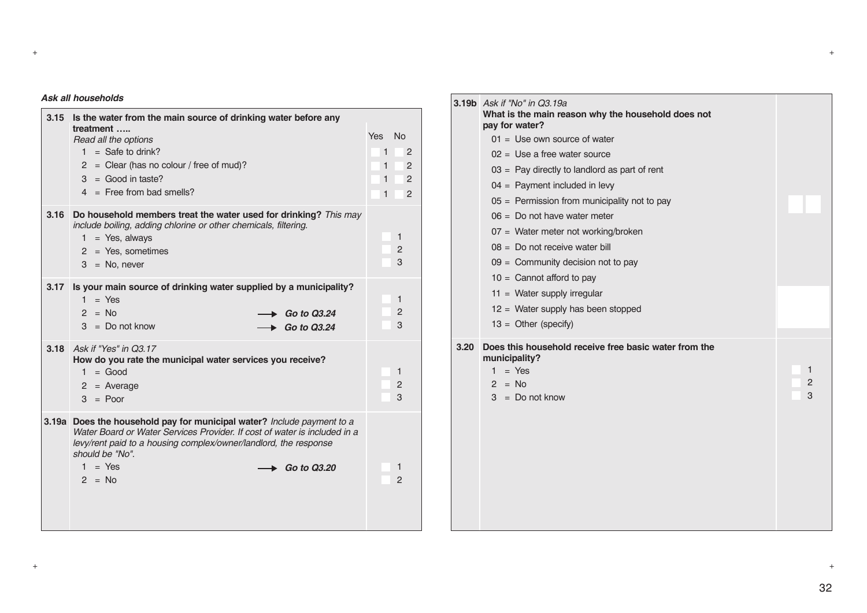#### *Ask all households*

| 3.15  | Is the water from the main source of drinking water before any                                                                                                                                                                                                                      |                                                      |                                                                                        |
|-------|-------------------------------------------------------------------------------------------------------------------------------------------------------------------------------------------------------------------------------------------------------------------------------------|------------------------------------------------------|----------------------------------------------------------------------------------------|
|       | treatment<br>Read all the options<br>$1 =$ Safe to drink?<br>$2 =$ Clear (has no colour / free of mud)?<br>$3 = Good in taste?$<br>$4 =$ Free from bad smells?                                                                                                                      | <b>Yes</b><br>1<br>$\mathbf{1}$<br>1<br>$\mathbf{1}$ | N <sub>o</sub><br>$\overline{c}$<br>$\overline{c}$<br>$\overline{c}$<br>$\overline{c}$ |
| 3.16  | Do household members treat the water used for drinking? This may<br>include boiling, adding chlorine or other chemicals, filtering.<br>$1 = Yes$ , always<br>$2 = Yes$ , sometimes<br>$3 = No$ , never                                                                              |                                                      | 1<br>$\overline{c}$<br>3                                                               |
| 3.17  | Is your main source of drinking water supplied by a municipality?<br>$1 = Yes$<br>$2 = No$<br><b>Go to Q3.24</b><br>$3 = Do$ not know<br>Go to Q3.24                                                                                                                                |                                                      | 1<br>2<br>3                                                                            |
|       | 3.18 Ask if "Yes" in Q3.17<br>How do you rate the municipal water services you receive?<br>$1 = Good$<br>$2$ = Average<br>$3 = Poor$                                                                                                                                                |                                                      | 1<br>$\overline{2}$<br>3                                                               |
| 3.19a | Does the household pay for municipal water? Include payment to a<br>Water Board or Water Services Provider. If cost of water is included in a<br>levy/rent paid to a housing complex/owner/landlord, the response<br>should be "No".<br>$1 = Yes$<br><b>Go to Q3.20</b><br>$2 = No$ |                                                      | 1<br>$\overline{2}$                                                                    |

|      | <b>3.19b</b> Ask if "No" in Q3.19a<br>What is the main reason why the household does not<br>pay for water? |                |
|------|------------------------------------------------------------------------------------------------------------|----------------|
|      | $01 =$ Use own source of water                                                                             |                |
|      | $02 =$ Use a free water source                                                                             |                |
|      | $03 =$ Pay directly to landlord as part of rent                                                            |                |
|      | $04 =$ Payment included in levy                                                                            |                |
|      | $05 =$ Permission from municipality not to pay                                                             |                |
|      | $06 =$ Do not have water meter                                                                             |                |
|      | 07 = Water meter not working/broken                                                                        |                |
|      | $08 =$ Do not receive water bill                                                                           |                |
|      | $09 =$ Community decision not to pay                                                                       |                |
|      | $10 =$ Cannot afford to pay                                                                                |                |
|      | $11 =$ Water supply irregular                                                                              |                |
|      | $12 =$ Water supply has been stopped                                                                       |                |
|      | $13 =$ Other (specify)                                                                                     |                |
| 3.20 | Does this household receive free basic water from the<br>municipality?                                     |                |
|      | $1 = Yes$                                                                                                  | 1              |
|      | $2 = No$                                                                                                   | $\overline{2}$ |
|      | $3 = Do$ not know                                                                                          | 3              |
|      |                                                                                                            |                |
|      |                                                                                                            |                |
|      |                                                                                                            |                |
|      |                                                                                                            |                |
|      |                                                                                                            |                |
|      |                                                                                                            |                |
|      |                                                                                                            |                |

+ +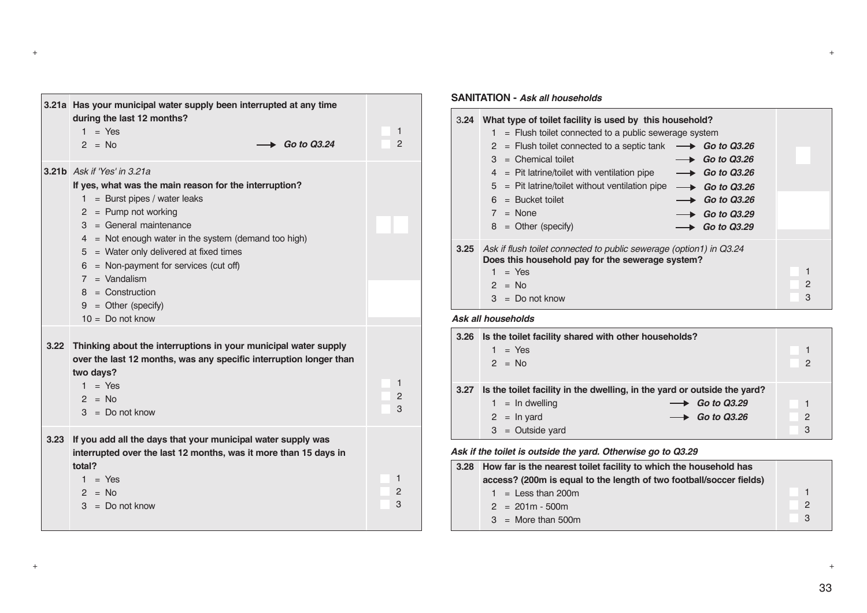|      | 3.21a Has your municipal water supply been interrupted at any time<br>during the last 12 months?<br>$1 = Yes$<br>$\triangleright$ Go to Q3.24<br>$2 = No$                                                                                                                                                                                                                                                                          | 1<br>$\mathbf{P}$        |
|------|------------------------------------------------------------------------------------------------------------------------------------------------------------------------------------------------------------------------------------------------------------------------------------------------------------------------------------------------------------------------------------------------------------------------------------|--------------------------|
|      | <b>3.21b</b> Ask if 'Yes' in 3.21a<br>If yes, what was the main reason for the interruption?<br>$1 =$ Burst pipes / water leaks<br>$2 =$ Pump not working<br>$3 = General maintenance$<br>$4 =$ Not enough water in the system (demand too high)<br>$5 =$ Water only delivered at fixed times<br>$6 = Non-payment$ for services (cut off)<br>$7 =$ Vandalism<br>$8 =$ Construction<br>$9 = Other (specific)$<br>$10 = Do$ not know |                          |
| 3.22 | Thinking about the interruptions in your municipal water supply<br>over the last 12 months, was any specific interruption longer than<br>two days?<br>$1 = Yes$<br>$2 = No$<br>$3 = Do$ not know                                                                                                                                                                                                                                   | 1<br>$\overline{2}$<br>3 |
| 3.23 | If you add all the days that your municipal water supply was<br>interrupted over the last 12 months, was it more than 15 days in<br>total?<br>$1 = Yes$<br>$2 = No$<br>$3 = Do$ not know                                                                                                                                                                                                                                           | 1<br>2<br>3              |

#### **SANITATION -** *Ask all households*

+ +

| 3.24               | What type of toilet facility is used by this household?<br>$=$ Flush toilet connected to a public sewerage system<br>1<br>$=$ Flush toilet connected to a septic tank<br>2<br>$\longrightarrow$ Go to Q3.26<br>$=$ Chemical toilet<br>3<br>Go to Q3.26<br>$\longrightarrow$ Go to Q3.26<br>$=$ Pit latrine/toilet with ventilation pipe<br>4<br>$=$ Pit latrine/toilet without ventilation pipe<br>5<br>$\longrightarrow$ Go to Q3.26<br>$=$ Bucket toilet<br>6<br>$\rightarrow$ Go to Q3.26<br>$7 = None$<br>$\rightarrow$ Go to Q3.29<br>$8 =$ Other (specify)<br>Go to Q3.29 |                   |
|--------------------|---------------------------------------------------------------------------------------------------------------------------------------------------------------------------------------------------------------------------------------------------------------------------------------------------------------------------------------------------------------------------------------------------------------------------------------------------------------------------------------------------------------------------------------------------------------------------------|-------------------|
| 3.25               | Ask if flush toilet connected to public sewerage (option1) in Q3.24<br>Does this household pay for the sewerage system?<br>$=$ Yes<br>$2 = No$<br>$3 = Do$ not know                                                                                                                                                                                                                                                                                                                                                                                                             | $\mathbf{P}$<br>3 |
| Ask all households |                                                                                                                                                                                                                                                                                                                                                                                                                                                                                                                                                                                 |                   |
|                    | 3.26 Is the toilet facility shared with other households?<br>$\sim$ $\sqrt{20}$                                                                                                                                                                                                                                                                                                                                                                                                                                                                                                 |                   |

|      | $=$ Yes<br>$2 = No$                                                      |                               | 2              |
|------|--------------------------------------------------------------------------|-------------------------------|----------------|
| 3.27 | Is the toilet facility in the dwelling, in the yard or outside the yard? |                               |                |
|      | $1 = \ln$ dwelling                                                       | $\longrightarrow$ Go to 03.29 |                |
|      | $2 = \ln \text{ yard}$                                                   | $\longrightarrow$ Go to 03.26 | $\overline{2}$ |
|      | $3 =$ Outside yard                                                       |                               | 3              |

*Ask if the toilet is outside the yard. Otherwise go to Q3.29*

| 3.28 How far is the nearest toilet facility to which the household has |               |
|------------------------------------------------------------------------|---------------|
| access? (200m is equal to the length of two football/soccer fields)    |               |
| $1 =$ Less than 200m                                                   |               |
| $2 = 201m - 500m$                                                      | 2             |
| $3 =$ More than 500m                                                   | $\mathcal{B}$ |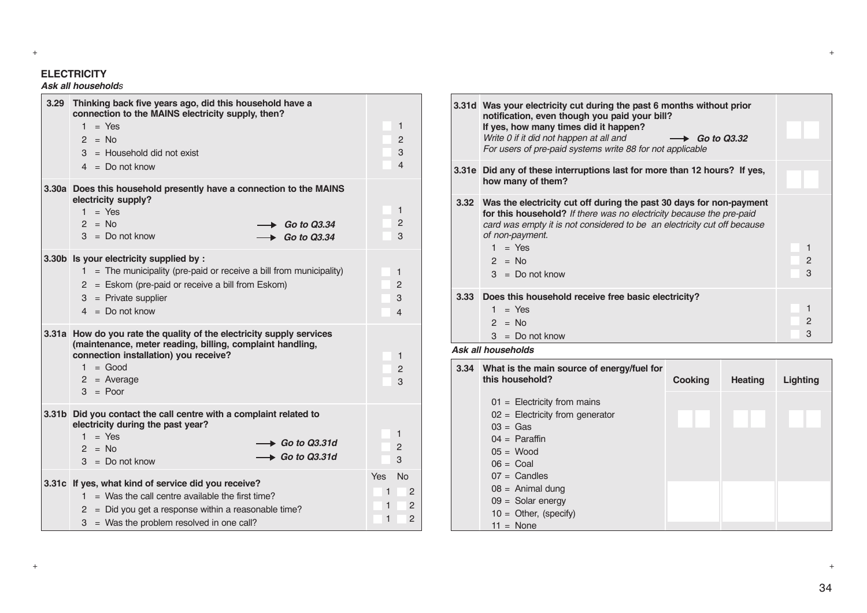#### **ELECTRICITY**

### *Ask all households*

| 3.29 | Thinking back five years ago, did this household have a<br>connection to the MAINS electricity supply, then?<br>$1 = Yes$<br>$2 = No$<br>$3 =$ Household did not exist<br>$4 = Do$ not know                             | 1<br>$\overline{2}$<br>3<br>$\overline{4}$                                                                  |
|------|-------------------------------------------------------------------------------------------------------------------------------------------------------------------------------------------------------------------------|-------------------------------------------------------------------------------------------------------------|
|      | 3.30a Does this household presently have a connection to the MAINS<br>electricity supply?<br>$1 = Yes$<br>$2 = No$<br>$\rightarrow$ Go to Q3.34<br>$3 = Do$ not know<br>$\triangleright$ Go to Q3.34                    | 1<br>$\overline{2}$<br>3                                                                                    |
|      | 3.30b Is your electricity supplied by :<br>$1 =$ The municipality (pre-paid or receive a bill from municipality)<br>2 = Eskom (pre-paid or receive a bill from Eskom)<br>$3$ = Private supplier<br>$4 = Do$ not know    | 1<br>$\overline{2}$<br>3<br>4                                                                               |
|      | 3.31a How do you rate the quality of the electricity supply services<br>(maintenance, meter reading, billing, complaint handling,<br>connection installation) you receive?<br>$1 = Good$<br>$2$ = Average<br>$3 =$ Poor | 1<br>$\overline{2}$<br>3                                                                                    |
|      | 3.31b Did you contact the call centre with a complaint related to<br>electricity during the past year?<br>$1 = Yes$<br>$\rightarrow$ Go to Q3.31d<br>$2 = No$<br>$\rightarrow$ Go to Q3.31d<br>$3 = Do$ not know        | 1<br>$\overline{2}$<br>3                                                                                    |
|      | 3.31c If yes, what kind of service did you receive?<br>$1 =$ Was the call centre available the first time?<br>$2 =$ Did you get a response within a reasonable time?<br>$3 =$ Was the problem resolved in one call?     | <b>No</b><br>Yes<br>$\overline{2}$<br>$\mathbf{1}$<br>$\overline{c}$<br>$\mathbf{1}$<br>$\overline{c}$<br>1 |

|                   | 3.31d Was your electricity cut during the past 6 months without prior<br>notification, even though you paid your bill?<br>If yes, how many times did it happen?<br>Write 0 if it did not happen at all and $\rightarrow$ Go to Q3.32<br>For users of pre-paid systems write 88 for not applicable |                     |
|-------------------|---------------------------------------------------------------------------------------------------------------------------------------------------------------------------------------------------------------------------------------------------------------------------------------------------|---------------------|
|                   | 3.31e Did any of these interruptions last for more than 12 hours? If yes,<br>how many of them?                                                                                                                                                                                                    |                     |
|                   | 3.32 Was the electricity cut off during the past 30 days for non-payment<br>for this household? If there was no electricity because the pre-paid<br>card was empty it is not considered to be an electricity cut off because<br>of non-payment.<br>$1 = Yes$<br>$2 = No$<br>$3 = Do$ not know     | $\overline{2}$<br>3 |
| 3.33 <sub>1</sub> | Does this household receive free basic electricity?<br>$=$ Yes<br>1<br>$2 = No$<br>$3 = Do$ not know                                                                                                                                                                                              | $\overline{2}$<br>3 |

#### *Ask all households*

| 3.34 | What is the main source of energy/fuel for<br>this household? | <b>Cooking</b> | <b>Heating</b> | Lighting |
|------|---------------------------------------------------------------|----------------|----------------|----------|
|      | $01 =$ Electricity from mains                                 |                |                |          |
|      | $02 =$ Electricity from generator                             |                |                |          |
|      | $03 = Gas$                                                    |                |                |          |
|      | $04 =$ Paraffin                                               |                |                |          |
|      | $05 = Wood$                                                   |                |                |          |
|      | $06 = \text{Coal}$                                            |                |                |          |
|      | $07 =$ Candles                                                |                |                |          |
|      | $08 =$ Animal dung                                            |                |                |          |
|      | $09 =$ Solar energy                                           |                |                |          |
|      | $10 =$ Other, (specify)                                       |                |                |          |
|      | $11 = \text{None}$                                            |                |                |          |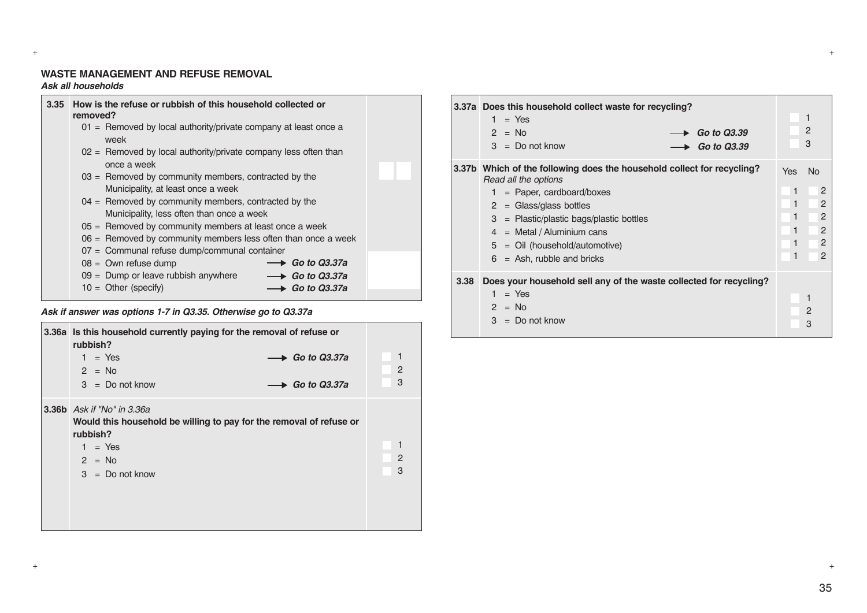#### **WASTE MANAGEMENT AND REFUSE REMOVAL** *Ask all households*

| 3.35 | How is the refuse or rubbish of this household collected or<br>removed?        |  |
|------|--------------------------------------------------------------------------------|--|
|      | 01 = Removed by local authority/private company at least once a<br>week        |  |
|      | 02 = Removed by local authority/private company less often than<br>once a week |  |
|      | $03$ = Removed by community members, contracted by the                         |  |
|      | Municipality, at least once a week                                             |  |
|      | $04$ = Removed by community members, contracted by the                         |  |
|      | Municipality, less often than once a week                                      |  |
|      | $05$ = Removed by community members at least once a week                       |  |
|      | $06$ = Removed by community members less often than once a week                |  |
|      | 07 = Communal refuse dump/communal container                                   |  |
|      | $\rightarrow$ Go to Q3.37a<br>$08 =$ Own refuse dump                           |  |
|      | $09 =$ Dump or leave rubbish anywhere<br>$\longrightarrow$ Go to Q3.37a        |  |
|      | $10 =$ Other (specify)<br>$\rightarrow$ Go to Q3.37a                           |  |
|      |                                                                                |  |

#### *Ask if answer was options 1-7 in Q3.35. Otherwise go to Q3.37a*

| 3.36a Is this household currently paying for the removal of refuse or<br>rubbish? |                |
|-----------------------------------------------------------------------------------|----------------|
| $\longrightarrow$ Go to Q3.37a<br>$1 = Yes$                                       |                |
| $2 = No$                                                                          | $\overline{2}$ |
| $3 = Do$ not know<br>$\rightarrow$ Go to Q3.37a                                   | 3              |
| <b>3.36b</b> Ask if "No" in 3.36a                                                 |                |
| Would this household be willing to pay for the removal of refuse or               |                |
| rubbish?                                                                          |                |
| $1 = Yes$                                                                         |                |
| $2 = No$                                                                          | $\mathbf{2}$   |
| $3 = Do$ not know                                                                 | 3              |
|                                                                                   |                |
|                                                                                   |                |
|                                                                                   |                |
|                                                                                   |                |

|      | 3.37a Does this household collect waste for recycling?<br>$=$ Yes<br>1<br>$2 = No$<br>Go to Q3.39<br>$3 = Do$ not know<br>Go to Q3.39                                                                                                                                                                             | 1<br>$\mathbf{2}$<br>3                                                                                                          |
|------|-------------------------------------------------------------------------------------------------------------------------------------------------------------------------------------------------------------------------------------------------------------------------------------------------------------------|---------------------------------------------------------------------------------------------------------------------------------|
|      | 3.37b Which of the following does the household collect for recycling?<br>Read all the options<br>$=$ Paper, cardboard/boxes<br>1.<br>$2 = \frac{Glass}{Glass}$<br>$3$ = Plastic/plastic bags/plastic bottles<br>$4 =$ Metal / Aluminium cans<br>$5 =$ Oil (household/automotive)<br>$6 =$ Ash, rubble and bricks | <b>Yes</b><br>N <sub>o</sub><br>1<br>2<br>$\overline{2}$<br>1<br>1<br>$\overline{2}$<br>1<br>2<br>2<br>1<br>$\overline{2}$<br>1 |
| 3.38 | Does your household sell any of the waste collected for recycling?<br>$=$ Yes<br>$\mathbf{1}$<br>$2 = No$<br>$3 = Do$ not know                                                                                                                                                                                    | 1<br>$\mathbf{2}$<br>3                                                                                                          |

+ +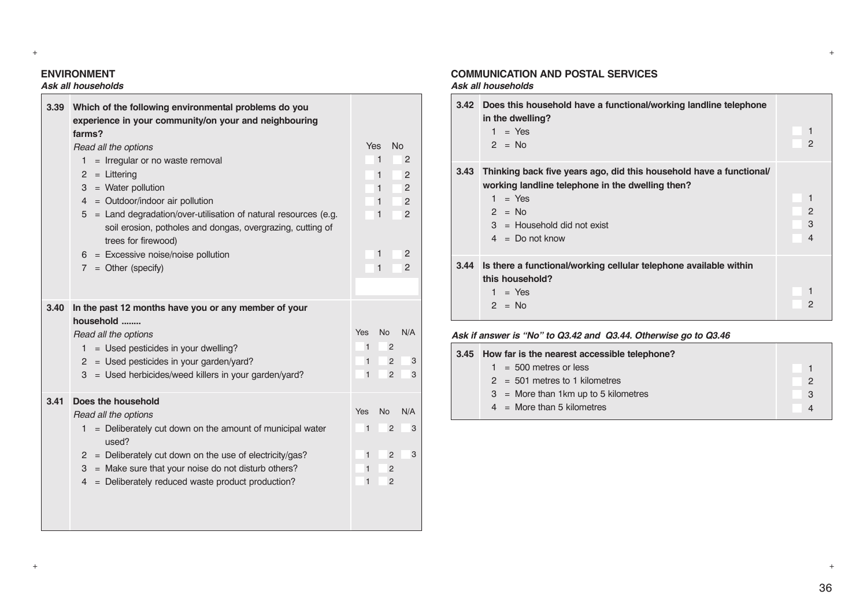# **ENVIRONMENT**

#### *Ask all households* **The Communication**

| 3.39 | Which of the following environmental problems do you                              |              |                |                |
|------|-----------------------------------------------------------------------------------|--------------|----------------|----------------|
|      | experience in your community/on your and neighbouring                             |              |                |                |
|      | farms?                                                                            |              |                |                |
|      | Read all the options                                                              | <b>Yes</b>   |                | <b>No</b>      |
|      | = Irregular or no waste removal<br>1                                              |              | 1              | $\overline{2}$ |
|      | $2 = Littering$                                                                   |              | 1              | $\overline{2}$ |
|      | $=$ Water pollution<br>3                                                          |              | 1              | 2              |
|      | = Outdoor/indoor air pollution<br>4                                               |              | 1              | 2              |
|      | $5 =$ Land degradation/over-utilisation of natural resources (e.g.                |              | $\mathbf{1}$   | 2              |
|      | soil erosion, potholes and dongas, overgrazing, cutting of<br>trees for firewood) |              |                |                |
|      | $6 =$ Excessive noise/noise pollution                                             |              | 1              | $\overline{2}$ |
|      | $7 = Other (specific)$                                                            |              | $\mathbf{1}$   | $\mathbf{P}$   |
|      |                                                                                   |              |                |                |
| 3.40 | In the past 12 months have you or any member of your                              |              |                |                |
|      | household                                                                         |              |                |                |
|      | Read all the options                                                              | Yes          | <b>No</b>      | N/A            |
|      | = Used pesticides in your dwelling?<br>1.                                         | $\mathbf{1}$ | $\overline{2}$ |                |
|      | $=$ Used pesticides in your garden/yard?<br>$\mathbf{2}$                          | $\mathbf{1}$ | $\overline{2}$ | 3              |
|      | 3 = Used herbicides/weed killers in your garden/yard?                             | $\mathbf{1}$ | $\overline{2}$ | 3              |
| 3.41 | Does the household                                                                |              |                |                |
|      | Read all the options                                                              | Yes          | <b>No</b>      | N/A            |
|      | $=$ Deliberately cut down on the amount of municipal water<br>1<br>used?          | $\mathbf{1}$ | $\overline{2}$ | 3              |
|      | $2 =$ Deliberately cut down on the use of electricity/gas?                        | $\mathbf{1}$ | $\overline{2}$ | 3              |
|      | = Make sure that your noise do not disturb others?<br>3                           | $\mathbf{1}$ | $\overline{2}$ |                |
|      | = Deliberately reduced waste product production?<br>4                             | $\mathbf{1}$ | $\overline{2}$ |                |
|      |                                                                                   |              |                |                |
|      |                                                                                   |              |                |                |
|      |                                                                                   |              |                |                |

# **COMMUNICATION AND POSTAL SERVICES**

#### *Ask all households*

+ +

+ +

| 3.42 | Does this household have a functional/working landline telephone<br>in the dwelling?<br>$1 = Yes$<br>$2 = No$                                                                                         | $\overline{c}$ |
|------|-------------------------------------------------------------------------------------------------------------------------------------------------------------------------------------------------------|----------------|
| 3.43 | Thinking back five years ago, did this household have a functional<br>working landline telephone in the dwelling then?<br>$1 = Yes$<br>$2 = No$<br>$3 =$ Household did not exist<br>$4 = Do$ not know | 2<br>3<br>4    |
| 3.44 | Is there a functional/working cellular telephone available within<br>this household?<br>$1 = Yes$<br>$2 = No$                                                                                         | 2              |

### *Ask if answer is "No" to Q3.42 and Q3.44. Otherwise go to Q3.46*

| 3.45 How far is the nearest accessible telephone? |    |
|---------------------------------------------------|----|
| $1 = 500$ metres or less                          |    |
| $2 = 501$ metres to 1 kilometres                  | 2  |
| $3 =$ More than 1 km up to 5 kilometres           | -3 |
| $4 =$ More than 5 kilometres                      |    |
|                                                   |    |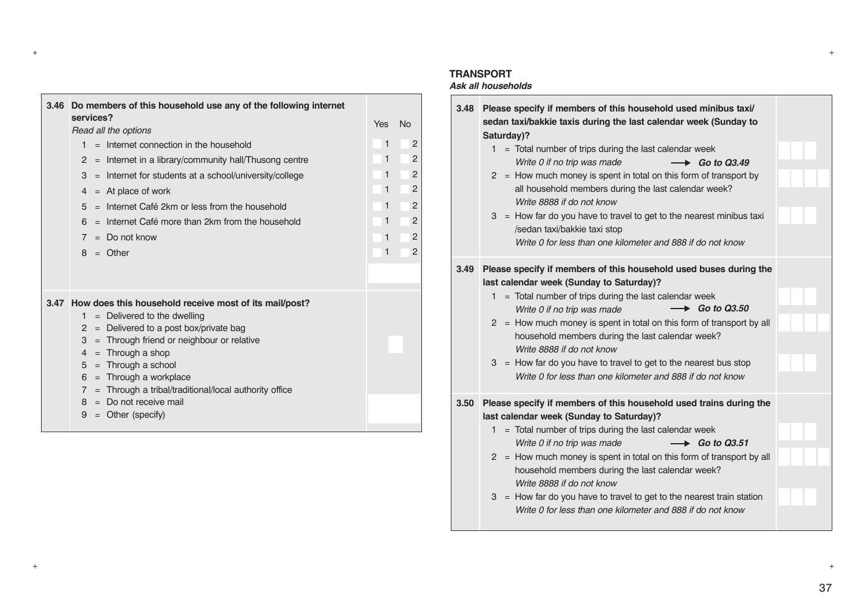| 3.46 | Do members of this household use any of the following internet                                                                                                                                                                                                                                                                                                                                                                                     |                       |                                                                         |
|------|----------------------------------------------------------------------------------------------------------------------------------------------------------------------------------------------------------------------------------------------------------------------------------------------------------------------------------------------------------------------------------------------------------------------------------------------------|-----------------------|-------------------------------------------------------------------------|
|      | services?<br>Read all the options                                                                                                                                                                                                                                                                                                                                                                                                                  | Yes                   | <b>No</b>                                                               |
|      | $=$ Internet connection in the household<br>1.<br>$=$ Internet in a library/community hall/Thusong centre<br>$\overline{2}$<br>$=$ Internet for students at a school/university/college<br>3<br>$=$ At place of work<br>4<br>$=$ Internet Café 2km or less from the household<br>5                                                                                                                                                                 | 1<br>1<br>1<br>1<br>1 | $\overline{2}$<br>$\overline{2}$<br>$\overline{2}$<br>$\mathbf{P}$<br>2 |
|      | $=$ Internet Café more than 2km from the household<br>6<br>$=$ Do not know<br>$\overline{7}$<br>$8 =$ Other                                                                                                                                                                                                                                                                                                                                        | 1<br>1<br>1           | $\overline{2}$<br>$\mathbf{P}$<br>$\mathbf{P}$                          |
|      | 3.47 How does this household receive most of its mail/post?<br>$=$ Delivered to the dwelling<br>1.<br>$=$ Delivered to a post box/private bag<br>2<br>$=$ Through friend or neighbour or relative<br>3<br>$=$ Through a shop<br>$\overline{4}$<br>$=$ Through a school<br>5<br>$=$ Through a workplace<br>6<br>= Through a tribal/traditional/local authority office<br>$\overline{7}$<br>$=$ Do not receive mail<br>8<br>$=$ Other (specify)<br>9 |                       |                                                                         |

#### **TRANSPORT**

+ +

+ +

# *Ask all households*

| 3.48 | Please specify if members of this household used minibus taxi/<br>sedan taxi/bakkie taxis during the last calendar week (Sunday to<br>Saturday)?<br>$1 =$ Total number of trips during the last calendar week<br>Write 0 if no trip was made<br>$\longrightarrow$ Go to Q3.49<br>$2 =$ How much money is spent in total on this form of transport by<br>all household members during the last calendar week?<br>Write 8888 if do not know<br>$3 =$ How far do you have to travel to get to the nearest minibus taxi<br>/sedan taxi/bakkie taxi stop<br>Write 0 for less than one kilometer and 888 if do not know |  |
|------|-------------------------------------------------------------------------------------------------------------------------------------------------------------------------------------------------------------------------------------------------------------------------------------------------------------------------------------------------------------------------------------------------------------------------------------------------------------------------------------------------------------------------------------------------------------------------------------------------------------------|--|
| 3.49 | Please specify if members of this household used buses during the<br>last calendar week (Sunday to Saturday)?<br>= Total number of trips during the last calendar week<br>1.<br>$\longrightarrow$ Go to Q3.50<br>Write 0 if no trip was made<br>2 = How much money is spent in total on this form of transport by all<br>household members during the last calendar week?<br>Write 8888 if do not know<br>$3 =$ How far do you have to travel to get to the nearest bus stop<br>Write 0 for less than one kilometer and 888 if do not know                                                                        |  |
| 3.50 | Please specify if members of this household used trains during the<br>last calendar week (Sunday to Saturday)?<br>$1 =$ Total number of trips during the last calendar week<br>Write 0 if no trip was made<br>$\longrightarrow$ Go to Q3.51<br>$2 =$ How much money is spent in total on this form of transport by all<br>household members during the last calendar week?<br>Write 8888 if do not know<br>$3 =$ How far do you have to travel to get to the nearest train station<br>Write 0 for less than one kilometer and 888 if do not know                                                                  |  |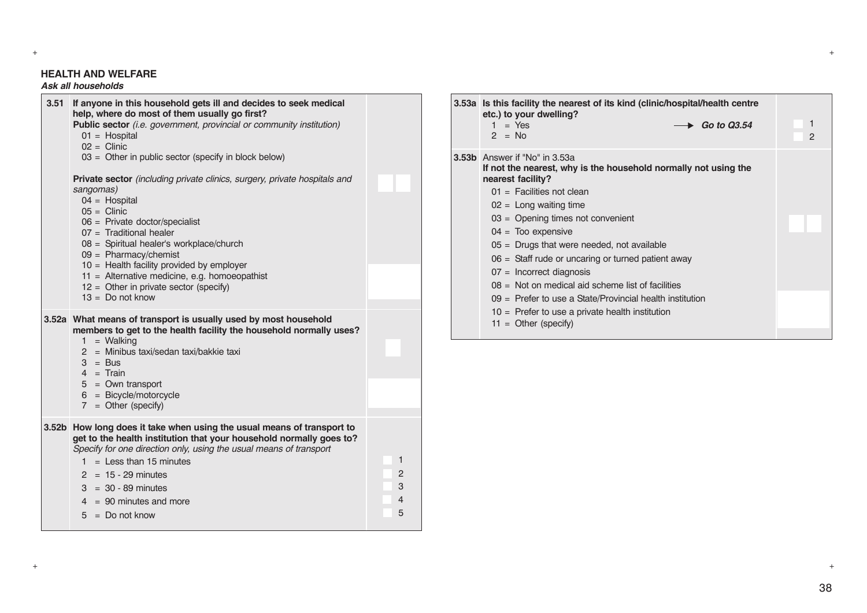### **HEALTH AND WELFARE**

# *Ask all households*

| 3.51              | If anyone in this household gets ill and decides to seek medical<br>help, where do most of them usually go first?<br>Public sector (i.e. government, provincial or community institution)<br>$01 =$ Hospital<br>$02 =$ Clinic<br>$03 =$ Other in public sector (specify in block below)                                                         |                                    |
|-------------------|-------------------------------------------------------------------------------------------------------------------------------------------------------------------------------------------------------------------------------------------------------------------------------------------------------------------------------------------------|------------------------------------|
|                   | Private sector (including private clinics, surgery, private hospitals and<br>sangomas)<br>$04 =$ Hospital<br>$05 =$ Clinic<br>$06$ = Private doctor/specialist<br>$07 =$ Traditional healer<br>08 = Spiritual healer's workplace/church<br>$09 =$ Pharmacy/chemist                                                                              |                                    |
|                   | $10 =$ Health facility provided by employer<br>11 = Alternative medicine, e.g. homoeopathist<br>$12 =$ Other in private sector (specify)<br>$13 =$ Do not know                                                                                                                                                                                  |                                    |
|                   | 3.52a What means of transport is usually used by most household<br>members to get to the health facility the household normally uses?<br>$1 =$ Walking<br>2 = Minibus taxi/sedan taxi/bakkie taxi<br>$3 = Bus$<br>$4 = Train$                                                                                                                   |                                    |
|                   | $5 = Own transport$<br>$6 = Bicycle/motorcycle$<br>$7 = Other (specific)$                                                                                                                                                                                                                                                                       |                                    |
| 3.52 <sub>b</sub> | How long does it take when using the usual means of transport to<br>get to the health institution that your household normally goes to?<br>Specify for one direction only, using the usual means of transport<br>$1 =$ Less than 15 minutes<br>$2 = 15 - 29$ minutes<br>$3 = 30 - 89$ minutes<br>$4 = 90$ minutes and more<br>$5 = Do$ not know | 1<br>2<br>3<br>$\overline{4}$<br>5 |
|                   |                                                                                                                                                                                                                                                                                                                                                 |                                    |

| 3.53a Is this facility the nearest of its kind (clinic/hospital/health centre<br>etc.) to your dwelling?<br>$=$ Yes<br>1<br>$\rightarrow$ Go to Q3.54<br>$2 = No$                                                                                                                                                                                                                                                                                                                                                                                                                         | $\overline{2}$ |
|-------------------------------------------------------------------------------------------------------------------------------------------------------------------------------------------------------------------------------------------------------------------------------------------------------------------------------------------------------------------------------------------------------------------------------------------------------------------------------------------------------------------------------------------------------------------------------------------|----------------|
| 3.53b Answer if "No" in 3.53a<br>If not the nearest, why is the household normally not using the<br>nearest facility?<br>$01 =$ Facilities not clean<br>$02 =$ Long waiting time<br>$03 =$ Opening times not convenient<br>$04 =$ Too expensive<br>$05$ = Drugs that were needed, not available<br>$06$ = Staff rude or uncaring or turned patient away<br>$07 =$ Incorrect diagnosis<br>$08 =$ Not on medical aid scheme list of facilities<br>$09$ = Prefer to use a State/Provincial health institution<br>$10$ = Prefer to use a private health institution<br>$11 =$ Other (specify) |                |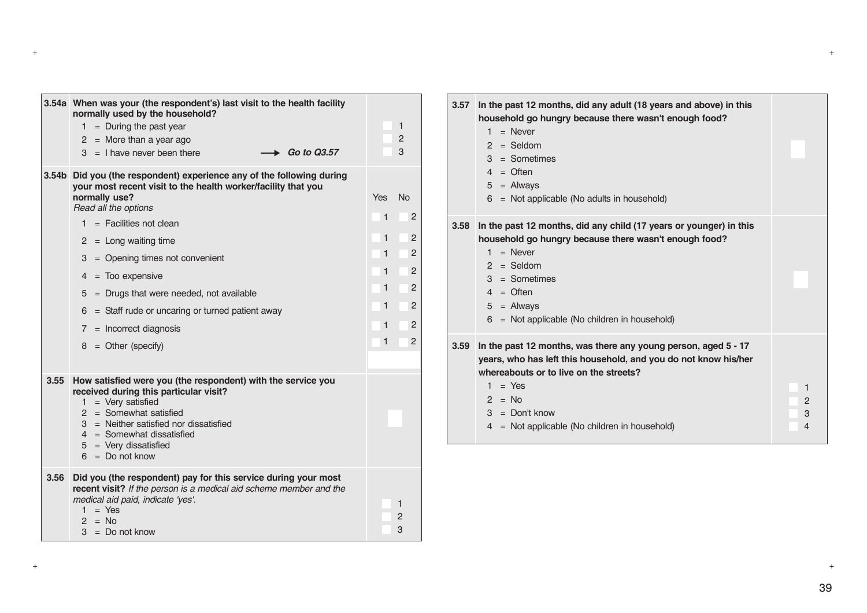|      | 3.54a When was your (the respondent's) last visit to the health facility<br>normally used by the household?<br>$1 =$ During the past year<br>$2 =$ More than a year ago<br>Go to Q3.57<br>$3 =$ I have never been there                                                                                                                                                                                                                                           | 1<br>2<br>3                                                                                                                                                                                    |
|------|-------------------------------------------------------------------------------------------------------------------------------------------------------------------------------------------------------------------------------------------------------------------------------------------------------------------------------------------------------------------------------------------------------------------------------------------------------------------|------------------------------------------------------------------------------------------------------------------------------------------------------------------------------------------------|
|      | 3.54b Did you (the respondent) experience any of the following during<br>your most recent visit to the health worker/facility that you<br>normally use?<br>Read all the options<br>$1 =$ Facilities not clean<br>$2 = Long$ waiting time<br>$3 =$ Opening times not convenient<br>$4 =$ Too expensive<br>$5 =$ Drugs that were needed, not available<br>$6 =$ Staff rude or uncaring or turned patient away<br>$7 =$ Incorrect diagnosis<br>$8 =$ Other (specify) | <b>No</b><br><b>Yes</b><br>1<br>$\overline{2}$<br>1<br>2<br>$\overline{2}$<br>$\mathbf{1}$<br>$\overline{2}$<br>1<br>$\overline{2}$<br>1<br>1<br>$\overline{2}$<br>2<br>1<br>2<br>$\mathbf{1}$ |
| 3.55 | How satisfied were you (the respondent) with the service you<br>received during this particular visit?<br>$1 = \text{Very satisfied}$<br>$2 =$ Somewhat satisfied<br>3 = Neither satisfied nor dissatisfied<br>$4 =$ Somewhat dissatisfied<br>$5 = \text{Very dissatisfied}$<br>$6 = Do$ not know                                                                                                                                                                 |                                                                                                                                                                                                |
| 3.56 | Did you (the respondent) pay for this service during your most<br>recent visit? If the person is a medical aid scheme member and the<br>medical aid paid, indicate 'yes'.<br>$1 = Yes$<br>$2 = No$<br>$3 = Do$ not know                                                                                                                                                                                                                                           | 1<br>$\overline{c}$<br>3                                                                                                                                                                       |

| 3.57 | In the past 12 months, did any adult (18 years and above) in this<br>household go hungry because there wasn't enough food?<br>$1 =$ Never<br>$2 =$ Seldom<br>$3 =$ Sometimes<br>$4 =$ Often<br>$5 =$ Always<br>$6 =$ Not applicable (No adults in household)              |                  |
|------|---------------------------------------------------------------------------------------------------------------------------------------------------------------------------------------------------------------------------------------------------------------------------|------------------|
| 3.58 | In the past 12 months, did any child (17 years or younger) in this<br>household go hungry because there wasn't enough food?<br>$1 =$ Never<br>$2 =$ Seldom<br>$3 =$ Sometimes<br>$4 =$ Often<br>$5 =$ Always<br>$6 =$ Not applicable (No children in household)           |                  |
| 3.59 | In the past 12 months, was there any young person, aged 5 - 17<br>years, who has left this household, and you do not know his/her<br>whereabouts or to live on the streets?<br>$1 = Yes$<br>$2 = No$<br>$3 =$ Don't know<br>4 = Not applicable (No children in household) | 1<br>2<br>3<br>4 |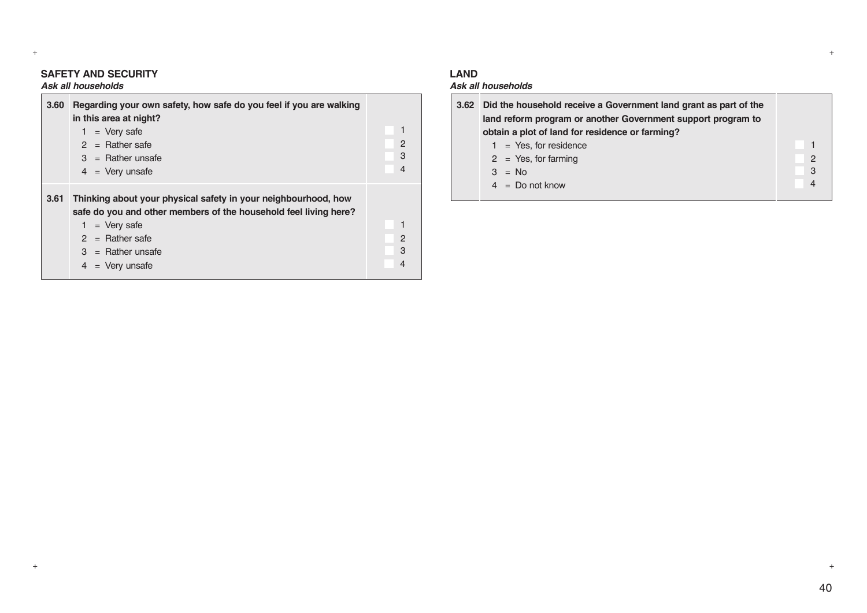# **SAFETY AND SECURITY**

# *Ask all households*

| 3.60 | Regarding your own safety, how safe do you feel if you are walking<br>in this area at night?<br>$=$ Very safe<br>$2 =$ Rather safe<br>$3 =$ Rather unsafe<br>$4 = \text{Very}$ unsafe                                                  | 2<br>3<br>4            |
|------|----------------------------------------------------------------------------------------------------------------------------------------------------------------------------------------------------------------------------------------|------------------------|
| 3.61 | Thinking about your physical safety in your neighbourhood, how<br>safe do you and other members of the household feel living here?<br>$=$ Very safe<br>$=$ Rather safe<br>$\mathcal{P}$<br>$3 =$ Rather unsafe<br>$=$ Very unsafe<br>4 | $\mathbf{2}$<br>3<br>4 |

#### **LAND**

+ +

# *Ask all households*

| 3.62 Did the household receive a Government land grant as part of the<br>land reform program or another Government support program to<br>obtain a plot of land for residence or farming? |               |
|------------------------------------------------------------------------------------------------------------------------------------------------------------------------------------------|---------------|
| $1 = Yes$ , for residence                                                                                                                                                                |               |
| $2 = Yes$ , for farming                                                                                                                                                                  | $\mathcal{P}$ |
| $3 = No$                                                                                                                                                                                 | 3             |
| $4 = Do$ not know                                                                                                                                                                        | 4             |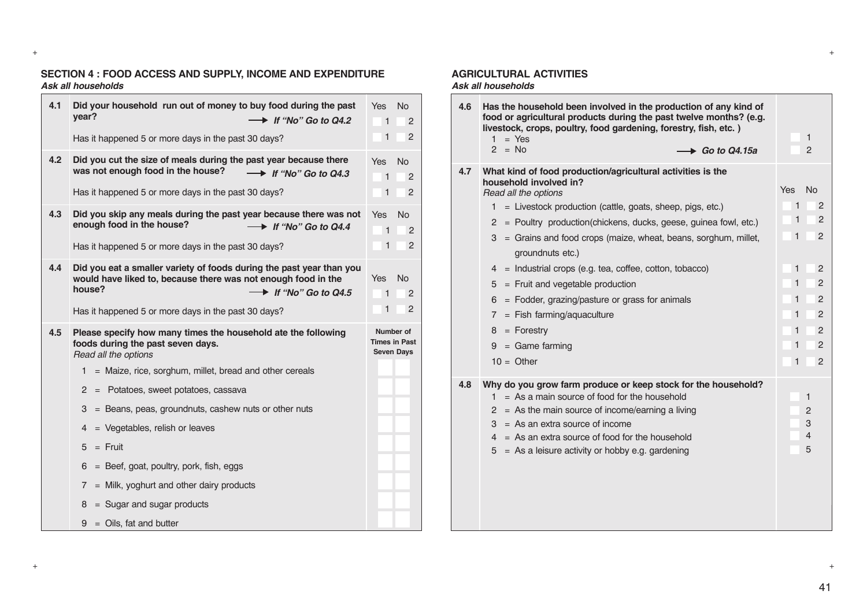#### **SECTION 4 : FOOD ACCESS AND SUPPLY, INCOME AND EXPENDITURE** *Ask all households*

| 4.1 | Did your household run out of money to buy food during the past<br>vear?<br>$\rightarrow$ If "No" Go to Q4.2                                                                        | No<br><b>Yes</b><br>1<br>2                             |
|-----|-------------------------------------------------------------------------------------------------------------------------------------------------------------------------------------|--------------------------------------------------------|
|     | Has it happened 5 or more days in the past 30 days?                                                                                                                                 | 1<br>2                                                 |
| 4.2 | Did you cut the size of meals during the past year because there<br>was not enough food in the house?<br>$\rightarrow$ If "No" Go to Q4.3                                           | <b>Yes</b><br>No<br>1<br>2                             |
|     | Has it happened 5 or more days in the past 30 days?                                                                                                                                 | 1<br>$\overline{2}$                                    |
| 4.3 | Did you skip any meals during the past year because there was not<br>enough food in the house?<br>$\rightarrow$ If "No" Go to Q4.4<br>$\overline{\phantom{0}}$                      | Yes<br>N <sub>o</sub><br>2<br>1                        |
|     | Has it happened 5 or more days in the past 30 days?                                                                                                                                 | $\overline{2}$<br>$\mathbf{1}$                         |
| 4.4 | Did you eat a smaller variety of foods during the past year than you<br>would have liked to, because there was not enough food in the<br>house?<br>$\rightarrow$ If "No" Go to Q4.5 | <b>Yes</b><br>No<br>$\mathbf{1}$<br>2                  |
|     | Has it happened 5 or more days in the past 30 days?                                                                                                                                 | $\mathbf{1}$<br>$\overline{2}$                         |
| 4.5 | Please specify how many times the household ate the following<br>foods during the past seven days.<br>Read all the options                                                          | Number of<br><b>Times in Past</b><br><b>Seven Days</b> |
|     | 1<br>= Maize, rice, sorghum, millet, bread and other cereals                                                                                                                        |                                                        |
|     | 2 = Potatoes, sweet potatoes, cassava                                                                                                                                               |                                                        |
|     | = Beans, peas, groundnuts, cashew nuts or other nuts<br>3                                                                                                                           |                                                        |
|     | = Vegetables, relish or leaves<br>4                                                                                                                                                 |                                                        |
|     | $5 =$ Fruit                                                                                                                                                                         |                                                        |
|     | = Beef, goat, poultry, pork, fish, eggs<br>6                                                                                                                                        |                                                        |
|     | $=$ Milk, yoghurt and other dairy products<br>7                                                                                                                                     |                                                        |
|     | $=$ Sugar and sugar products<br>8                                                                                                                                                   |                                                        |
|     | $=$ Oils, fat and butter<br>9                                                                                                                                                       |                                                        |

#### **AGRICULTURAL ACTIVITIES**

#### *Ask all households*

| 4.6 | Has the household been involved in the production of any kind of<br>food or agricultural products during the past twelve months? (e.g.<br>livestock, crops, poultry, food gardening, forestry, fish, etc.)<br>1.<br>$=$ Yes<br>$2 = No$<br>$\rightarrow$ Go to Q4.15a                                                                                                                                                                                                                                                                                                                                                          |                                                              | 1<br>$\overline{2}$                                                      |
|-----|--------------------------------------------------------------------------------------------------------------------------------------------------------------------------------------------------------------------------------------------------------------------------------------------------------------------------------------------------------------------------------------------------------------------------------------------------------------------------------------------------------------------------------------------------------------------------------------------------------------------------------|--------------------------------------------------------------|--------------------------------------------------------------------------|
| 4.7 | What kind of food production/agricultural activities is the<br>household involved in?<br>Read all the options<br>= Livestock production (cattle, goats, sheep, pigs, etc.)<br>1.<br>$2 =$ Poultry production(chickens, ducks, geese, guinea fowl, etc.)<br>$3 =$ Grains and food crops (maize, wheat, beans, sorghum, millet,<br>groundnuts etc.)<br>$=$ Industrial crops (e.g. tea, coffee, cotton, tobacco)<br>4<br>$5 =$ Fruit and vegetable production<br>$6 =$ Fodder, grazing/pasture or grass for animals<br>$=$ Fish farming/aquaculture<br>$7^{\circ}$<br>$8 =$ Forestry<br>$9 = \text{Game farming}$<br>$10 =$ Other | <b>Yes</b><br>1<br>1<br>1<br>1<br>1<br>1<br>1<br>1<br>1<br>1 | <b>No</b><br>2<br>2<br>$\overline{2}$<br>2<br>2<br>2<br>2<br>2<br>2<br>2 |
| 4.8 | Why do you grow farm produce or keep stock for the household?<br>$=$ As a main source of food for the household<br>1.<br>$=$ As the main source of income/earning a living<br>$\mathbf{2}$<br>$3 = As$ an extra source of income<br>$4 = As$ an extra source of food for the household<br>$5 = As a leisure activity or hobby e.g. gardening$                                                                                                                                                                                                                                                                                  |                                                              | 1<br>$\overline{2}$<br>3<br>4<br>5                                       |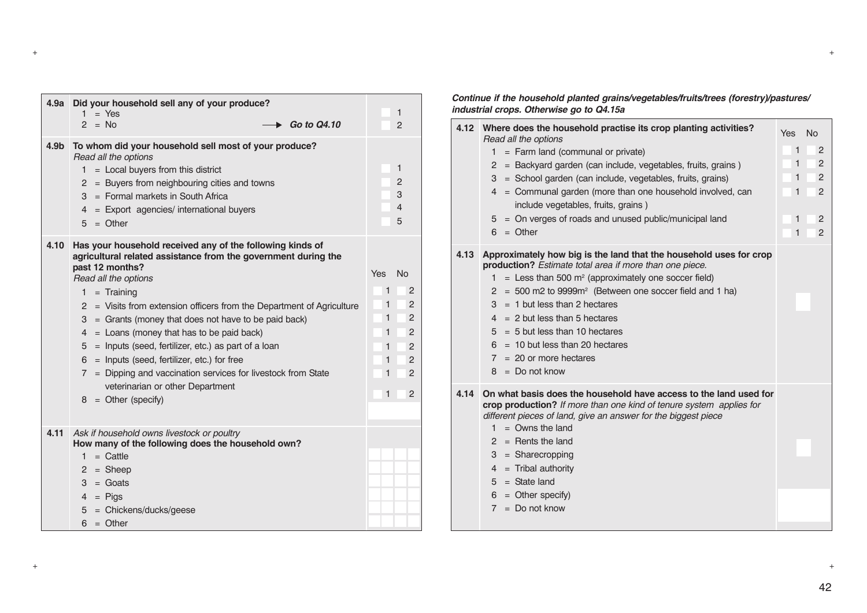| 4.9a             | Did your household sell any of your produce?<br>$=$ Yes<br>1<br>$2 = No$<br>Go to Q4.10                                                                                                                                                                                                                                                                                                                                                                                                                                                                                                                                    | 1<br>$\overline{2}$                                                                                                                                                                          |
|------------------|----------------------------------------------------------------------------------------------------------------------------------------------------------------------------------------------------------------------------------------------------------------------------------------------------------------------------------------------------------------------------------------------------------------------------------------------------------------------------------------------------------------------------------------------------------------------------------------------------------------------------|----------------------------------------------------------------------------------------------------------------------------------------------------------------------------------------------|
| 4.9 <sub>b</sub> | To whom did your household sell most of your produce?<br>Read all the options<br>$1 =$ Local buyers from this district<br>$=$ Buyers from neighbouring cities and towns<br>$^{2}$<br>$3 =$ Formal markets in South Africa<br>4 = Export agencies/ international buyers<br>$5 =$ Other                                                                                                                                                                                                                                                                                                                                      | $\mathbf{1}$<br>2<br>3<br>4<br>5                                                                                                                                                             |
| 4.10             | Has your household received any of the following kinds of<br>agricultural related assistance from the government during the<br>past 12 months?<br>Read all the options<br>$1 =$ Training<br>2 = Visits from extension officers from the Department of Agriculture<br>$3 =$ Grants (money that does not have to be paid back)<br>$4 =$ Loans (money that has to be paid back)<br>= Inputs (seed, fertilizer, etc.) as part of a loan<br>5<br>= Inputs (seed, fertilizer, etc.) for free<br>6.<br>7 = Dipping and vaccination services for livestock from State<br>veterinarian or other Department<br>$8 =$ Other (specify) | <b>Yes</b><br><b>No</b><br>1<br>$\overline{2}$<br>1<br>2<br>1<br>2<br>$\mathbf{1}$<br>2<br>1<br>2<br>1<br>$\overline{2}$<br>$\overline{2}$<br>$\mathbf{1}$<br>$\mathbf{1}$<br>$\overline{2}$ |
| 4.11             | Ask if household owns livestock or poultry<br>How many of the following does the household own?<br>$1 =$ Cattle<br>$=$ Sheep<br>$^{2}$<br>$=$ Goats<br>3<br>$4 = \text{Pigs}$<br>= Chickens/ducks/geese<br>5<br>$6 =$ Other                                                                                                                                                                                                                                                                                                                                                                                                |                                                                                                                                                                                              |

#### *Continue if the household planted grains/vegetables/fruits/trees (forestry)/pastures/ industrial crops. Otherwise go to Q4.15a*

|      | 4.12 Where does the household practise its crop planting activities?<br>Read all the options<br>$1 =$ Farm land (communal or private)<br>2 = Backyard garden (can include, vegetables, fruits, grains)<br>3 = School garden (can include, vegetables, fruits, grains)<br>$4 =$ Communal garden (more than one household involved, can<br>include vegetables, fruits, grains)<br>$5 =$ On verges of roads and unused public/municipal land<br>$6 = Other$                            | Yes No<br>$\mathbf{1}$<br>1<br>$\mathbf{1}$<br>1<br>1<br>1 | 2<br>2<br>2<br>2<br>2<br>$\overline{2}$ |
|------|-------------------------------------------------------------------------------------------------------------------------------------------------------------------------------------------------------------------------------------------------------------------------------------------------------------------------------------------------------------------------------------------------------------------------------------------------------------------------------------|------------------------------------------------------------|-----------------------------------------|
| 4.13 | Approximately how big is the land that the household uses for crop<br>production? Estimate total area if more than one piece.<br>$1 =$ Less than 500 m <sup>2</sup> (approximately one soccer field)<br>$2 = 500$ m2 to 9999m <sup>2</sup> (Between one soccer field and 1 ha)<br>$3 = 1$ but less than 2 hectares<br>$4 = 2$ but less than 5 hectares<br>$5 = 5$ but less than 10 hectares<br>$6 = 10$ but less than 20 hectares<br>$7 = 20$ or more hectares<br>$8 = Do$ not know |                                                            |                                         |
| 4.14 | On what basis does the household have access to the land used for<br>crop production? If more than one kind of tenure system applies for<br>different pieces of land, give an answer for the biggest piece<br>$=$ Owns the land<br>1.<br>$2 =$ Rents the land<br>$3 = Sharecropping$<br>$4 =$ Tribal authority<br>$5 = State$ land<br>$6 =$ Other specify)<br>$7 = Do$ not know                                                                                                     |                                                            |                                         |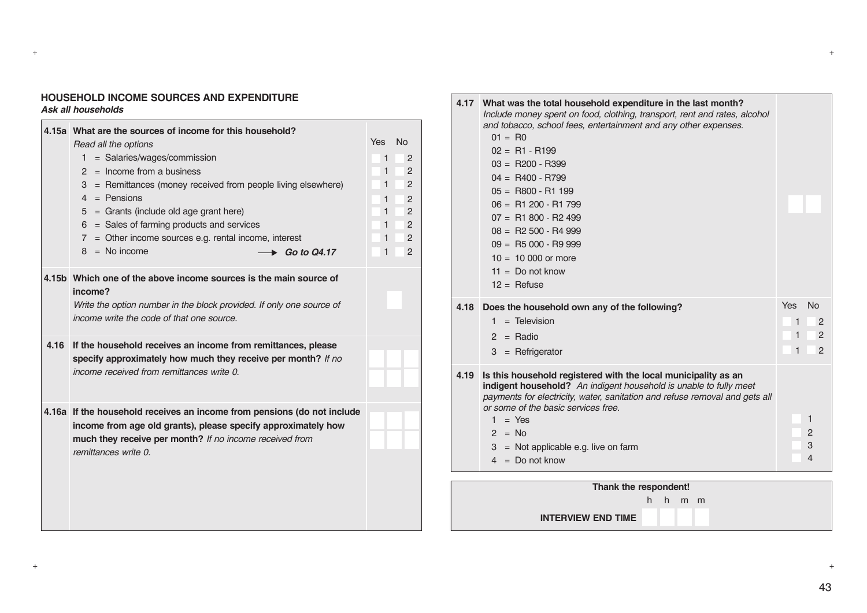#### **HOUSEHOLD INCOME SOURCES AND EXPENDITURE** *Ask all households*

|      | 4.15a What are the sources of income for this household?<br>Read all the options<br>= Salaries/wages/commission<br>1.<br>$2 =$ Income from a business<br>3 = Remittances (money received from people living elsewhere)<br>$4 =$ Pensions<br>$5 =$ Grants (include old age grant here)<br>$6 =$ Sales of farming products and services<br>$7 =$ Other income sources e.g. rental income, interest<br>$8 = No$ income<br>Go to Q4.17 | <b>Yes</b><br><b>No</b><br>$\mathbf{1}$<br>2<br>1<br>2<br>2<br>$\mathbf{1}$<br>1<br>2<br>$\mathbf{1}$<br>$\overline{2}$<br>1<br>2<br>$\mathbf{1}$<br>2<br>1<br>2 |
|------|------------------------------------------------------------------------------------------------------------------------------------------------------------------------------------------------------------------------------------------------------------------------------------------------------------------------------------------------------------------------------------------------------------------------------------|------------------------------------------------------------------------------------------------------------------------------------------------------------------|
|      | 4.15b Which one of the above income sources is the main source of<br>income?<br>Write the option number in the block provided. If only one source of<br>income write the code of that one source.                                                                                                                                                                                                                                  |                                                                                                                                                                  |
| 4.16 | If the household receives an income from remittances, please<br>specify approximately how much they receive per month? If no<br>income received from remittances write 0.                                                                                                                                                                                                                                                          |                                                                                                                                                                  |
|      | 4.16a If the household receives an income from pensions (do not include<br>income from age old grants), please specify approximately how<br>much they receive per month? If no income received from<br>remittances write 0.                                                                                                                                                                                                        |                                                                                                                                                                  |

| 4.17 | What was the total household expenditure in the last month?<br>Include money spent on food, clothing, transport, rent and rates, alcohol<br>and tobacco, school fees, entertainment and any other expenses.<br>$01 = R0$<br>$02 = R1 - R199$<br>$03 = R200 - R399$<br>$04 = R400 - R799$<br>$05 = R800 - R1199$<br>$06 = R1200 - R1799$<br>$07 = R1800 - R2499$<br>$08 = R2500 - R4999$<br>$09 = \text{R}5000 - \text{R}9999$<br>$10 = 10000$ or more<br>$11 = Do$ not know<br>$12 =$ Refuse |                            |
|------|----------------------------------------------------------------------------------------------------------------------------------------------------------------------------------------------------------------------------------------------------------------------------------------------------------------------------------------------------------------------------------------------------------------------------------------------------------------------------------------------|----------------------------|
| 4.18 | Does the household own any of the following?<br>$=$ Television<br>1.                                                                                                                                                                                                                                                                                                                                                                                                                         | Yes<br><b>No</b><br>1<br>2 |
|      | $2 =$ Radio                                                                                                                                                                                                                                                                                                                                                                                                                                                                                  | 1<br>$\overline{2}$        |
|      | $3 =$ Refrigerator                                                                                                                                                                                                                                                                                                                                                                                                                                                                           | $\mathbf{2}$<br>1          |
| 4.19 | Is this household registered with the local municipality as an<br>indigent household? An indigent household is unable to fully meet<br>payments for electricity, water, sanitation and refuse removal and gets all<br>or some of the basic services free.                                                                                                                                                                                                                                    |                            |
|      | $1 = Yes$                                                                                                                                                                                                                                                                                                                                                                                                                                                                                    | 1                          |
|      | $2 =$ No<br>$=$ Not applicable e.g. live on farm<br>3                                                                                                                                                                                                                                                                                                                                                                                                                                        | $\overline{2}$<br>3        |
|      | $4 = Do$ not know                                                                                                                                                                                                                                                                                                                                                                                                                                                                            | 4                          |
|      |                                                                                                                                                                                                                                                                                                                                                                                                                                                                                              |                            |

**Thank the respondent!**

h h m m

**INTERVIEW END TIME**

+ +